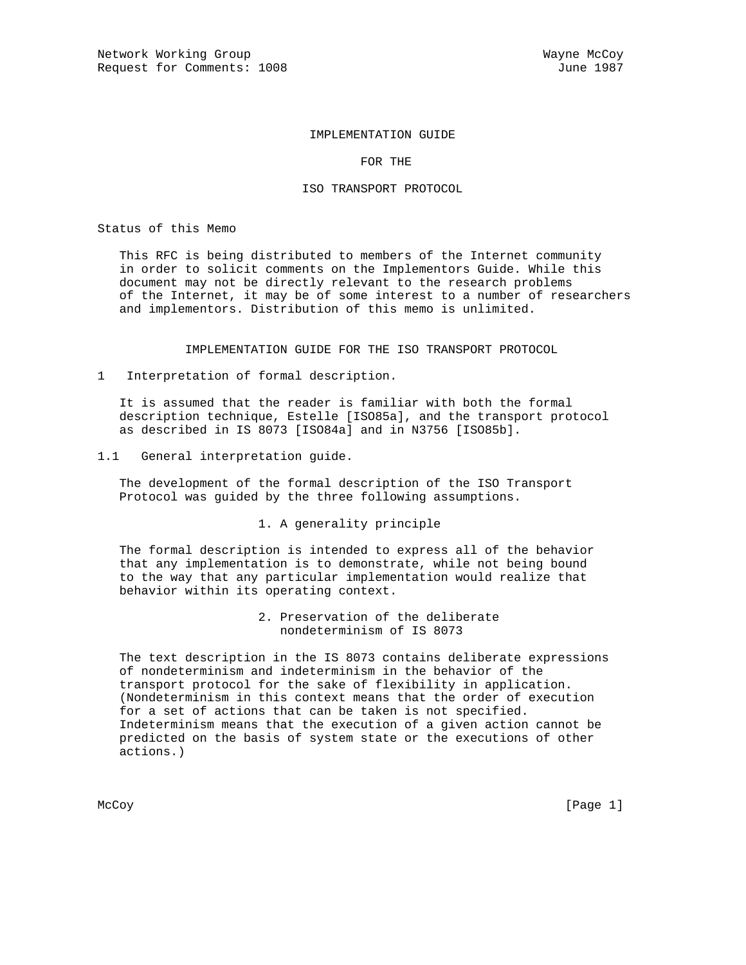# IMPLEMENTATION GUIDE

FOR THE

#### ISO TRANSPORT PROTOCOL

Status of this Memo

 This RFC is being distributed to members of the Internet community in order to solicit comments on the Implementors Guide. While this document may not be directly relevant to the research problems of the Internet, it may be of some interest to a number of researchers and implementors. Distribution of this memo is unlimited.

IMPLEMENTATION GUIDE FOR THE ISO TRANSPORT PROTOCOL

1 Interpretation of formal description.

 It is assumed that the reader is familiar with both the formal description technique, Estelle [ISO85a], and the transport protocol as described in IS 8073 [ISO84a] and in N3756 [ISO85b].

1.1 General interpretation guide.

 The development of the formal description of the ISO Transport Protocol was guided by the three following assumptions.

1. A generality principle

 The formal description is intended to express all of the behavior that any implementation is to demonstrate, while not being bound to the way that any particular implementation would realize that behavior within its operating context.

> 2. Preservation of the deliberate nondeterminism of IS 8073

 The text description in the IS 8073 contains deliberate expressions of nondeterminism and indeterminism in the behavior of the transport protocol for the sake of flexibility in application. (Nondeterminism in this context means that the order of execution for a set of actions that can be taken is not specified. Indeterminism means that the execution of a given action cannot be predicted on the basis of system state or the executions of other actions.)

McCoy [Page 1]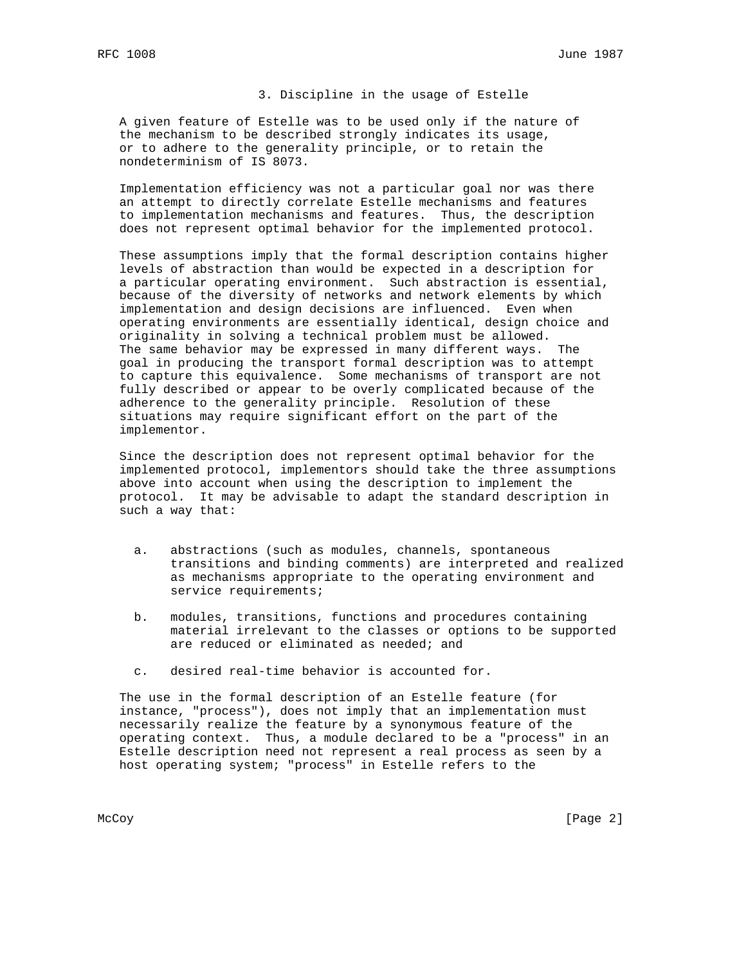# 3. Discipline in the usage of Estelle

 A given feature of Estelle was to be used only if the nature of the mechanism to be described strongly indicates its usage, or to adhere to the generality principle, or to retain the nondeterminism of IS 8073.

 Implementation efficiency was not a particular goal nor was there an attempt to directly correlate Estelle mechanisms and features to implementation mechanisms and features. Thus, the description does not represent optimal behavior for the implemented protocol.

 These assumptions imply that the formal description contains higher levels of abstraction than would be expected in a description for a particular operating environment. Such abstraction is essential, because of the diversity of networks and network elements by which implementation and design decisions are influenced. Even when operating environments are essentially identical, design choice and originality in solving a technical problem must be allowed. The same behavior may be expressed in many different ways. The goal in producing the transport formal description was to attempt to capture this equivalence. Some mechanisms of transport are not fully described or appear to be overly complicated because of the adherence to the generality principle. Resolution of these situations may require significant effort on the part of the implementor.

 Since the description does not represent optimal behavior for the implemented protocol, implementors should take the three assumptions above into account when using the description to implement the protocol. It may be advisable to adapt the standard description in such a way that:

- a. abstractions (such as modules, channels, spontaneous transitions and binding comments) are interpreted and realized as mechanisms appropriate to the operating environment and service requirements;
- b. modules, transitions, functions and procedures containing material irrelevant to the classes or options to be supported are reduced or eliminated as needed; and
- c. desired real-time behavior is accounted for.

 The use in the formal description of an Estelle feature (for instance, "process"), does not imply that an implementation must necessarily realize the feature by a synonymous feature of the operating context. Thus, a module declared to be a "process" in an Estelle description need not represent a real process as seen by a host operating system; "process" in Estelle refers to the

McCoy [Page 2]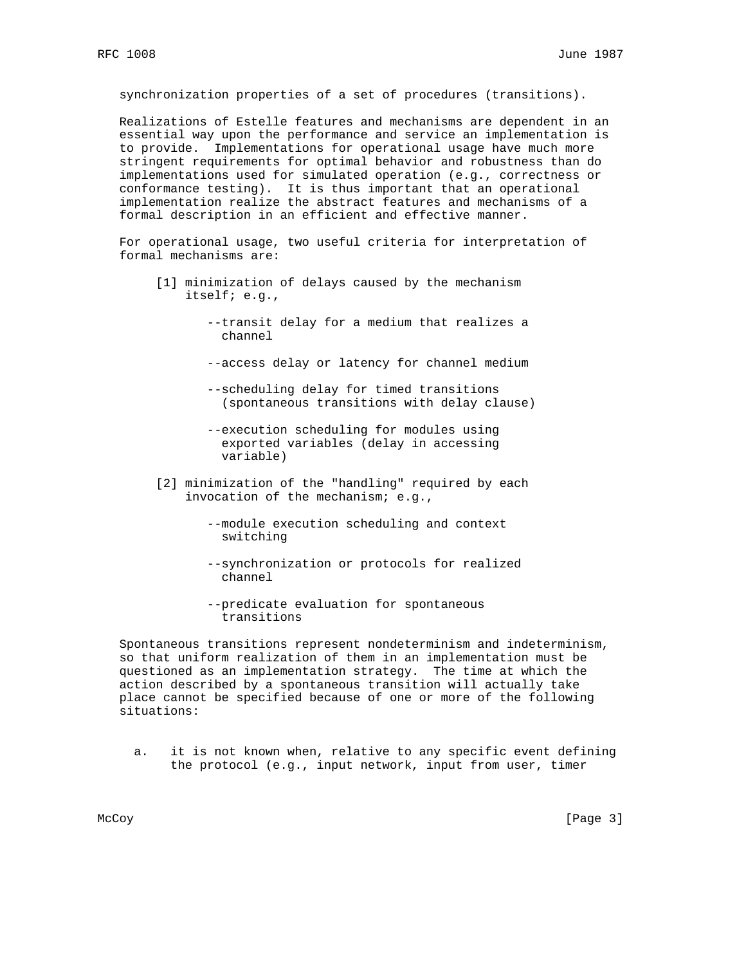synchronization properties of a set of procedures (transitions).

 Realizations of Estelle features and mechanisms are dependent in an essential way upon the performance and service an implementation is to provide. Implementations for operational usage have much more stringent requirements for optimal behavior and robustness than do implementations used for simulated operation (e.g., correctness or conformance testing). It is thus important that an operational implementation realize the abstract features and mechanisms of a formal description in an efficient and effective manner.

 For operational usage, two useful criteria for interpretation of formal mechanisms are:

- [1] minimization of delays caused by the mechanism itself; e.g.,
	- --transit delay for a medium that realizes a channel
	- --access delay or latency for channel medium
	- --scheduling delay for timed transitions (spontaneous transitions with delay clause)
	- --execution scheduling for modules using exported variables (delay in accessing variable)
- [2] minimization of the "handling" required by each invocation of the mechanism; e.g.,
	- --module execution scheduling and context switching
	- --synchronization or protocols for realized channel
	- --predicate evaluation for spontaneous transitions

 Spontaneous transitions represent nondeterminism and indeterminism, so that uniform realization of them in an implementation must be questioned as an implementation strategy. The time at which the action described by a spontaneous transition will actually take place cannot be specified because of one or more of the following situations:

 a. it is not known when, relative to any specific event defining the protocol (e.g., input network, input from user, timer

McCoy [Page 3]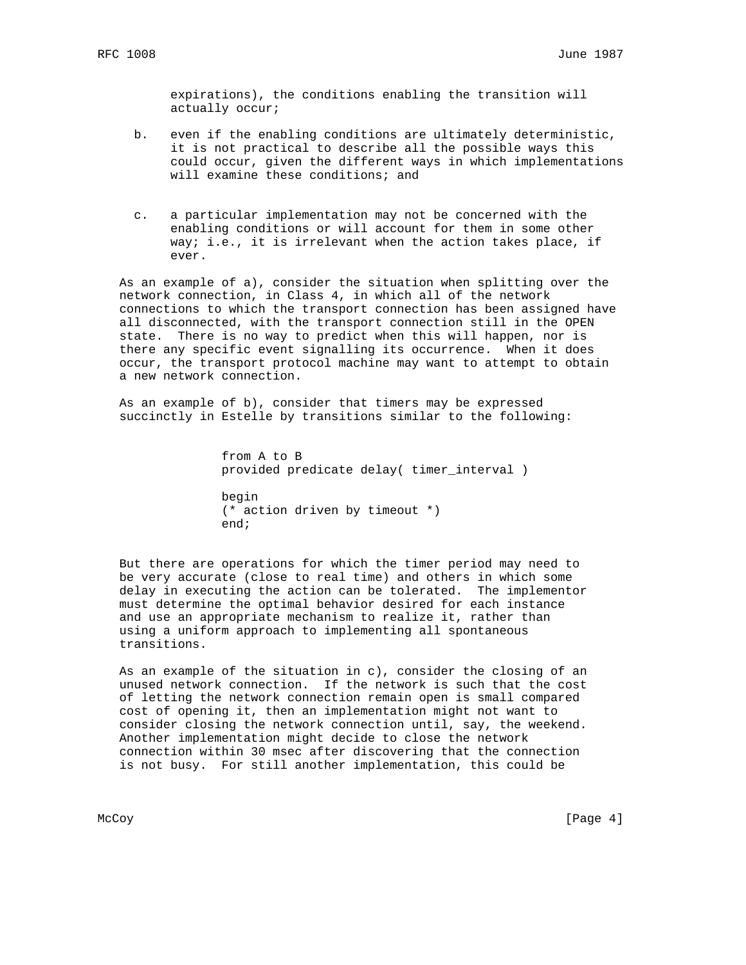expirations), the conditions enabling the transition will actually occur;

- b. even if the enabling conditions are ultimately deterministic, it is not practical to describe all the possible ways this could occur, given the different ways in which implementations will examine these conditions; and
- c. a particular implementation may not be concerned with the enabling conditions or will account for them in some other way; i.e., it is irrelevant when the action takes place, if ever.

 As an example of a), consider the situation when splitting over the network connection, in Class 4, in which all of the network connections to which the transport connection has been assigned have all disconnected, with the transport connection still in the OPEN state. There is no way to predict when this will happen, nor is there any specific event signalling its occurrence. When it does occur, the transport protocol machine may want to attempt to obtain a new network connection.

 As an example of b), consider that timers may be expressed succinctly in Estelle by transitions similar to the following:

> from A to B provided predicate delay( timer\_interval )

 begin (\* action driven by timeout \*) end;

 But there are operations for which the timer period may need to be very accurate (close to real time) and others in which some delay in executing the action can be tolerated. The implementor must determine the optimal behavior desired for each instance and use an appropriate mechanism to realize it, rather than using a uniform approach to implementing all spontaneous transitions.

 As an example of the situation in c), consider the closing of an unused network connection. If the network is such that the cost of letting the network connection remain open is small compared cost of opening it, then an implementation might not want to consider closing the network connection until, say, the weekend. Another implementation might decide to close the network connection within 30 msec after discovering that the connection is not busy. For still another implementation, this could be

McCoy [Page 4]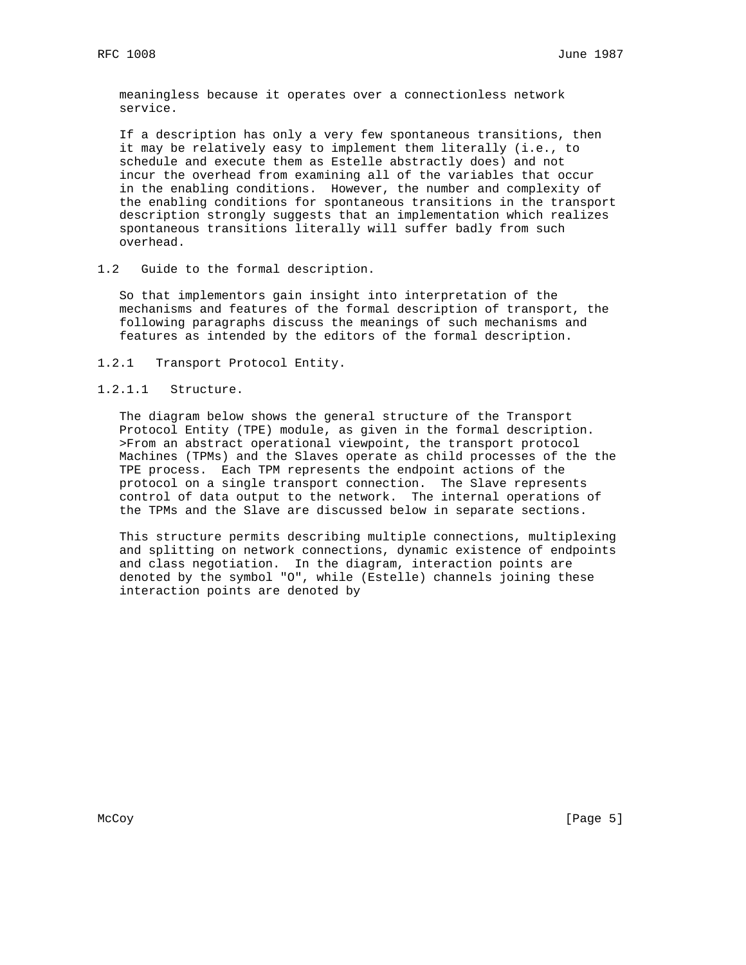meaningless because it operates over a connectionless network service.

 If a description has only a very few spontaneous transitions, then it may be relatively easy to implement them literally (i.e., to schedule and execute them as Estelle abstractly does) and not incur the overhead from examining all of the variables that occur in the enabling conditions. However, the number and complexity of the enabling conditions for spontaneous transitions in the transport description strongly suggests that an implementation which realizes spontaneous transitions literally will suffer badly from such overhead.

### 1.2 Guide to the formal description.

 So that implementors gain insight into interpretation of the mechanisms and features of the formal description of transport, the following paragraphs discuss the meanings of such mechanisms and features as intended by the editors of the formal description.

1.2.1 Transport Protocol Entity.

# 1.2.1.1 Structure.

 The diagram below shows the general structure of the Transport Protocol Entity (TPE) module, as given in the formal description. >From an abstract operational viewpoint, the transport protocol Machines (TPMs) and the Slaves operate as child processes of the the TPE process. Each TPM represents the endpoint actions of the protocol on a single transport connection. The Slave represents control of data output to the network. The internal operations of the TPMs and the Slave are discussed below in separate sections.

 This structure permits describing multiple connections, multiplexing and splitting on network connections, dynamic existence of endpoints and class negotiation. In the diagram, interaction points are denoted by the symbol "O", while (Estelle) channels joining these interaction points are denoted by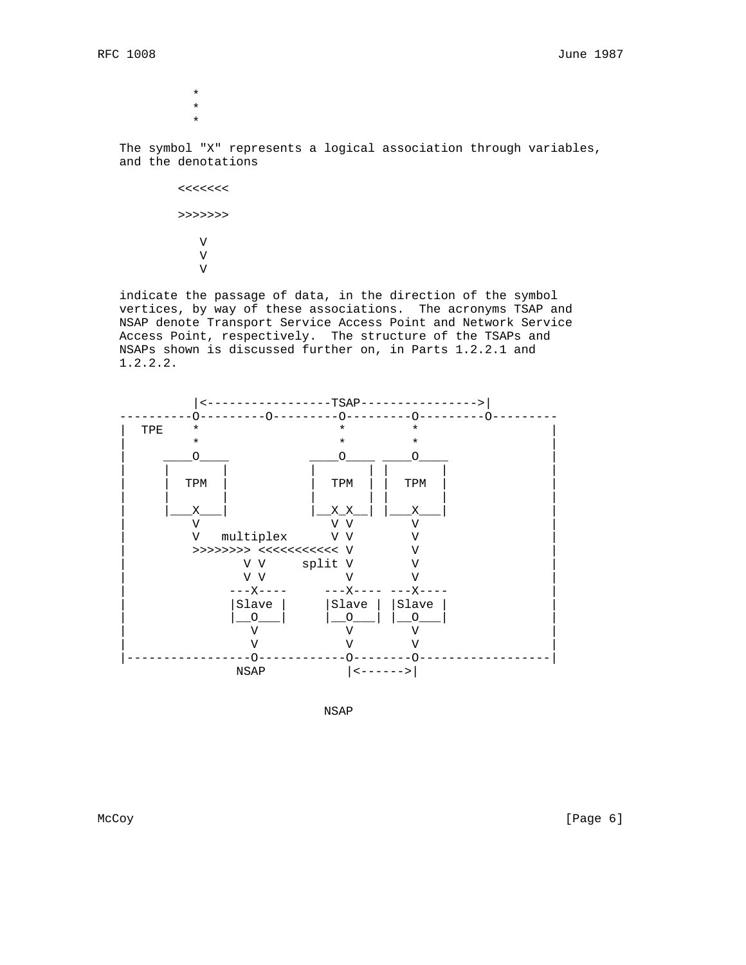\* \* \*

> The symbol "X" represents a logical association through variables, and the denotations

 <<<<<<< >>>>>>> V V V

> indicate the passage of data, in the direction of the symbol vertices, by way of these associations. The acronyms TSAP and NSAP denote Transport Service Access Point and Network Service Access Point, respectively. The structure of the TSAPs and NSAPs shown is discussed further on, in Parts 1.2.2.1 and 1.2.2.2.



NSAP

McCoy [Page 6]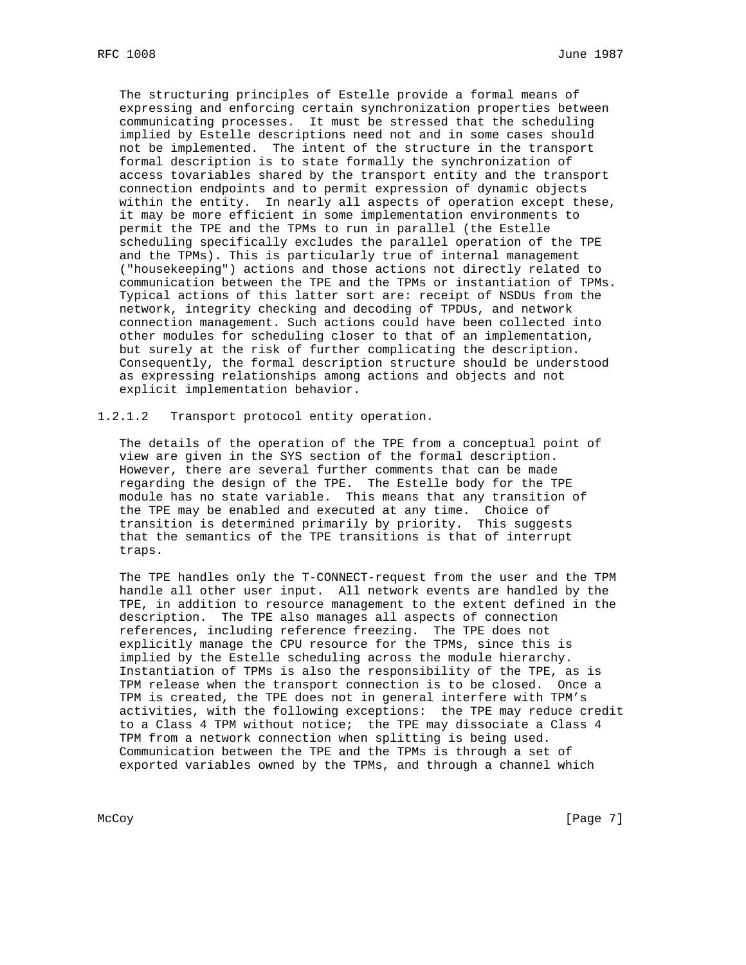The structuring principles of Estelle provide a formal means of expressing and enforcing certain synchronization properties between communicating processes. It must be stressed that the scheduling implied by Estelle descriptions need not and in some cases should not be implemented. The intent of the structure in the transport formal description is to state formally the synchronization of access tovariables shared by the transport entity and the transport connection endpoints and to permit expression of dynamic objects within the entity. In nearly all aspects of operation except these, it may be more efficient in some implementation environments to permit the TPE and the TPMs to run in parallel (the Estelle scheduling specifically excludes the parallel operation of the TPE and the TPMs). This is particularly true of internal management ("housekeeping") actions and those actions not directly related to communication between the TPE and the TPMs or instantiation of TPMs. Typical actions of this latter sort are: receipt of NSDUs from the network, integrity checking and decoding of TPDUs, and network connection management. Such actions could have been collected into other modules for scheduling closer to that of an implementation, but surely at the risk of further complicating the description. Consequently, the formal description structure should be understood as expressing relationships among actions and objects and not explicit implementation behavior.

1.2.1.2 Transport protocol entity operation.

 The details of the operation of the TPE from a conceptual point of view are given in the SYS section of the formal description. However, there are several further comments that can be made regarding the design of the TPE. The Estelle body for the TPE module has no state variable. This means that any transition of the TPE may be enabled and executed at any time. Choice of transition is determined primarily by priority. This suggests that the semantics of the TPE transitions is that of interrupt traps.

 The TPE handles only the T-CONNECT-request from the user and the TPM handle all other user input. All network events are handled by the TPE, in addition to resource management to the extent defined in the description. The TPE also manages all aspects of connection references, including reference freezing. The TPE does not explicitly manage the CPU resource for the TPMs, since this is implied by the Estelle scheduling across the module hierarchy. Instantiation of TPMs is also the responsibility of the TPE, as is TPM release when the transport connection is to be closed. Once a TPM is created, the TPE does not in general interfere with TPM's activities, with the following exceptions: the TPE may reduce credit to a Class 4 TPM without notice; the TPE may dissociate a Class 4 TPM from a network connection when splitting is being used. Communication between the TPE and the TPMs is through a set of exported variables owned by the TPMs, and through a channel which

McCoy [Page 7]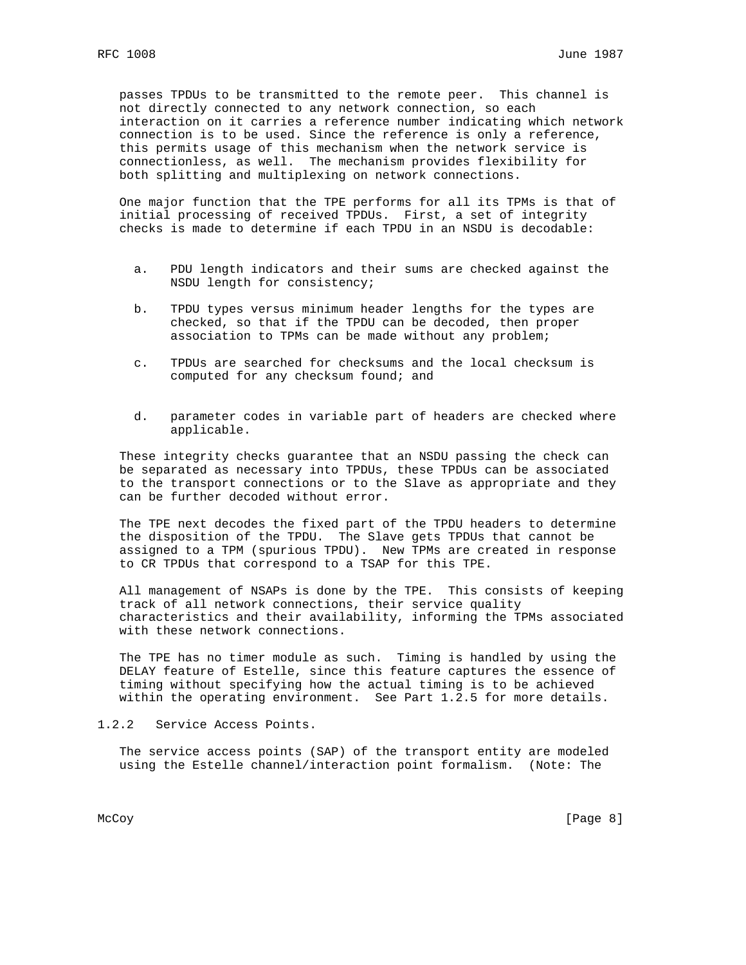passes TPDUs to be transmitted to the remote peer. This channel is not directly connected to any network connection, so each interaction on it carries a reference number indicating which network connection is to be used. Since the reference is only a reference, this permits usage of this mechanism when the network service is connectionless, as well. The mechanism provides flexibility for both splitting and multiplexing on network connections.

 One major function that the TPE performs for all its TPMs is that of initial processing of received TPDUs. First, a set of integrity checks is made to determine if each TPDU in an NSDU is decodable:

- a. PDU length indicators and their sums are checked against the NSDU length for consistency;
- b. TPDU types versus minimum header lengths for the types are checked, so that if the TPDU can be decoded, then proper association to TPMs can be made without any problem;
- c. TPDUs are searched for checksums and the local checksum is computed for any checksum found; and
- d. parameter codes in variable part of headers are checked where applicable.

 These integrity checks guarantee that an NSDU passing the check can be separated as necessary into TPDUs, these TPDUs can be associated to the transport connections or to the Slave as appropriate and they can be further decoded without error.

 The TPE next decodes the fixed part of the TPDU headers to determine the disposition of the TPDU. The Slave gets TPDUs that cannot be assigned to a TPM (spurious TPDU). New TPMs are created in response to CR TPDUs that correspond to a TSAP for this TPE.

 All management of NSAPs is done by the TPE. This consists of keeping track of all network connections, their service quality characteristics and their availability, informing the TPMs associated with these network connections.

 The TPE has no timer module as such. Timing is handled by using the DELAY feature of Estelle, since this feature captures the essence of timing without specifying how the actual timing is to be achieved within the operating environment. See Part 1.2.5 for more details.

1.2.2 Service Access Points.

 The service access points (SAP) of the transport entity are modeled using the Estelle channel/interaction point formalism. (Note: The

McCoy [Page 8]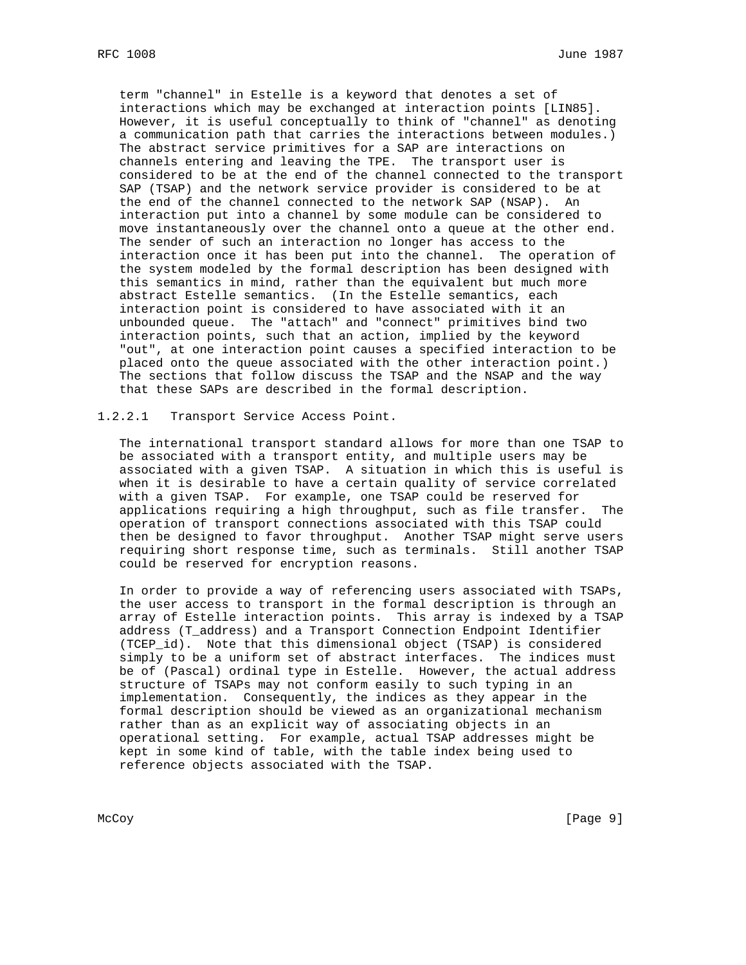term "channel" in Estelle is a keyword that denotes a set of interactions which may be exchanged at interaction points [LIN85]. However, it is useful conceptually to think of "channel" as denoting a communication path that carries the interactions between modules.) The abstract service primitives for a SAP are interactions on channels entering and leaving the TPE. The transport user is considered to be at the end of the channel connected to the transport SAP (TSAP) and the network service provider is considered to be at the end of the channel connected to the network SAP (NSAP). An interaction put into a channel by some module can be considered to move instantaneously over the channel onto a queue at the other end. The sender of such an interaction no longer has access to the interaction once it has been put into the channel. The operation of the system modeled by the formal description has been designed with this semantics in mind, rather than the equivalent but much more abstract Estelle semantics. (In the Estelle semantics, each interaction point is considered to have associated with it an unbounded queue. The "attach" and "connect" primitives bind two interaction points, such that an action, implied by the keyword "out", at one interaction point causes a specified interaction to be placed onto the queue associated with the other interaction point.) The sections that follow discuss the TSAP and the NSAP and the way that these SAPs are described in the formal description.

1.2.2.1 Transport Service Access Point.

 The international transport standard allows for more than one TSAP to be associated with a transport entity, and multiple users may be associated with a given TSAP. A situation in which this is useful is when it is desirable to have a certain quality of service correlated with a given TSAP. For example, one TSAP could be reserved for applications requiring a high throughput, such as file transfer. The operation of transport connections associated with this TSAP could then be designed to favor throughput. Another TSAP might serve users requiring short response time, such as terminals. Still another TSAP could be reserved for encryption reasons.

 In order to provide a way of referencing users associated with TSAPs, the user access to transport in the formal description is through an array of Estelle interaction points. This array is indexed by a TSAP address (T\_address) and a Transport Connection Endpoint Identifier (TCEP\_id). Note that this dimensional object (TSAP) is considered simply to be a uniform set of abstract interfaces. The indices must be of (Pascal) ordinal type in Estelle. However, the actual address structure of TSAPs may not conform easily to such typing in an implementation. Consequently, the indices as they appear in the formal description should be viewed as an organizational mechanism rather than as an explicit way of associating objects in an operational setting. For example, actual TSAP addresses might be kept in some kind of table, with the table index being used to reference objects associated with the TSAP.

McCoy [Page 9]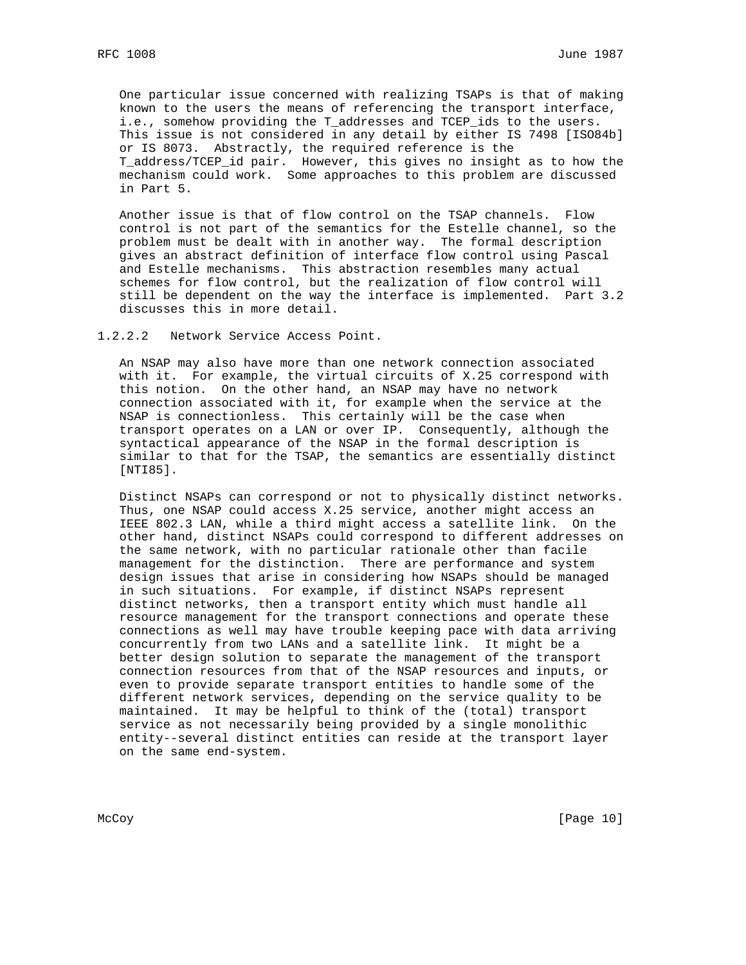One particular issue concerned with realizing TSAPs is that of making known to the users the means of referencing the transport interface, i.e., somehow providing the T\_addresses and TCEP\_ids to the users. This issue is not considered in any detail by either IS 7498 [ISO84b] or IS 8073. Abstractly, the required reference is the T\_address/TCEP\_id pair. However, this gives no insight as to how the mechanism could work. Some approaches to this problem are discussed in Part 5.

 Another issue is that of flow control on the TSAP channels. Flow control is not part of the semantics for the Estelle channel, so the problem must be dealt with in another way. The formal description gives an abstract definition of interface flow control using Pascal and Estelle mechanisms. This abstraction resembles many actual schemes for flow control, but the realization of flow control will still be dependent on the way the interface is implemented. Part 3.2 discusses this in more detail.

1.2.2.2 Network Service Access Point.

 An NSAP may also have more than one network connection associated with it. For example, the virtual circuits of X.25 correspond with this notion. On the other hand, an NSAP may have no network connection associated with it, for example when the service at the NSAP is connectionless. This certainly will be the case when transport operates on a LAN or over IP. Consequently, although the syntactical appearance of the NSAP in the formal description is similar to that for the TSAP, the semantics are essentially distinct [NTI85].

 Distinct NSAPs can correspond or not to physically distinct networks. Thus, one NSAP could access X.25 service, another might access an IEEE 802.3 LAN, while a third might access a satellite link. On the other hand, distinct NSAPs could correspond to different addresses on the same network, with no particular rationale other than facile management for the distinction. There are performance and system design issues that arise in considering how NSAPs should be managed in such situations. For example, if distinct NSAPs represent distinct networks, then a transport entity which must handle all resource management for the transport connections and operate these connections as well may have trouble keeping pace with data arriving concurrently from two LANs and a satellite link. It might be a better design solution to separate the management of the transport connection resources from that of the NSAP resources and inputs, or even to provide separate transport entities to handle some of the different network services, depending on the service quality to be maintained. It may be helpful to think of the (total) transport service as not necessarily being provided by a single monolithic entity--several distinct entities can reside at the transport layer on the same end-system.

McCoy [Page 10]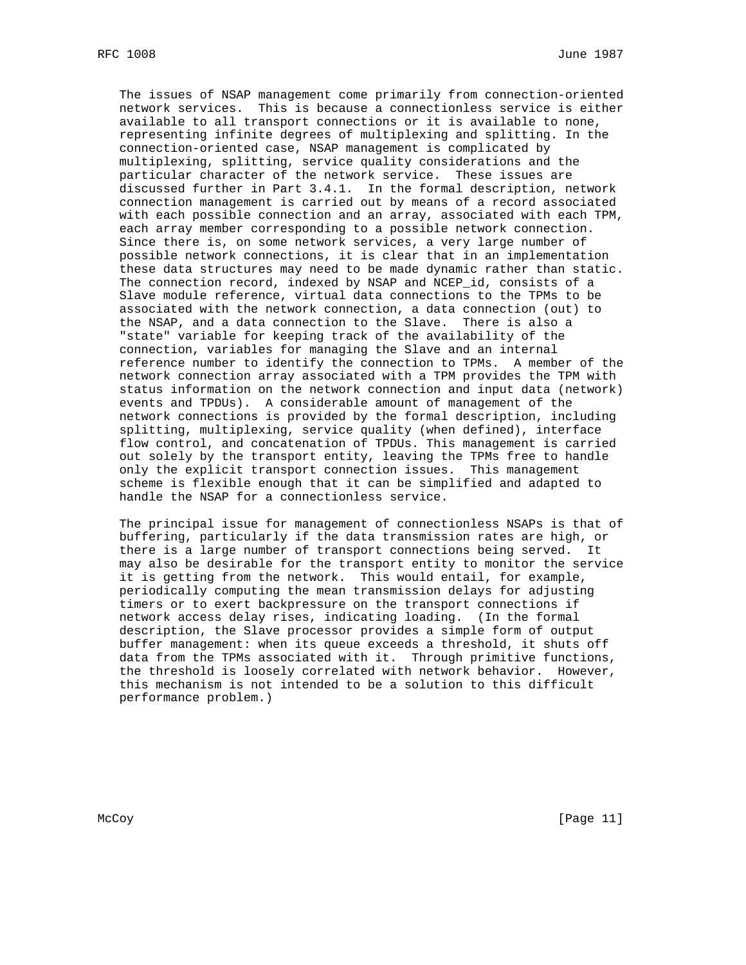The issues of NSAP management come primarily from connection-oriented network services. This is because a connectionless service is either available to all transport connections or it is available to none, representing infinite degrees of multiplexing and splitting. In the connection-oriented case, NSAP management is complicated by multiplexing, splitting, service quality considerations and the particular character of the network service. These issues are discussed further in Part 3.4.1. In the formal description, network connection management is carried out by means of a record associated with each possible connection and an array, associated with each TPM, each array member corresponding to a possible network connection. Since there is, on some network services, a very large number of possible network connections, it is clear that in an implementation these data structures may need to be made dynamic rather than static. The connection record, indexed by NSAP and NCEP\_id, consists of a Slave module reference, virtual data connections to the TPMs to be associated with the network connection, a data connection (out) to the NSAP, and a data connection to the Slave. There is also a "state" variable for keeping track of the availability of the connection, variables for managing the Slave and an internal reference number to identify the connection to TPMs. A member of the network connection array associated with a TPM provides the TPM with status information on the network connection and input data (network) events and TPDUs). A considerable amount of management of the network connections is provided by the formal description, including splitting, multiplexing, service quality (when defined), interface flow control, and concatenation of TPDUs. This management is carried out solely by the transport entity, leaving the TPMs free to handle only the explicit transport connection issues. This management scheme is flexible enough that it can be simplified and adapted to handle the NSAP for a connectionless service.

 The principal issue for management of connectionless NSAPs is that of buffering, particularly if the data transmission rates are high, or there is a large number of transport connections being served. It may also be desirable for the transport entity to monitor the service it is getting from the network. This would entail, for example, periodically computing the mean transmission delays for adjusting timers or to exert backpressure on the transport connections if network access delay rises, indicating loading. (In the formal description, the Slave processor provides a simple form of output buffer management: when its queue exceeds a threshold, it shuts off data from the TPMs associated with it. Through primitive functions, the threshold is loosely correlated with network behavior. However, this mechanism is not intended to be a solution to this difficult performance problem.)

McCoy [Page 11]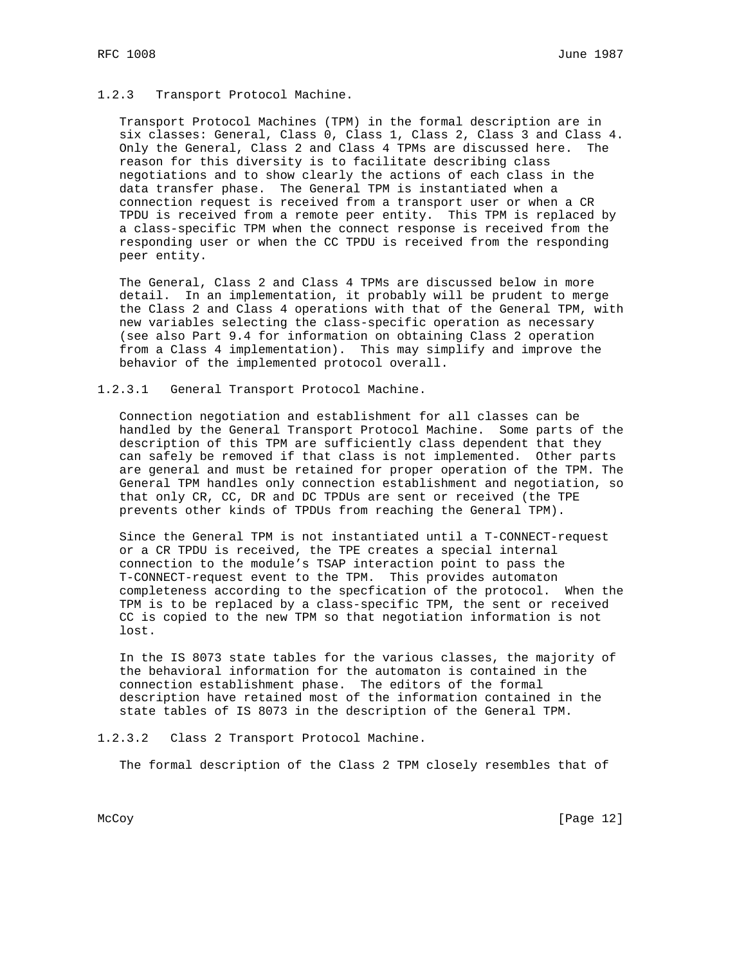#### 1.2.3 Transport Protocol Machine.

 Transport Protocol Machines (TPM) in the formal description are in six classes: General, Class 0, Class 1, Class 2, Class 3 and Class 4. Only the General, Class 2 and Class 4 TPMs are discussed here. The reason for this diversity is to facilitate describing class negotiations and to show clearly the actions of each class in the data transfer phase. The General TPM is instantiated when a connection request is received from a transport user or when a CR TPDU is received from a remote peer entity. This TPM is replaced by a class-specific TPM when the connect response is received from the responding user or when the CC TPDU is received from the responding peer entity.

 The General, Class 2 and Class 4 TPMs are discussed below in more detail. In an implementation, it probably will be prudent to merge the Class 2 and Class 4 operations with that of the General TPM, with new variables selecting the class-specific operation as necessary (see also Part 9.4 for information on obtaining Class 2 operation from a Class 4 implementation). This may simplify and improve the behavior of the implemented protocol overall.

### 1.2.3.1 General Transport Protocol Machine.

 Connection negotiation and establishment for all classes can be handled by the General Transport Protocol Machine. Some parts of the description of this TPM are sufficiently class dependent that they can safely be removed if that class is not implemented. Other parts are general and must be retained for proper operation of the TPM. The General TPM handles only connection establishment and negotiation, so that only CR, CC, DR and DC TPDUs are sent or received (the TPE prevents other kinds of TPDUs from reaching the General TPM).

 Since the General TPM is not instantiated until a T-CONNECT-request or a CR TPDU is received, the TPE creates a special internal connection to the module's TSAP interaction point to pass the T-CONNECT-request event to the TPM. This provides automaton completeness according to the specfication of the protocol. When the TPM is to be replaced by a class-specific TPM, the sent or received CC is copied to the new TPM so that negotiation information is not lost.

 In the IS 8073 state tables for the various classes, the majority of the behavioral information for the automaton is contained in the connection establishment phase. The editors of the formal description have retained most of the information contained in the state tables of IS 8073 in the description of the General TPM.

1.2.3.2 Class 2 Transport Protocol Machine.

The formal description of the Class 2 TPM closely resembles that of

McCoy [Page 12]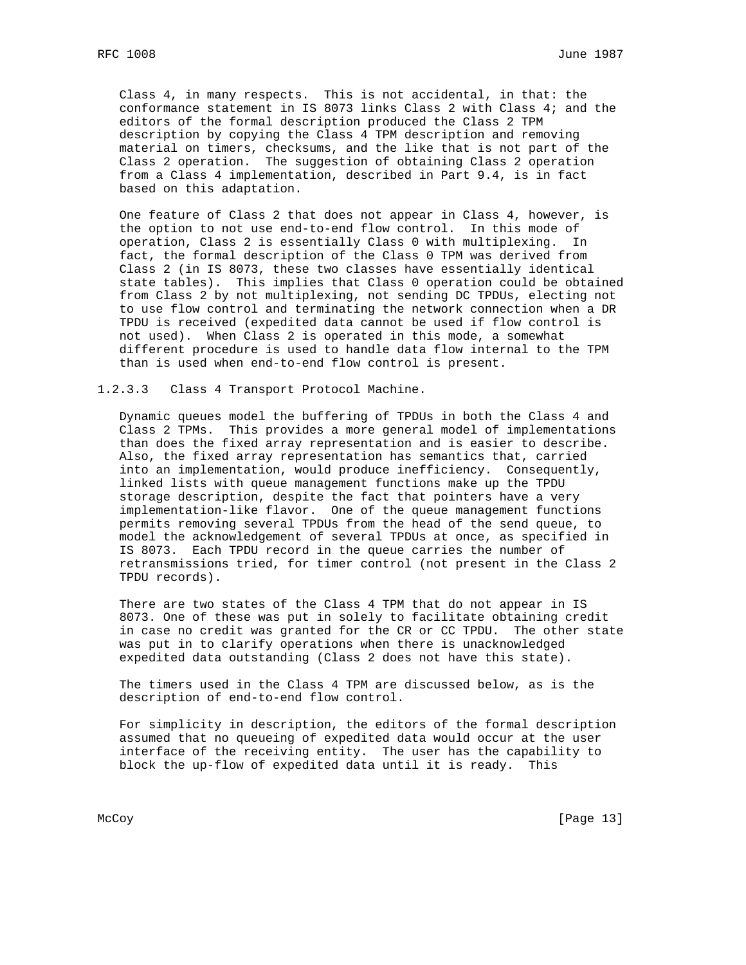Class 4, in many respects. This is not accidental, in that: the conformance statement in IS 8073 links Class 2 with Class 4; and the editors of the formal description produced the Class 2 TPM description by copying the Class 4 TPM description and removing material on timers, checksums, and the like that is not part of the Class 2 operation. The suggestion of obtaining Class 2 operation from a Class 4 implementation, described in Part 9.4, is in fact based on this adaptation.

 One feature of Class 2 that does not appear in Class 4, however, is the option to not use end-to-end flow control. In this mode of operation, Class 2 is essentially Class 0 with multiplexing. In fact, the formal description of the Class 0 TPM was derived from Class 2 (in IS 8073, these two classes have essentially identical state tables). This implies that Class 0 operation could be obtained from Class 2 by not multiplexing, not sending DC TPDUs, electing not to use flow control and terminating the network connection when a DR TPDU is received (expedited data cannot be used if flow control is not used). When Class 2 is operated in this mode, a somewhat different procedure is used to handle data flow internal to the TPM than is used when end-to-end flow control is present.

1.2.3.3 Class 4 Transport Protocol Machine.

 Dynamic queues model the buffering of TPDUs in both the Class 4 and Class 2 TPMs. This provides a more general model of implementations than does the fixed array representation and is easier to describe. Also, the fixed array representation has semantics that, carried into an implementation, would produce inefficiency. Consequently, linked lists with queue management functions make up the TPDU storage description, despite the fact that pointers have a very implementation-like flavor. One of the queue management functions permits removing several TPDUs from the head of the send queue, to model the acknowledgement of several TPDUs at once, as specified in IS 8073. Each TPDU record in the queue carries the number of retransmissions tried, for timer control (not present in the Class 2 TPDU records).

 There are two states of the Class 4 TPM that do not appear in IS 8073. One of these was put in solely to facilitate obtaining credit in case no credit was granted for the CR or CC TPDU. The other state was put in to clarify operations when there is unacknowledged expedited data outstanding (Class 2 does not have this state).

 The timers used in the Class 4 TPM are discussed below, as is the description of end-to-end flow control.

 For simplicity in description, the editors of the formal description assumed that no queueing of expedited data would occur at the user interface of the receiving entity. The user has the capability to block the up-flow of expedited data until it is ready. This

McCoy [Page 13]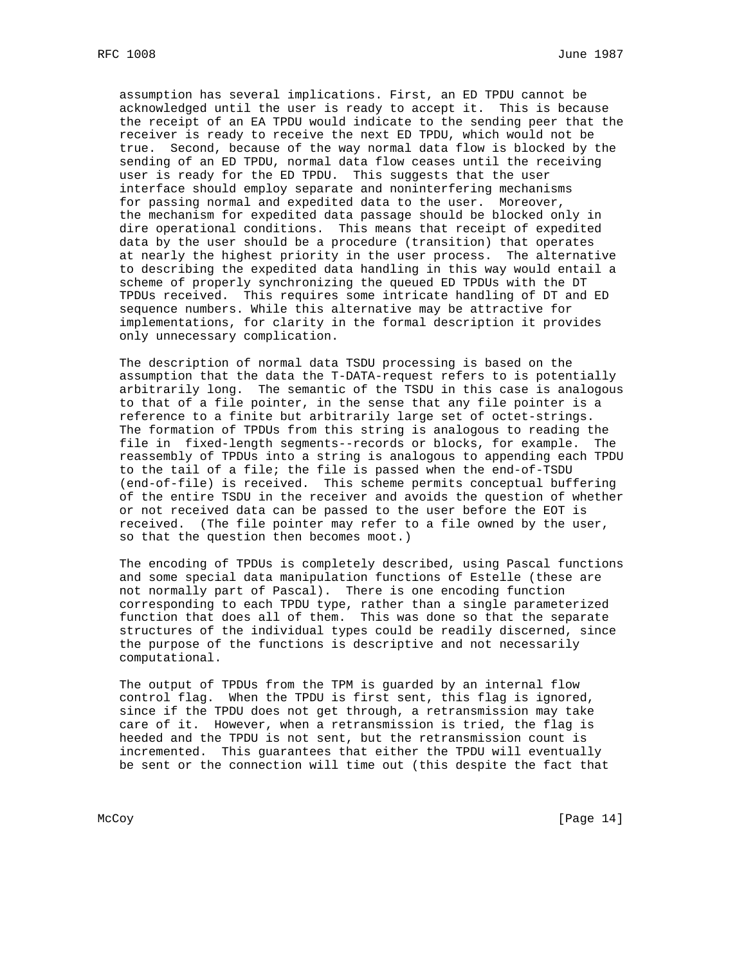assumption has several implications. First, an ED TPDU cannot be acknowledged until the user is ready to accept it. This is because the receipt of an EA TPDU would indicate to the sending peer that the receiver is ready to receive the next ED TPDU, which would not be true. Second, because of the way normal data flow is blocked by the sending of an ED TPDU, normal data flow ceases until the receiving user is ready for the ED TPDU. This suggests that the user interface should employ separate and noninterfering mechanisms for passing normal and expedited data to the user. Moreover, the mechanism for expedited data passage should be blocked only in dire operational conditions. This means that receipt of expedited data by the user should be a procedure (transition) that operates at nearly the highest priority in the user process. The alternative to describing the expedited data handling in this way would entail a scheme of properly synchronizing the queued ED TPDUs with the DT TPDUs received. This requires some intricate handling of DT and ED sequence numbers. While this alternative may be attractive for implementations, for clarity in the formal description it provides only unnecessary complication.

 The description of normal data TSDU processing is based on the assumption that the data the T-DATA-request refers to is potentially arbitrarily long. The semantic of the TSDU in this case is analogous to that of a file pointer, in the sense that any file pointer is a reference to a finite but arbitrarily large set of octet-strings. The formation of TPDUs from this string is analogous to reading the file in fixed-length segments--records or blocks, for example. The reassembly of TPDUs into a string is analogous to appending each TPDU to the tail of a file; the file is passed when the end-of-TSDU (end-of-file) is received. This scheme permits conceptual buffering of the entire TSDU in the receiver and avoids the question of whether or not received data can be passed to the user before the EOT is received. (The file pointer may refer to a file owned by the user, so that the question then becomes moot.)

 The encoding of TPDUs is completely described, using Pascal functions and some special data manipulation functions of Estelle (these are not normally part of Pascal). There is one encoding function corresponding to each TPDU type, rather than a single parameterized function that does all of them. This was done so that the separate structures of the individual types could be readily discerned, since the purpose of the functions is descriptive and not necessarily computational.

 The output of TPDUs from the TPM is guarded by an internal flow control flag. When the TPDU is first sent, this flag is ignored, since if the TPDU does not get through, a retransmission may take care of it. However, when a retransmission is tried, the flag is heeded and the TPDU is not sent, but the retransmission count is incremented. This guarantees that either the TPDU will eventually be sent or the connection will time out (this despite the fact that

McCoy [Page 14]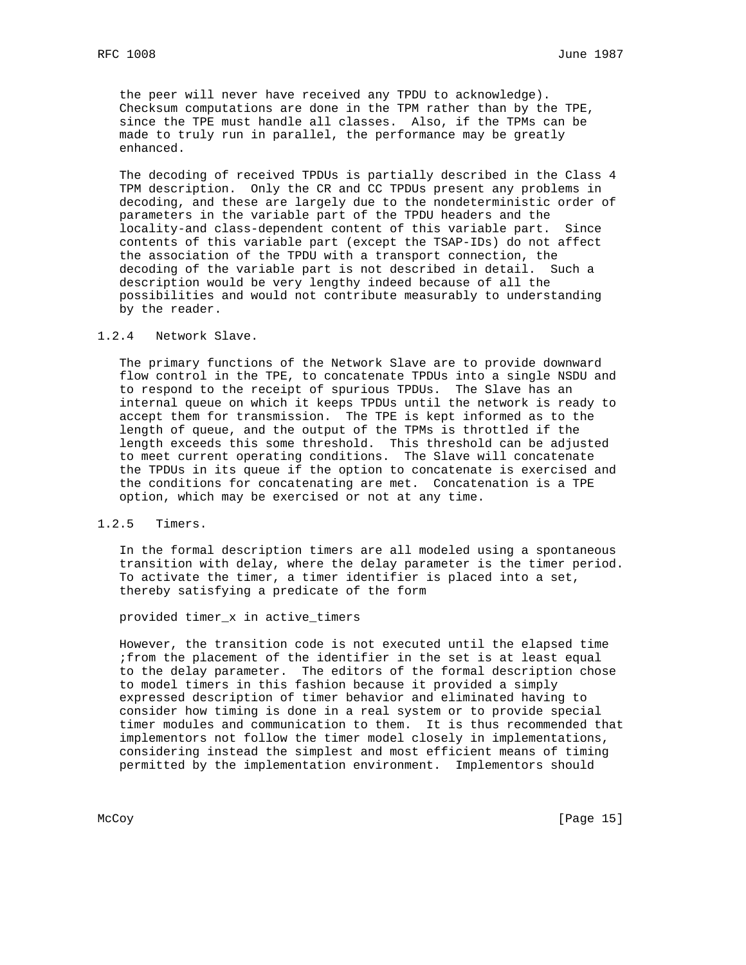the peer will never have received any TPDU to acknowledge). Checksum computations are done in the TPM rather than by the TPE, since the TPE must handle all classes. Also, if the TPMs can be made to truly run in parallel, the performance may be greatly enhanced.

 The decoding of received TPDUs is partially described in the Class 4 TPM description. Only the CR and CC TPDUs present any problems in decoding, and these are largely due to the nondeterministic order of parameters in the variable part of the TPDU headers and the locality-and class-dependent content of this variable part. Since contents of this variable part (except the TSAP-IDs) do not affect the association of the TPDU with a transport connection, the decoding of the variable part is not described in detail. Such a description would be very lengthy indeed because of all the possibilities and would not contribute measurably to understanding by the reader.

### 1.2.4 Network Slave.

 The primary functions of the Network Slave are to provide downward flow control in the TPE, to concatenate TPDUs into a single NSDU and to respond to the receipt of spurious TPDUs. The Slave has an internal queue on which it keeps TPDUs until the network is ready to accept them for transmission. The TPE is kept informed as to the length of queue, and the output of the TPMs is throttled if the length exceeds this some threshold. This threshold can be adjusted to meet current operating conditions. The Slave will concatenate the TPDUs in its queue if the option to concatenate is exercised and the conditions for concatenating are met. Concatenation is a TPE option, which may be exercised or not at any time.

# 1.2.5 Timers.

 In the formal description timers are all modeled using a spontaneous transition with delay, where the delay parameter is the timer period. To activate the timer, a timer identifier is placed into a set, thereby satisfying a predicate of the form

provided timer\_x in active\_timers

 However, the transition code is not executed until the elapsed time ;from the placement of the identifier in the set is at least equal to the delay parameter. The editors of the formal description chose to model timers in this fashion because it provided a simply expressed description of timer behavior and eliminated having to consider how timing is done in a real system or to provide special timer modules and communication to them. It is thus recommended that implementors not follow the timer model closely in implementations, considering instead the simplest and most efficient means of timing permitted by the implementation environment. Implementors should

McCoy [Page 15]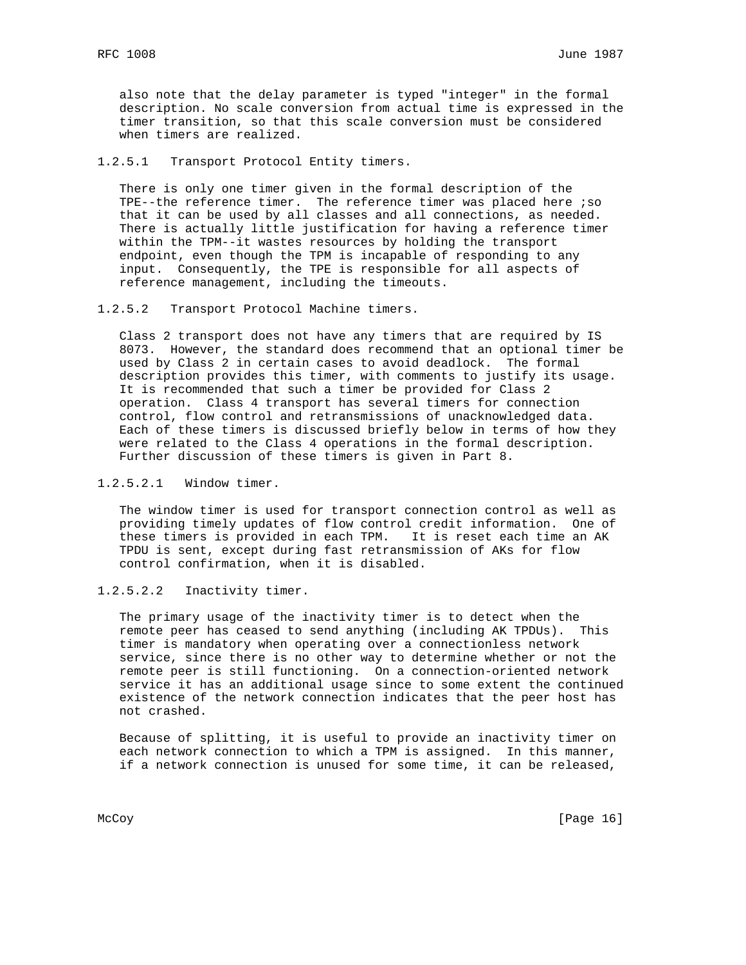also note that the delay parameter is typed "integer" in the formal description. No scale conversion from actual time is expressed in the timer transition, so that this scale conversion must be considered when timers are realized.

1.2.5.1 Transport Protocol Entity timers.

 There is only one timer given in the formal description of the TPE--the reference timer. The reference timer was placed here ; so that it can be used by all classes and all connections, as needed. There is actually little justification for having a reference timer within the TPM--it wastes resources by holding the transport endpoint, even though the TPM is incapable of responding to any input. Consequently, the TPE is responsible for all aspects of reference management, including the timeouts.

1.2.5.2 Transport Protocol Machine timers.

 Class 2 transport does not have any timers that are required by IS 8073. However, the standard does recommend that an optional timer be used by Class 2 in certain cases to avoid deadlock. The formal description provides this timer, with comments to justify its usage. It is recommended that such a timer be provided for Class 2 operation. Class 4 transport has several timers for connection control, flow control and retransmissions of unacknowledged data. Each of these timers is discussed briefly below in terms of how they were related to the Class 4 operations in the formal description. Further discussion of these timers is given in Part 8.

1.2.5.2.1 Window timer.

 The window timer is used for transport connection control as well as providing timely updates of flow control credit information. One of these timers is provided in each TPM. It is reset each time an AK TPDU is sent, except during fast retransmission of AKs for flow control confirmation, when it is disabled.

1.2.5.2.2 Inactivity timer.

 The primary usage of the inactivity timer is to detect when the remote peer has ceased to send anything (including AK TPDUs). This timer is mandatory when operating over a connectionless network service, since there is no other way to determine whether or not the remote peer is still functioning. On a connection-oriented network service it has an additional usage since to some extent the continued existence of the network connection indicates that the peer host has not crashed.

 Because of splitting, it is useful to provide an inactivity timer on each network connection to which a TPM is assigned. In this manner, if a network connection is unused for some time, it can be released,

McCoy [Page 16]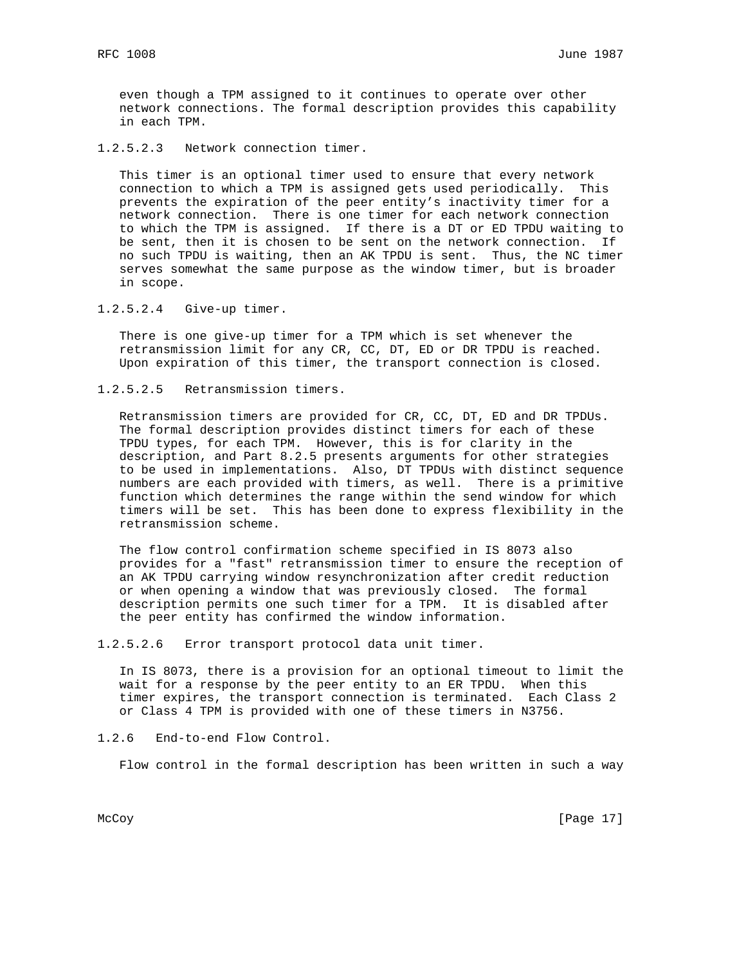even though a TPM assigned to it continues to operate over other network connections. The formal description provides this capability in each TPM.

1.2.5.2.3 Network connection timer.

 This timer is an optional timer used to ensure that every network connection to which a TPM is assigned gets used periodically. This prevents the expiration of the peer entity's inactivity timer for a network connection. There is one timer for each network connection to which the TPM is assigned. If there is a DT or ED TPDU waiting to be sent, then it is chosen to be sent on the network connection. If no such TPDU is waiting, then an AK TPDU is sent. Thus, the NC timer serves somewhat the same purpose as the window timer, but is broader in scope.

1.2.5.2.4 Give-up timer.

 There is one give-up timer for a TPM which is set whenever the retransmission limit for any CR, CC, DT, ED or DR TPDU is reached. Upon expiration of this timer, the transport connection is closed.

1.2.5.2.5 Retransmission timers.

 Retransmission timers are provided for CR, CC, DT, ED and DR TPDUs. The formal description provides distinct timers for each of these TPDU types, for each TPM. However, this is for clarity in the description, and Part 8.2.5 presents arguments for other strategies to be used in implementations. Also, DT TPDUs with distinct sequence numbers are each provided with timers, as well. There is a primitive function which determines the range within the send window for which timers will be set. This has been done to express flexibility in the retransmission scheme.

 The flow control confirmation scheme specified in IS 8073 also provides for a "fast" retransmission timer to ensure the reception of an AK TPDU carrying window resynchronization after credit reduction or when opening a window that was previously closed. The formal description permits one such timer for a TPM. It is disabled after the peer entity has confirmed the window information.

1.2.5.2.6 Error transport protocol data unit timer.

 In IS 8073, there is a provision for an optional timeout to limit the wait for a response by the peer entity to an ER TPDU. When this timer expires, the transport connection is terminated. Each Class 2 or Class 4 TPM is provided with one of these timers in N3756.

1.2.6 End-to-end Flow Control.

Flow control in the formal description has been written in such a way

McCoy [Page 17]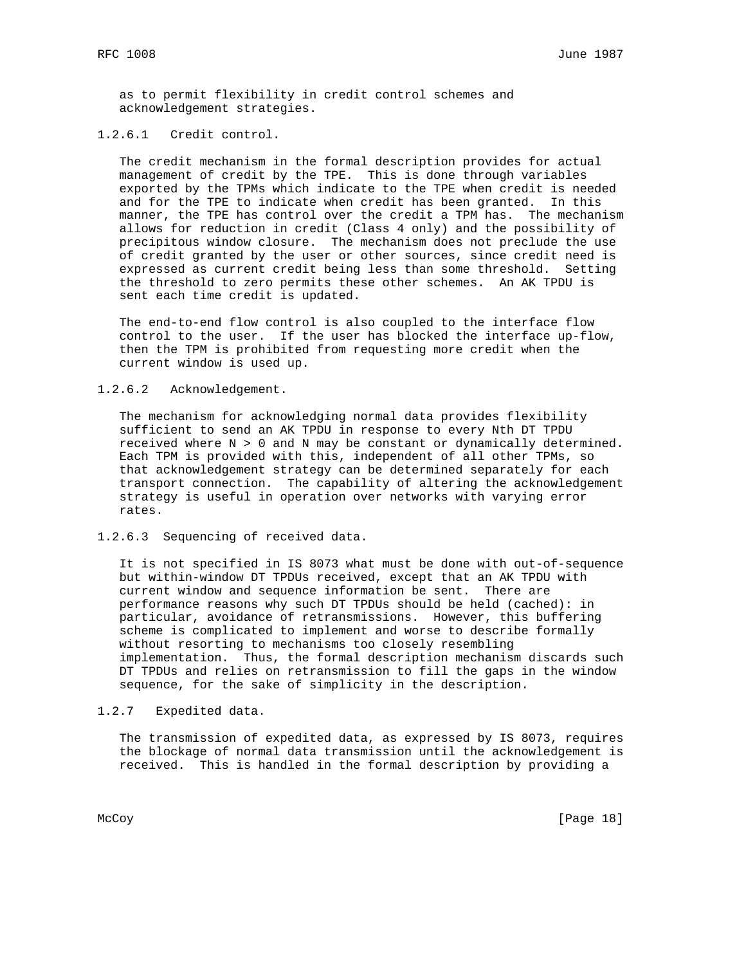as to permit flexibility in credit control schemes and acknowledgement strategies.

## 1.2.6.1 Credit control.

 The credit mechanism in the formal description provides for actual management of credit by the TPE. This is done through variables exported by the TPMs which indicate to the TPE when credit is needed and for the TPE to indicate when credit has been granted. In this manner, the TPE has control over the credit a TPM has. The mechanism allows for reduction in credit (Class 4 only) and the possibility of precipitous window closure. The mechanism does not preclude the use of credit granted by the user or other sources, since credit need is expressed as current credit being less than some threshold. Setting the threshold to zero permits these other schemes. An AK TPDU is sent each time credit is updated.

 The end-to-end flow control is also coupled to the interface flow control to the user. If the user has blocked the interface up-flow, then the TPM is prohibited from requesting more credit when the current window is used up.

### 1.2.6.2 Acknowledgement.

 The mechanism for acknowledging normal data provides flexibility sufficient to send an AK TPDU in response to every Nth DT TPDU received where N > 0 and N may be constant or dynamically determined. Each TPM is provided with this, independent of all other TPMs, so that acknowledgement strategy can be determined separately for each transport connection. The capability of altering the acknowledgement strategy is useful in operation over networks with varying error rates.

### 1.2.6.3 Sequencing of received data.

 It is not specified in IS 8073 what must be done with out-of-sequence but within-window DT TPDUs received, except that an AK TPDU with current window and sequence information be sent. There are performance reasons why such DT TPDUs should be held (cached): in particular, avoidance of retransmissions. However, this buffering scheme is complicated to implement and worse to describe formally without resorting to mechanisms too closely resembling implementation. Thus, the formal description mechanism discards such DT TPDUs and relies on retransmission to fill the gaps in the window sequence, for the sake of simplicity in the description.

1.2.7 Expedited data.

 The transmission of expedited data, as expressed by IS 8073, requires the blockage of normal data transmission until the acknowledgement is received. This is handled in the formal description by providing a

McCoy [Page 18]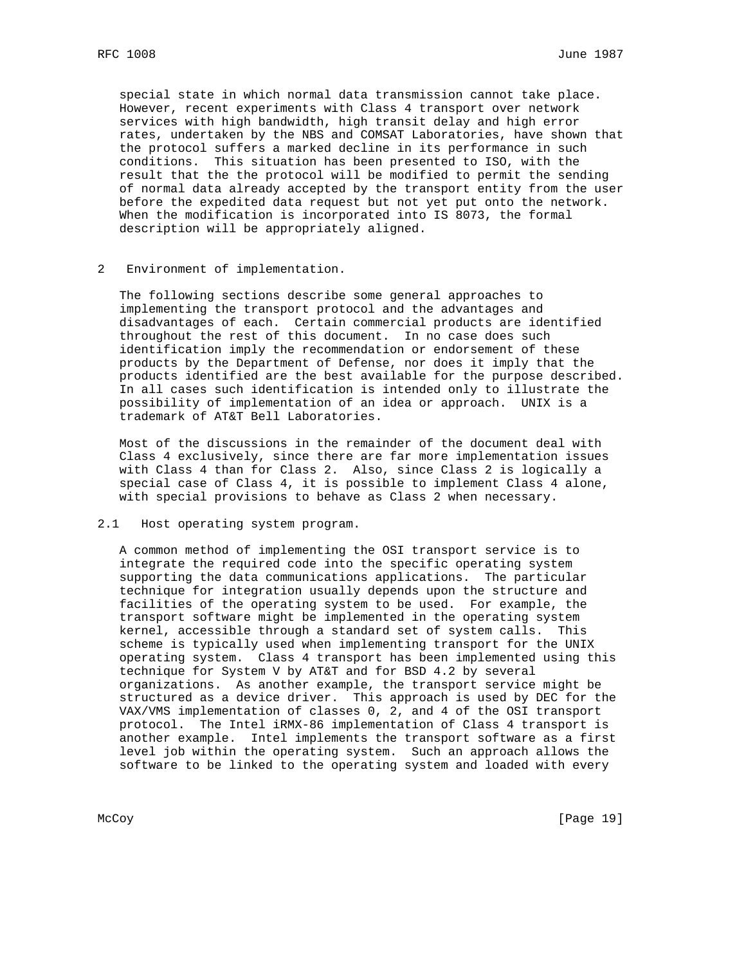special state in which normal data transmission cannot take place. However, recent experiments with Class 4 transport over network services with high bandwidth, high transit delay and high error rates, undertaken by the NBS and COMSAT Laboratories, have shown that the protocol suffers a marked decline in its performance in such conditions. This situation has been presented to ISO, with the result that the the protocol will be modified to permit the sending of normal data already accepted by the transport entity from the user before the expedited data request but not yet put onto the network. When the modification is incorporated into IS 8073, the formal description will be appropriately aligned.

2 Environment of implementation.

 The following sections describe some general approaches to implementing the transport protocol and the advantages and disadvantages of each. Certain commercial products are identified throughout the rest of this document. In no case does such identification imply the recommendation or endorsement of these products by the Department of Defense, nor does it imply that the products identified are the best available for the purpose described. In all cases such identification is intended only to illustrate the possibility of implementation of an idea or approach. UNIX is a trademark of AT&T Bell Laboratories.

 Most of the discussions in the remainder of the document deal with Class 4 exclusively, since there are far more implementation issues with Class 4 than for Class 2. Also, since Class 2 is logically a special case of Class 4, it is possible to implement Class 4 alone, with special provisions to behave as Class 2 when necessary.

2.1 Host operating system program.

 A common method of implementing the OSI transport service is to integrate the required code into the specific operating system supporting the data communications applications. The particular technique for integration usually depends upon the structure and facilities of the operating system to be used. For example, the transport software might be implemented in the operating system kernel, accessible through a standard set of system calls. This scheme is typically used when implementing transport for the UNIX operating system. Class 4 transport has been implemented using this technique for System V by AT&T and for BSD 4.2 by several organizations. As another example, the transport service might be structured as a device driver. This approach is used by DEC for the VAX/VMS implementation of classes 0, 2, and 4 of the OSI transport protocol. The Intel iRMX-86 implementation of Class 4 transport is another example. Intel implements the transport software as a first level job within the operating system. Such an approach allows the software to be linked to the operating system and loaded with every

McCoy [Page 19]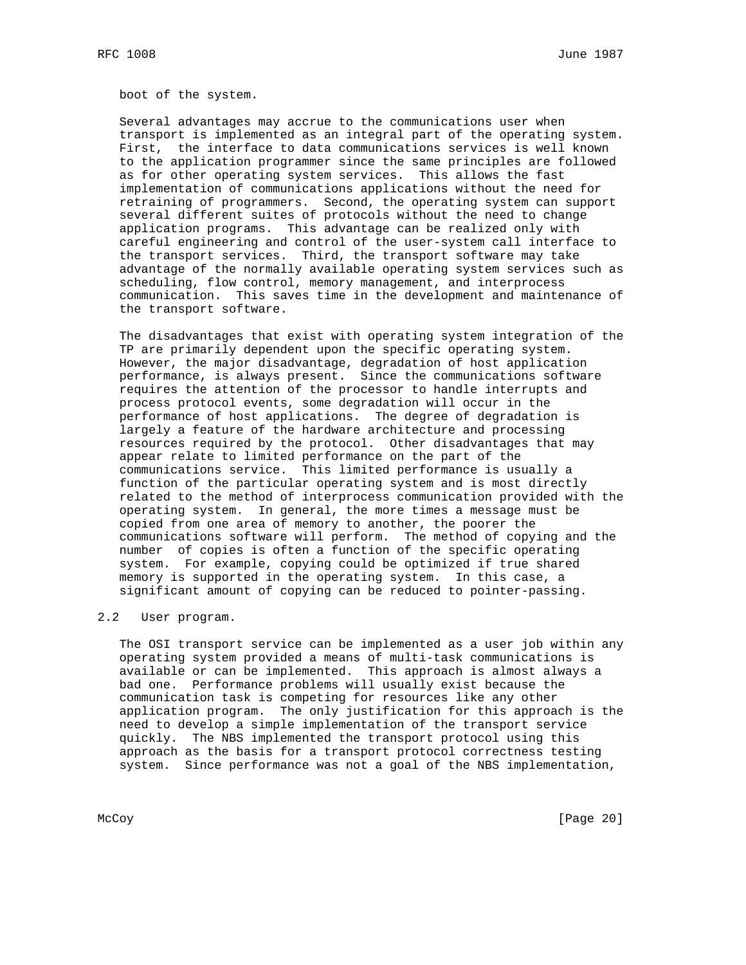boot of the system.

 Several advantages may accrue to the communications user when transport is implemented as an integral part of the operating system. First, the interface to data communications services is well known to the application programmer since the same principles are followed as for other operating system services. This allows the fast implementation of communications applications without the need for retraining of programmers. Second, the operating system can support several different suites of protocols without the need to change application programs. This advantage can be realized only with careful engineering and control of the user-system call interface to the transport services. Third, the transport software may take advantage of the normally available operating system services such as scheduling, flow control, memory management, and interprocess communication. This saves time in the development and maintenance of the transport software.

 The disadvantages that exist with operating system integration of the TP are primarily dependent upon the specific operating system. However, the major disadvantage, degradation of host application performance, is always present. Since the communications software requires the attention of the processor to handle interrupts and process protocol events, some degradation will occur in the performance of host applications. The degree of degradation is largely a feature of the hardware architecture and processing resources required by the protocol. Other disadvantages that may appear relate to limited performance on the part of the communications service. This limited performance is usually a function of the particular operating system and is most directly related to the method of interprocess communication provided with the operating system. In general, the more times a message must be copied from one area of memory to another, the poorer the communications software will perform. The method of copying and the number of copies is often a function of the specific operating system. For example, copying could be optimized if true shared memory is supported in the operating system. In this case, a significant amount of copying can be reduced to pointer-passing.

## 2.2 User program.

 The OSI transport service can be implemented as a user job within any operating system provided a means of multi-task communications is available or can be implemented. This approach is almost always a bad one. Performance problems will usually exist because the communication task is competing for resources like any other application program. The only justification for this approach is the need to develop a simple implementation of the transport service quickly. The NBS implemented the transport protocol using this approach as the basis for a transport protocol correctness testing system. Since performance was not a goal of the NBS implementation,

McCoy [Page 20]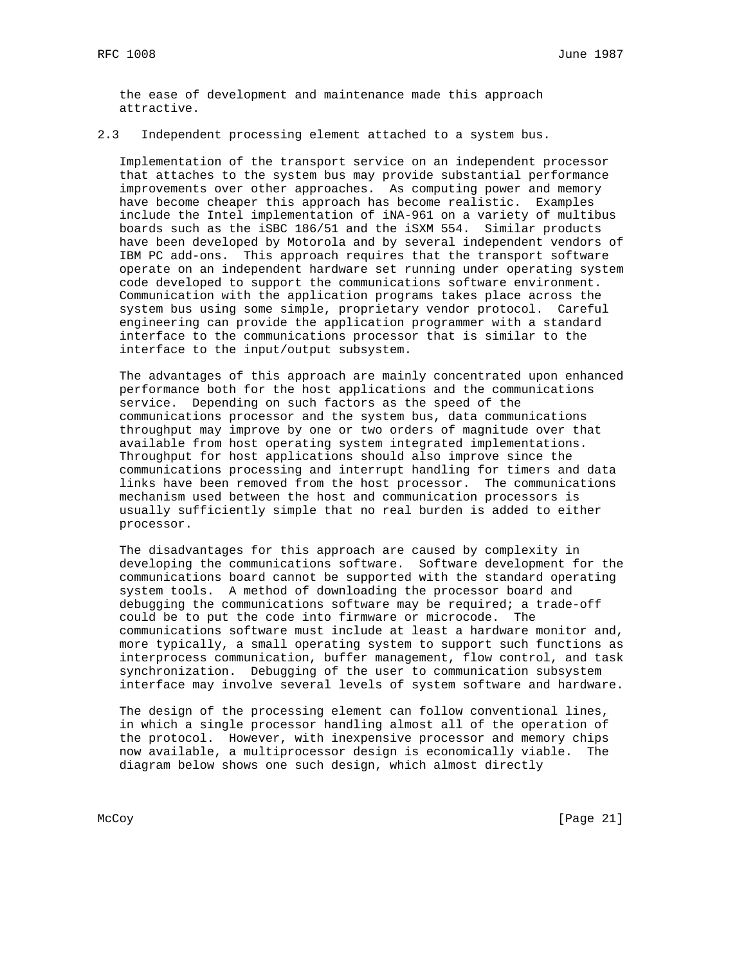the ease of development and maintenance made this approach attractive.

# 2.3 Independent processing element attached to a system bus.

 Implementation of the transport service on an independent processor that attaches to the system bus may provide substantial performance improvements over other approaches. As computing power and memory have become cheaper this approach has become realistic. Examples include the Intel implementation of iNA-961 on a variety of multibus boards such as the iSBC 186/51 and the iSXM 554. Similar products have been developed by Motorola and by several independent vendors of IBM PC add-ons. This approach requires that the transport software operate on an independent hardware set running under operating system code developed to support the communications software environment. Communication with the application programs takes place across the system bus using some simple, proprietary vendor protocol. Careful engineering can provide the application programmer with a standard interface to the communications processor that is similar to the interface to the input/output subsystem.

 The advantages of this approach are mainly concentrated upon enhanced performance both for the host applications and the communications service. Depending on such factors as the speed of the communications processor and the system bus, data communications throughput may improve by one or two orders of magnitude over that available from host operating system integrated implementations. Throughput for host applications should also improve since the communications processing and interrupt handling for timers and data links have been removed from the host processor. The communications mechanism used between the host and communication processors is usually sufficiently simple that no real burden is added to either processor.

 The disadvantages for this approach are caused by complexity in developing the communications software. Software development for the communications board cannot be supported with the standard operating system tools. A method of downloading the processor board and debugging the communications software may be required; a trade-off could be to put the code into firmware or microcode. The communications software must include at least a hardware monitor and, more typically, a small operating system to support such functions as interprocess communication, buffer management, flow control, and task synchronization. Debugging of the user to communication subsystem interface may involve several levels of system software and hardware.

 The design of the processing element can follow conventional lines, in which a single processor handling almost all of the operation of the protocol. However, with inexpensive processor and memory chips now available, a multiprocessor design is economically viable. The diagram below shows one such design, which almost directly

McCoy [Page 21]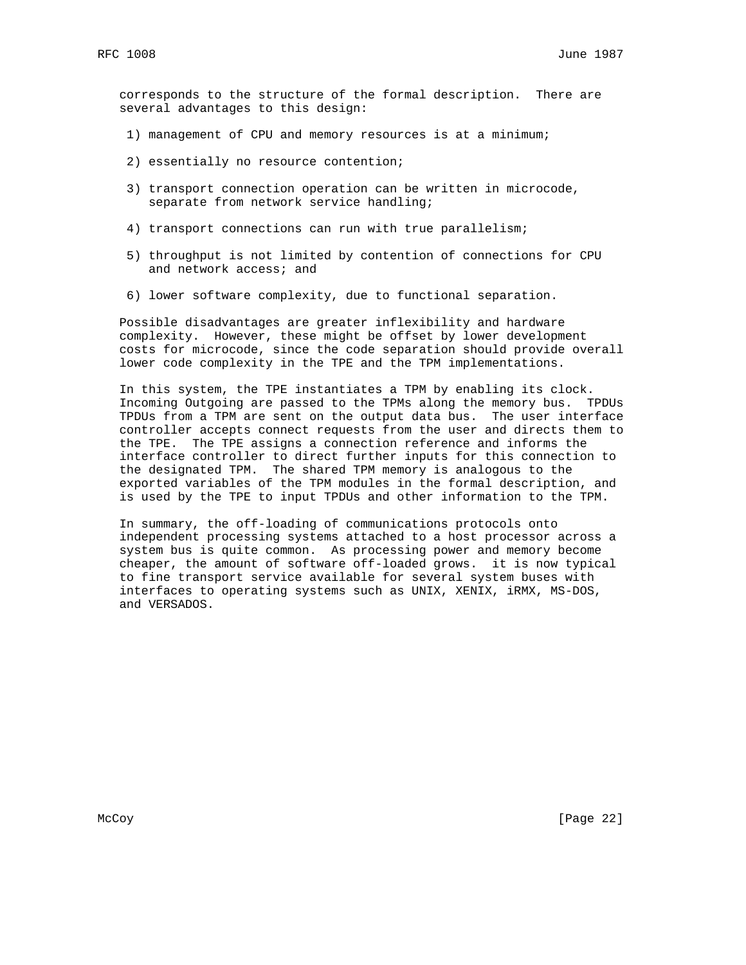corresponds to the structure of the formal description. There are several advantages to this design:

- 1) management of CPU and memory resources is at a minimum;
- 2) essentially no resource contention;
- 3) transport connection operation can be written in microcode, separate from network service handling;
- 4) transport connections can run with true parallelism;
- 5) throughput is not limited by contention of connections for CPU and network access; and
- 6) lower software complexity, due to functional separation.

 Possible disadvantages are greater inflexibility and hardware complexity. However, these might be offset by lower development costs for microcode, since the code separation should provide overall lower code complexity in the TPE and the TPM implementations.

 In this system, the TPE instantiates a TPM by enabling its clock. Incoming Outgoing are passed to the TPMs along the memory bus. TPDUs TPDUs from a TPM are sent on the output data bus. The user interface controller accepts connect requests from the user and directs them to the TPE. The TPE assigns a connection reference and informs the interface controller to direct further inputs for this connection to the designated TPM. The shared TPM memory is analogous to the exported variables of the TPM modules in the formal description, and is used by the TPE to input TPDUs and other information to the TPM.

 In summary, the off-loading of communications protocols onto independent processing systems attached to a host processor across a system bus is quite common. As processing power and memory become cheaper, the amount of software off-loaded grows. it is now typical to fine transport service available for several system buses with interfaces to operating systems such as UNIX, XENIX, iRMX, MS-DOS, and VERSADOS.

McCoy [Page 22]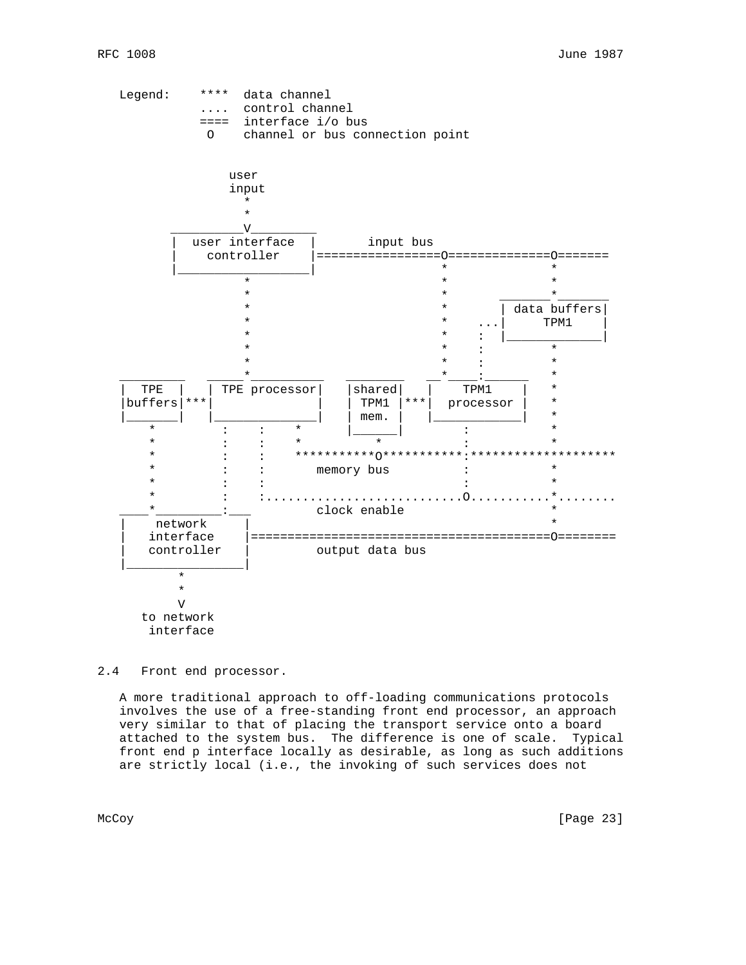

2.4 Front end processor.

 A more traditional approach to off-loading communications protocols involves the use of a free-standing front end processor, an approach very similar to that of placing the transport service onto a board attached to the system bus. The difference is one of scale. Typical front end p interface locally as desirable, as long as such additions are strictly local (i.e., the invoking of such services does not

McCoy [Page 23]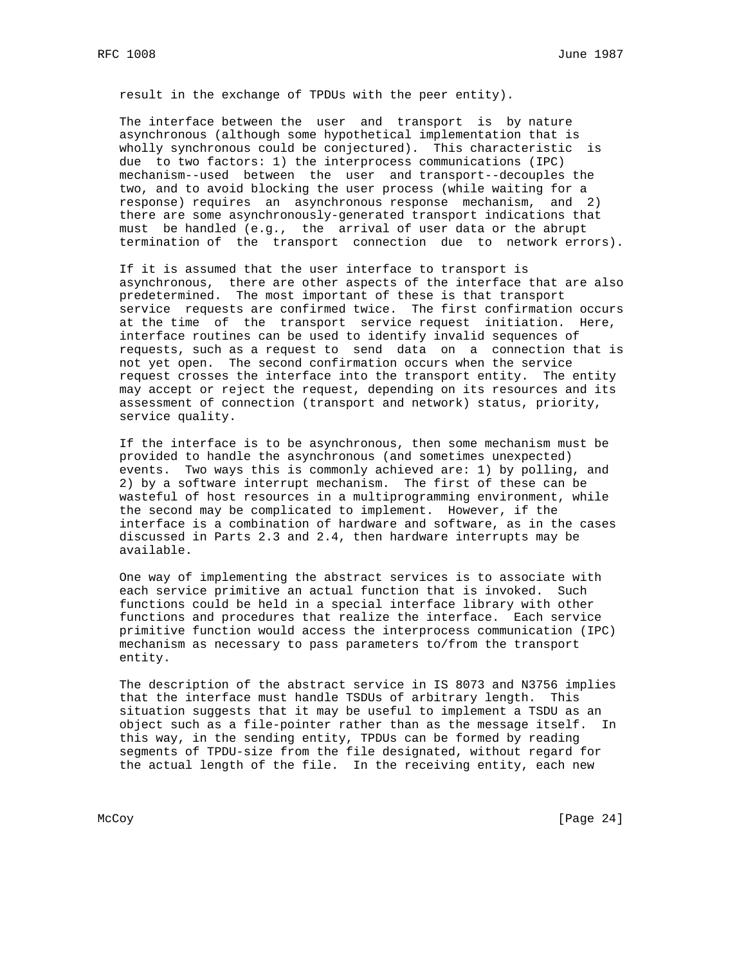result in the exchange of TPDUs with the peer entity).

 The interface between the user and transport is by nature asynchronous (although some hypothetical implementation that is wholly synchronous could be conjectured). This characteristic is due to two factors: 1) the interprocess communications (IPC) mechanism--used between the user and transport--decouples the two, and to avoid blocking the user process (while waiting for a response) requires an asynchronous response mechanism, and 2) there are some asynchronously-generated transport indications that must be handled (e.g., the arrival of user data or the abrupt termination of the transport connection due to network errors).

 If it is assumed that the user interface to transport is asynchronous, there are other aspects of the interface that are also predetermined. The most important of these is that transport service requests are confirmed twice. The first confirmation occurs at the time of the transport service request initiation. Here, interface routines can be used to identify invalid sequences of requests, such as a request to send data on a connection that is not yet open. The second confirmation occurs when the service request crosses the interface into the transport entity. The entity may accept or reject the request, depending on its resources and its assessment of connection (transport and network) status, priority, service quality.

 If the interface is to be asynchronous, then some mechanism must be provided to handle the asynchronous (and sometimes unexpected) events. Two ways this is commonly achieved are: 1) by polling, and 2) by a software interrupt mechanism. The first of these can be wasteful of host resources in a multiprogramming environment, while the second may be complicated to implement. However, if the interface is a combination of hardware and software, as in the cases discussed in Parts 2.3 and 2.4, then hardware interrupts may be available.

 One way of implementing the abstract services is to associate with each service primitive an actual function that is invoked. Such functions could be held in a special interface library with other functions and procedures that realize the interface. Each service primitive function would access the interprocess communication (IPC) mechanism as necessary to pass parameters to/from the transport entity.

 The description of the abstract service in IS 8073 and N3756 implies that the interface must handle TSDUs of arbitrary length. This situation suggests that it may be useful to implement a TSDU as an object such as a file-pointer rather than as the message itself. In this way, in the sending entity, TPDUs can be formed by reading segments of TPDU-size from the file designated, without regard for the actual length of the file. In the receiving entity, each new

McCoy [Page 24]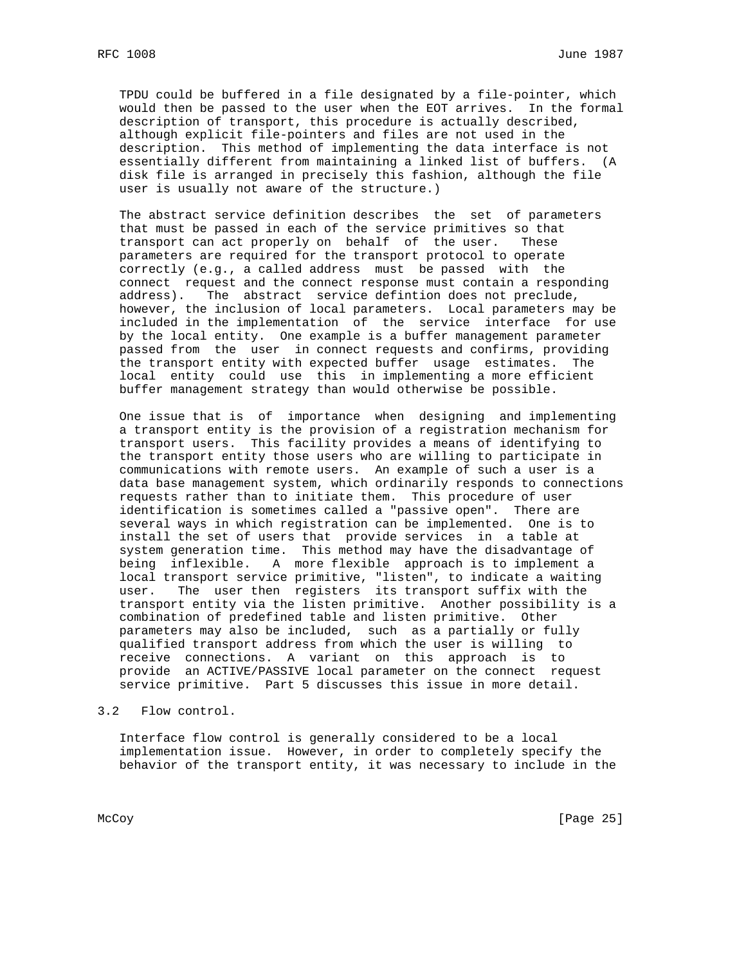TPDU could be buffered in a file designated by a file-pointer, which would then be passed to the user when the EOT arrives. In the formal description of transport, this procedure is actually described, although explicit file-pointers and files are not used in the description. This method of implementing the data interface is not essentially different from maintaining a linked list of buffers. (A disk file is arranged in precisely this fashion, although the file user is usually not aware of the structure.)

 The abstract service definition describes the set of parameters that must be passed in each of the service primitives so that transport can act properly on behalf of the user. These parameters are required for the transport protocol to operate correctly (e.g., a called address must be passed with the connect request and the connect response must contain a responding address). The abstract service defintion does not preclude, however, the inclusion of local parameters. Local parameters may be included in the implementation of the service interface for use by the local entity. One example is a buffer management parameter passed from the user in connect requests and confirms, providing the transport entity with expected buffer usage estimates. The local entity could use this in implementing a more efficient buffer management strategy than would otherwise be possible.

 One issue that is of importance when designing and implementing a transport entity is the provision of a registration mechanism for transport users. This facility provides a means of identifying to the transport entity those users who are willing to participate in communications with remote users. An example of such a user is a data base management system, which ordinarily responds to connections requests rather than to initiate them. This procedure of user identification is sometimes called a "passive open". There are several ways in which registration can be implemented. One is to install the set of users that provide services in a table at system generation time. This method may have the disadvantage of being inflexible. A more flexible approach is to implement a local transport service primitive, "listen", to indicate a waiting user. The user then registers its transport suffix with the transport entity via the listen primitive. Another possibility is a combination of predefined table and listen primitive. Other parameters may also be included, such as a partially or fully qualified transport address from which the user is willing to receive connections. A variant on this approach is to provide an ACTIVE/PASSIVE local parameter on the connect request service primitive. Part 5 discusses this issue in more detail.

3.2 Flow control.

 Interface flow control is generally considered to be a local implementation issue. However, in order to completely specify the behavior of the transport entity, it was necessary to include in the

McCoy [Page 25]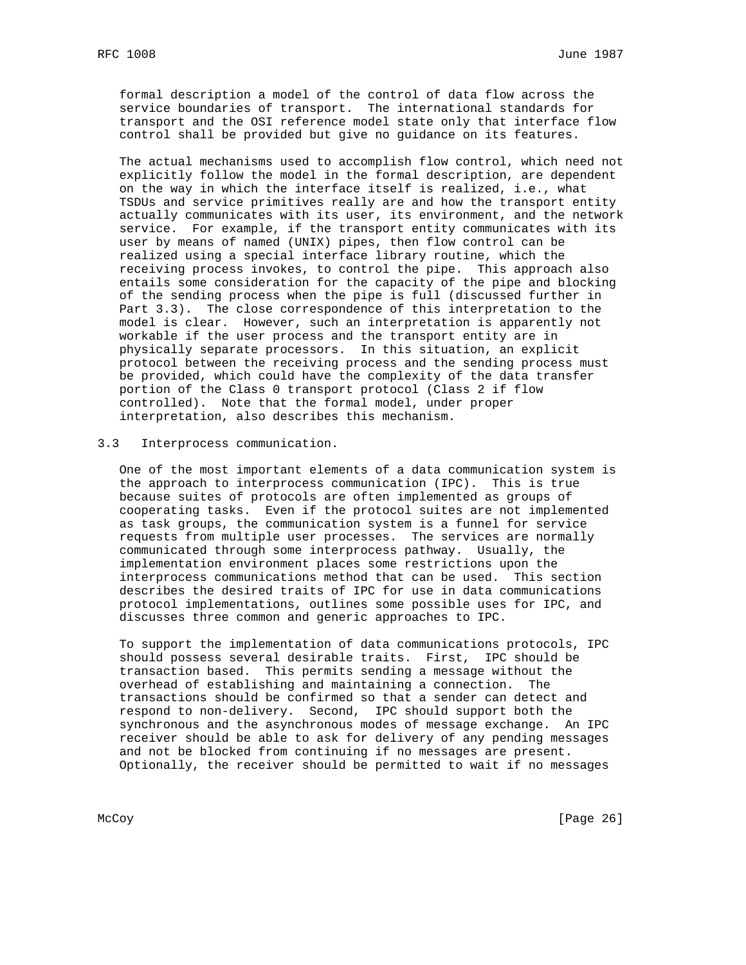formal description a model of the control of data flow across the service boundaries of transport. The international standards for transport and the OSI reference model state only that interface flow control shall be provided but give no guidance on its features.

 The actual mechanisms used to accomplish flow control, which need not explicitly follow the model in the formal description, are dependent on the way in which the interface itself is realized, i.e., what TSDUs and service primitives really are and how the transport entity actually communicates with its user, its environment, and the network service. For example, if the transport entity communicates with its user by means of named (UNIX) pipes, then flow control can be realized using a special interface library routine, which the receiving process invokes, to control the pipe. This approach also entails some consideration for the capacity of the pipe and blocking of the sending process when the pipe is full (discussed further in Part 3.3). The close correspondence of this interpretation to the model is clear. However, such an interpretation is apparently not workable if the user process and the transport entity are in physically separate processors. In this situation, an explicit protocol between the receiving process and the sending process must be provided, which could have the complexity of the data transfer portion of the Class 0 transport protocol (Class 2 if flow controlled). Note that the formal model, under proper interpretation, also describes this mechanism.

#### 3.3 Interprocess communication.

 One of the most important elements of a data communication system is the approach to interprocess communication (IPC). This is true because suites of protocols are often implemented as groups of cooperating tasks. Even if the protocol suites are not implemented as task groups, the communication system is a funnel for service requests from multiple user processes. The services are normally communicated through some interprocess pathway. Usually, the implementation environment places some restrictions upon the interprocess communications method that can be used. This section describes the desired traits of IPC for use in data communications protocol implementations, outlines some possible uses for IPC, and discusses three common and generic approaches to IPC.

 To support the implementation of data communications protocols, IPC should possess several desirable traits. First, IPC should be transaction based. This permits sending a message without the overhead of establishing and maintaining a connection. The transactions should be confirmed so that a sender can detect and respond to non-delivery. Second, IPC should support both the synchronous and the asynchronous modes of message exchange. An IPC receiver should be able to ask for delivery of any pending messages and not be blocked from continuing if no messages are present. Optionally, the receiver should be permitted to wait if no messages

McCoy [Page 26]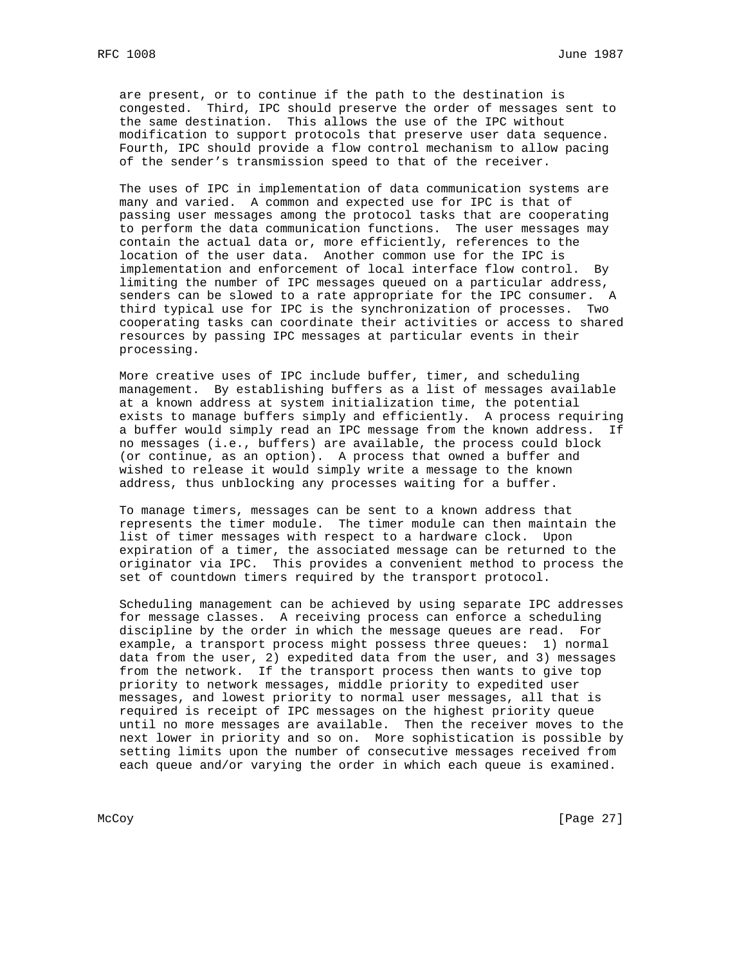are present, or to continue if the path to the destination is congested. Third, IPC should preserve the order of messages sent to the same destination. This allows the use of the IPC without modification to support protocols that preserve user data sequence. Fourth, IPC should provide a flow control mechanism to allow pacing of the sender's transmission speed to that of the receiver.

 The uses of IPC in implementation of data communication systems are many and varied. A common and expected use for IPC is that of passing user messages among the protocol tasks that are cooperating to perform the data communication functions. The user messages may contain the actual data or, more efficiently, references to the location of the user data. Another common use for the IPC is implementation and enforcement of local interface flow control. By limiting the number of IPC messages queued on a particular address, senders can be slowed to a rate appropriate for the IPC consumer. A third typical use for IPC is the synchronization of processes. Two cooperating tasks can coordinate their activities or access to shared resources by passing IPC messages at particular events in their processing.

 More creative uses of IPC include buffer, timer, and scheduling management. By establishing buffers as a list of messages available at a known address at system initialization time, the potential exists to manage buffers simply and efficiently. A process requiring a buffer would simply read an IPC message from the known address. If no messages (i.e., buffers) are available, the process could block (or continue, as an option). A process that owned a buffer and wished to release it would simply write a message to the known address, thus unblocking any processes waiting for a buffer.

 To manage timers, messages can be sent to a known address that represents the timer module. The timer module can then maintain the list of timer messages with respect to a hardware clock. Upon expiration of a timer, the associated message can be returned to the originator via IPC. This provides a convenient method to process the set of countdown timers required by the transport protocol.

 Scheduling management can be achieved by using separate IPC addresses for message classes. A receiving process can enforce a scheduling discipline by the order in which the message queues are read. For example, a transport process might possess three queues: 1) normal data from the user, 2) expedited data from the user, and 3) messages from the network. If the transport process then wants to give top priority to network messages, middle priority to expedited user messages, and lowest priority to normal user messages, all that is required is receipt of IPC messages on the highest priority queue until no more messages are available. Then the receiver moves to the next lower in priority and so on. More sophistication is possible by setting limits upon the number of consecutive messages received from each queue and/or varying the order in which each queue is examined.

McCoy [Page 27]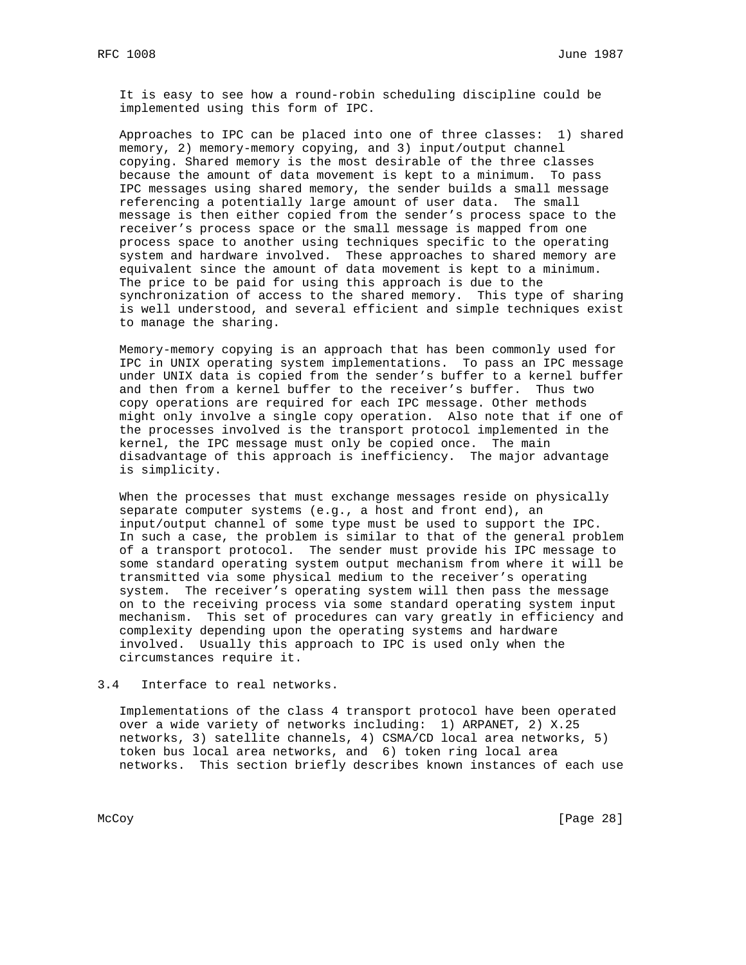It is easy to see how a round-robin scheduling discipline could be implemented using this form of IPC.

 Approaches to IPC can be placed into one of three classes: 1) shared memory, 2) memory-memory copying, and 3) input/output channel copying. Shared memory is the most desirable of the three classes because the amount of data movement is kept to a minimum. To pass IPC messages using shared memory, the sender builds a small message referencing a potentially large amount of user data. The small message is then either copied from the sender's process space to the receiver's process space or the small message is mapped from one process space to another using techniques specific to the operating system and hardware involved. These approaches to shared memory are equivalent since the amount of data movement is kept to a minimum. The price to be paid for using this approach is due to the synchronization of access to the shared memory. This type of sharing is well understood, and several efficient and simple techniques exist to manage the sharing.

 Memory-memory copying is an approach that has been commonly used for IPC in UNIX operating system implementations. To pass an IPC message under UNIX data is copied from the sender's buffer to a kernel buffer and then from a kernel buffer to the receiver's buffer. Thus two copy operations are required for each IPC message. Other methods might only involve a single copy operation. Also note that if one of the processes involved is the transport protocol implemented in the kernel, the IPC message must only be copied once. The main disadvantage of this approach is inefficiency. The major advantage is simplicity.

 When the processes that must exchange messages reside on physically separate computer systems (e.g., a host and front end), an input/output channel of some type must be used to support the IPC. In such a case, the problem is similar to that of the general problem of a transport protocol. The sender must provide his IPC message to some standard operating system output mechanism from where it will be transmitted via some physical medium to the receiver's operating system. The receiver's operating system will then pass the message on to the receiving process via some standard operating system input mechanism. This set of procedures can vary greatly in efficiency and complexity depending upon the operating systems and hardware involved. Usually this approach to IPC is used only when the circumstances require it.

#### 3.4 Interface to real networks.

 Implementations of the class 4 transport protocol have been operated over a wide variety of networks including: 1) ARPANET, 2) X.25 networks, 3) satellite channels, 4) CSMA/CD local area networks, 5) token bus local area networks, and 6) token ring local area networks. This section briefly describes known instances of each use

McCoy [Page 28]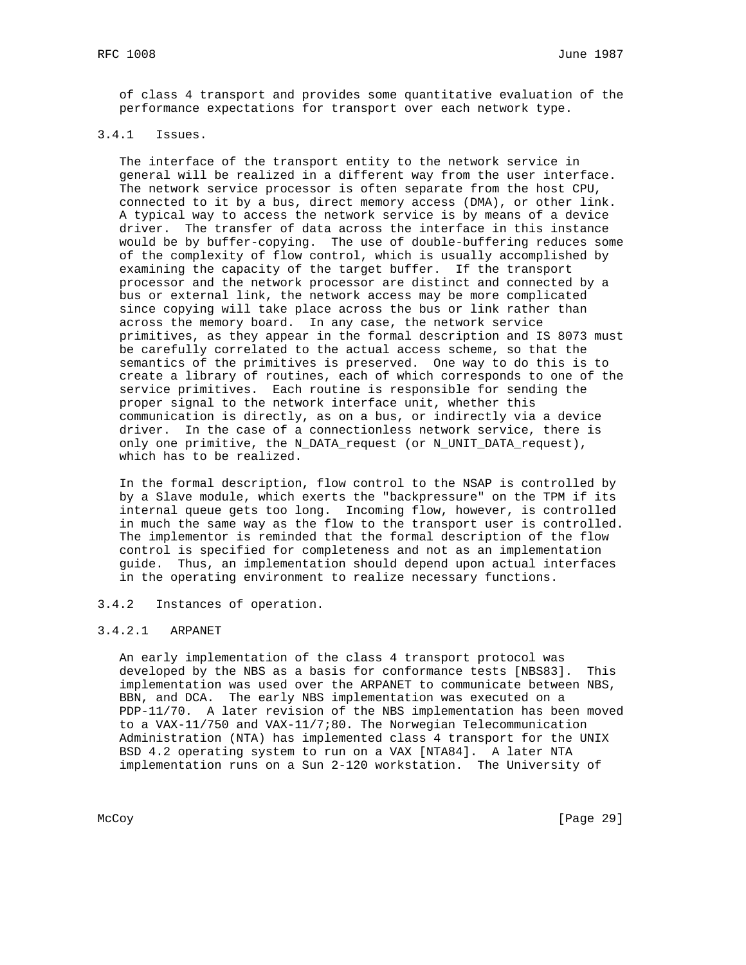of class 4 transport and provides some quantitative evaluation of the performance expectations for transport over each network type.

# 3.4.1 Issues.

 The interface of the transport entity to the network service in general will be realized in a different way from the user interface. The network service processor is often separate from the host CPU, connected to it by a bus, direct memory access (DMA), or other link. A typical way to access the network service is by means of a device driver. The transfer of data across the interface in this instance would be by buffer-copying. The use of double-buffering reduces some of the complexity of flow control, which is usually accomplished by examining the capacity of the target buffer. If the transport processor and the network processor are distinct and connected by a bus or external link, the network access may be more complicated since copying will take place across the bus or link rather than across the memory board. In any case, the network service primitives, as they appear in the formal description and IS 8073 must be carefully correlated to the actual access scheme, so that the semantics of the primitives is preserved. One way to do this is to create a library of routines, each of which corresponds to one of the service primitives. Each routine is responsible for sending the proper signal to the network interface unit, whether this communication is directly, as on a bus, or indirectly via a device driver. In the case of a connectionless network service, there is only one primitive, the N\_DATA\_request (or N\_UNIT\_DATA\_request), which has to be realized.

 In the formal description, flow control to the NSAP is controlled by by a Slave module, which exerts the "backpressure" on the TPM if its internal queue gets too long. Incoming flow, however, is controlled in much the same way as the flow to the transport user is controlled. The implementor is reminded that the formal description of the flow control is specified for completeness and not as an implementation guide. Thus, an implementation should depend upon actual interfaces in the operating environment to realize necessary functions.

### 3.4.2 Instances of operation.

### 3.4.2.1 ARPANET

 An early implementation of the class 4 transport protocol was developed by the NBS as a basis for conformance tests [NBS83]. This implementation was used over the ARPANET to communicate between NBS, BBN, and DCA. The early NBS implementation was executed on a PDP-11/70. A later revision of the NBS implementation has been moved to a VAX-11/750 and VAX-11/7;80. The Norwegian Telecommunication Administration (NTA) has implemented class 4 transport for the UNIX BSD 4.2 operating system to run on a VAX [NTA84]. A later NTA implementation runs on a Sun 2-120 workstation. The University of

McCoy [Page 29]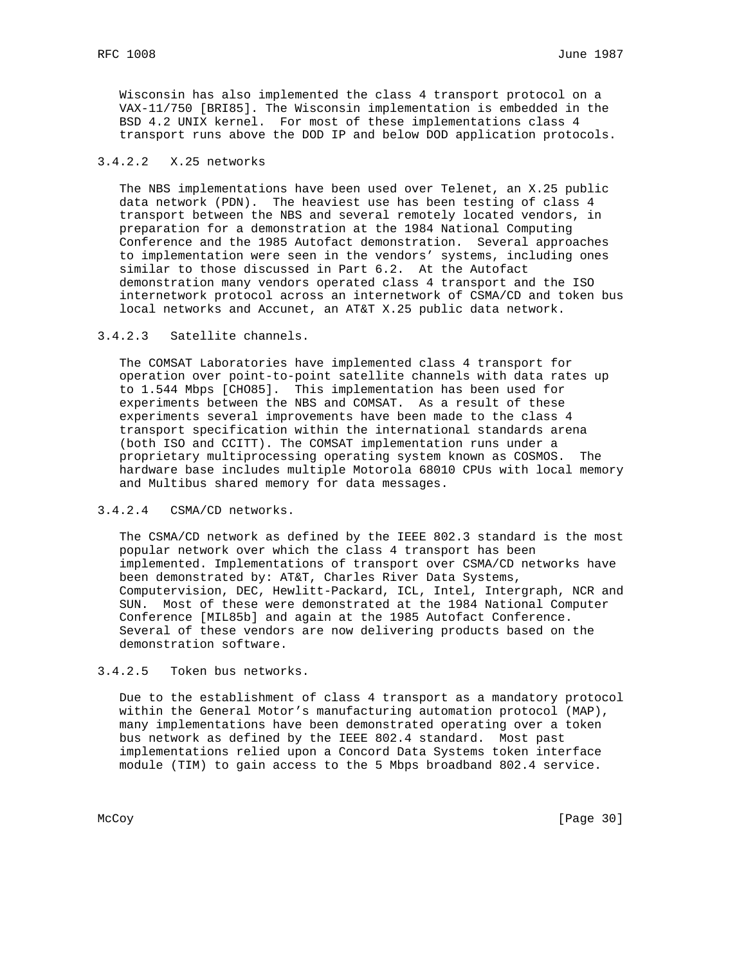Wisconsin has also implemented the class 4 transport protocol on a VAX-11/750 [BRI85]. The Wisconsin implementation is embedded in the BSD 4.2 UNIX kernel. For most of these implementations class 4 transport runs above the DOD IP and below DOD application protocols.

# 3.4.2.2 X.25 networks

 The NBS implementations have been used over Telenet, an X.25 public data network (PDN). The heaviest use has been testing of class 4 transport between the NBS and several remotely located vendors, in preparation for a demonstration at the 1984 National Computing Conference and the 1985 Autofact demonstration. Several approaches to implementation were seen in the vendors' systems, including ones similar to those discussed in Part 6.2. At the Autofact demonstration many vendors operated class 4 transport and the ISO internetwork protocol across an internetwork of CSMA/CD and token bus local networks and Accunet, an AT&T X.25 public data network.

### 3.4.2.3 Satellite channels.

 The COMSAT Laboratories have implemented class 4 transport for operation over point-to-point satellite channels with data rates up to 1.544 Mbps [CHO85]. This implementation has been used for experiments between the NBS and COMSAT. As a result of these experiments several improvements have been made to the class 4 transport specification within the international standards arena (both ISO and CCITT). The COMSAT implementation runs under a proprietary multiprocessing operating system known as COSMOS. The hardware base includes multiple Motorola 68010 CPUs with local memory and Multibus shared memory for data messages.

### 3.4.2.4 CSMA/CD networks.

 The CSMA/CD network as defined by the IEEE 802.3 standard is the most popular network over which the class 4 transport has been implemented. Implementations of transport over CSMA/CD networks have been demonstrated by: AT&T, Charles River Data Systems, Computervision, DEC, Hewlitt-Packard, ICL, Intel, Intergraph, NCR and SUN. Most of these were demonstrated at the 1984 National Computer Conference [MIL85b] and again at the 1985 Autofact Conference. Several of these vendors are now delivering products based on the demonstration software.

# 3.4.2.5 Token bus networks.

 Due to the establishment of class 4 transport as a mandatory protocol within the General Motor's manufacturing automation protocol (MAP), many implementations have been demonstrated operating over a token bus network as defined by the IEEE 802.4 standard. Most past implementations relied upon a Concord Data Systems token interface module (TIM) to gain access to the 5 Mbps broadband 802.4 service.

McCoy [Page 30]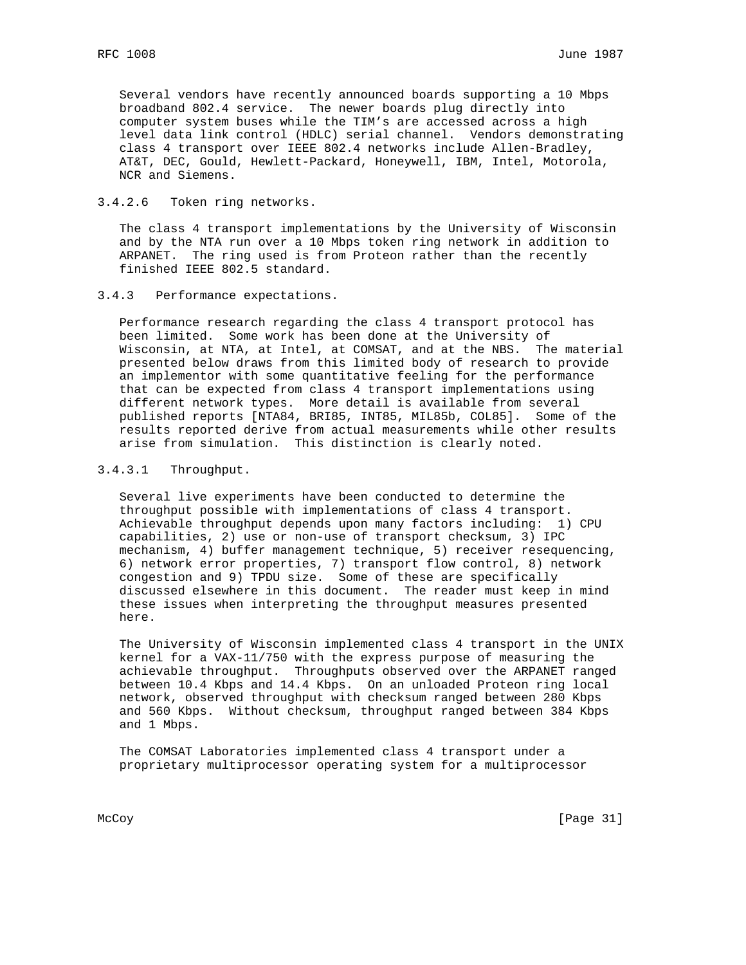Several vendors have recently announced boards supporting a 10 Mbps broadband 802.4 service. The newer boards plug directly into computer system buses while the TIM's are accessed across a high level data link control (HDLC) serial channel. Vendors demonstrating class 4 transport over IEEE 802.4 networks include Allen-Bradley, AT&T, DEC, Gould, Hewlett-Packard, Honeywell, IBM, Intel, Motorola, NCR and Siemens.

# 3.4.2.6 Token ring networks.

 The class 4 transport implementations by the University of Wisconsin and by the NTA run over a 10 Mbps token ring network in addition to ARPANET. The ring used is from Proteon rather than the recently finished IEEE 802.5 standard.

### 3.4.3 Performance expectations.

 Performance research regarding the class 4 transport protocol has been limited. Some work has been done at the University of Wisconsin, at NTA, at Intel, at COMSAT, and at the NBS. The material presented below draws from this limited body of research to provide an implementor with some quantitative feeling for the performance that can be expected from class 4 transport implementations using different network types. More detail is available from several published reports [NTA84, BRI85, INT85, MIL85b, COL85]. Some of the results reported derive from actual measurements while other results arise from simulation. This distinction is clearly noted.

# 3.4.3.1 Throughput.

 Several live experiments have been conducted to determine the throughput possible with implementations of class 4 transport. Achievable throughput depends upon many factors including: 1) CPU capabilities, 2) use or non-use of transport checksum, 3) IPC mechanism, 4) buffer management technique, 5) receiver resequencing, 6) network error properties, 7) transport flow control, 8) network congestion and 9) TPDU size. Some of these are specifically discussed elsewhere in this document. The reader must keep in mind these issues when interpreting the throughput measures presented here.

 The University of Wisconsin implemented class 4 transport in the UNIX kernel for a VAX-11/750 with the express purpose of measuring the achievable throughput. Throughputs observed over the ARPANET ranged between 10.4 Kbps and 14.4 Kbps. On an unloaded Proteon ring local network, observed throughput with checksum ranged between 280 Kbps and 560 Kbps. Without checksum, throughput ranged between 384 Kbps and 1 Mbps.

 The COMSAT Laboratories implemented class 4 transport under a proprietary multiprocessor operating system for a multiprocessor

McCoy [Page 31]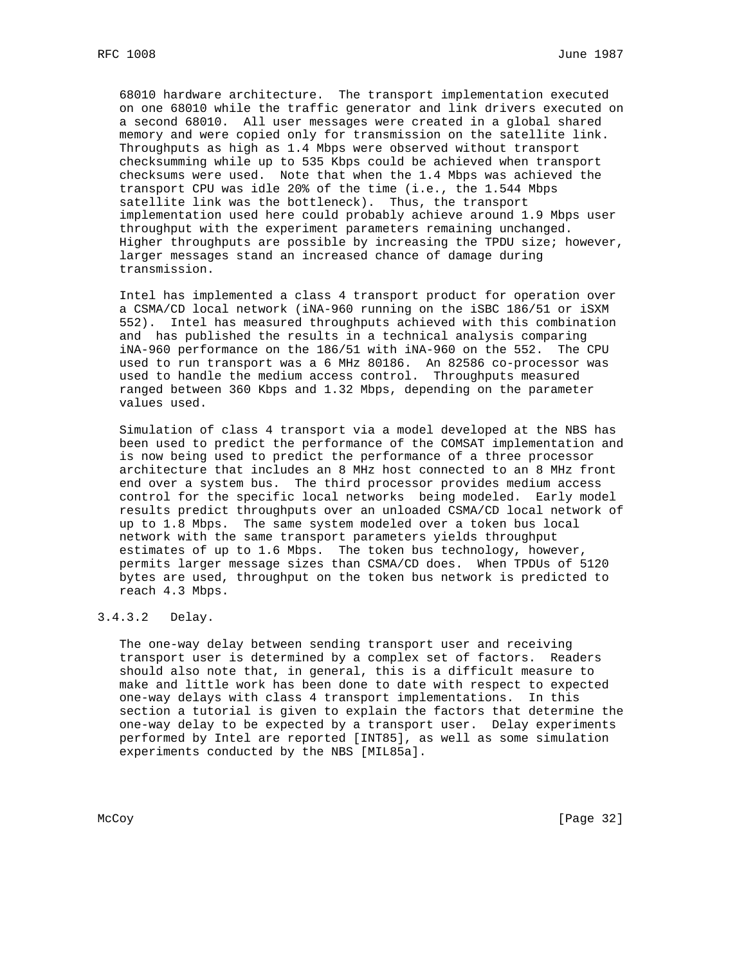68010 hardware architecture. The transport implementation executed on one 68010 while the traffic generator and link drivers executed on a second 68010. All user messages were created in a global shared memory and were copied only for transmission on the satellite link. Throughputs as high as 1.4 Mbps were observed without transport checksumming while up to 535 Kbps could be achieved when transport checksums were used. Note that when the 1.4 Mbps was achieved the transport CPU was idle 20% of the time (i.e., the 1.544 Mbps satellite link was the bottleneck). Thus, the transport implementation used here could probably achieve around 1.9 Mbps user throughput with the experiment parameters remaining unchanged. Higher throughputs are possible by increasing the TPDU size; however, larger messages stand an increased chance of damage during transmission.

 Intel has implemented a class 4 transport product for operation over a CSMA/CD local network (iNA-960 running on the iSBC 186/51 or iSXM 552). Intel has measured throughputs achieved with this combination and has published the results in a technical analysis comparing iNA-960 performance on the 186/51 with iNA-960 on the 552. The CPU used to run transport was a 6 MHz 80186. An 82586 co-processor was used to handle the medium access control. Throughputs measured ranged between 360 Kbps and 1.32 Mbps, depending on the parameter values used.

 Simulation of class 4 transport via a model developed at the NBS has been used to predict the performance of the COMSAT implementation and is now being used to predict the performance of a three processor architecture that includes an 8 MHz host connected to an 8 MHz front end over a system bus. The third processor provides medium access control for the specific local networks being modeled. Early model results predict throughputs over an unloaded CSMA/CD local network of up to 1.8 Mbps. The same system modeled over a token bus local network with the same transport parameters yields throughput estimates of up to 1.6 Mbps. The token bus technology, however, permits larger message sizes than CSMA/CD does. When TPDUs of 5120 bytes are used, throughput on the token bus network is predicted to reach 4.3 Mbps.

## 3.4.3.2 Delay.

 The one-way delay between sending transport user and receiving transport user is determined by a complex set of factors. Readers should also note that, in general, this is a difficult measure to make and little work has been done to date with respect to expected one-way delays with class 4 transport implementations. In this section a tutorial is given to explain the factors that determine the one-way delay to be expected by a transport user. Delay experiments performed by Intel are reported [INT85], as well as some simulation experiments conducted by the NBS [MIL85a].

McCoy [Page 32]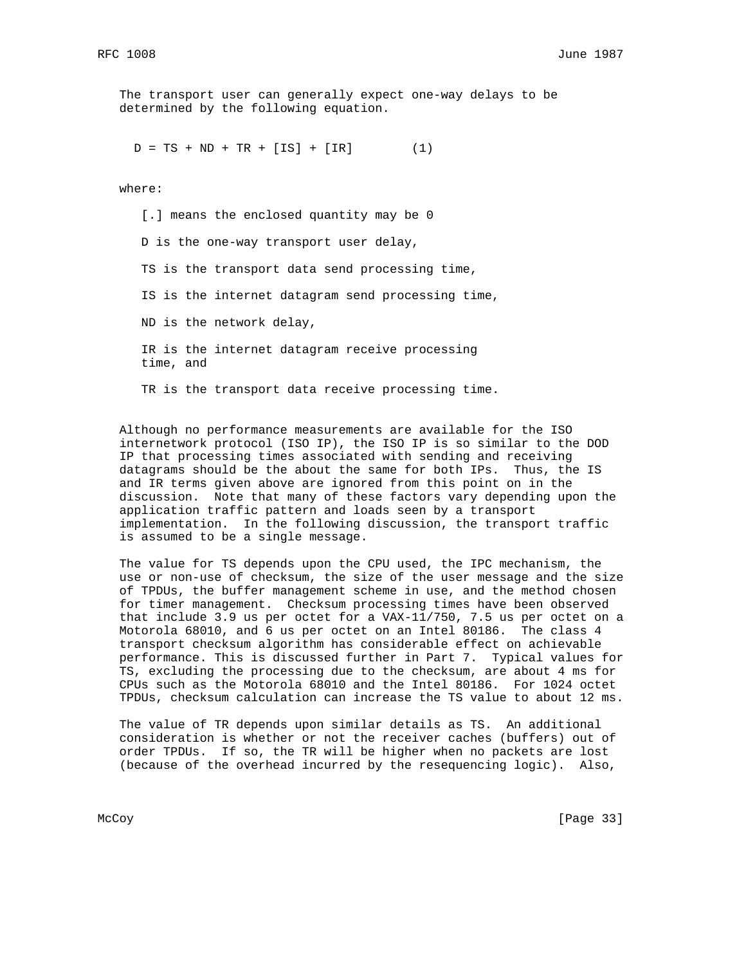The transport user can generally expect one-way delays to be determined by the following equation.

 $D = TS + ND + TR + [IS] + [IR]$  (1)

where:

[.] means the enclosed quantity may be 0 D is the one-way transport user delay, TS is the transport data send processing time, IS is the internet datagram send processing time, ND is the network delay, IR is the internet datagram receive processing time, and TR is the transport data receive processing time.

 Although no performance measurements are available for the ISO internetwork protocol (ISO IP), the ISO IP is so similar to the DOD IP that processing times associated with sending and receiving datagrams should be the about the same for both IPs. Thus, the IS and IR terms given above are ignored from this point on in the discussion. Note that many of these factors vary depending upon the application traffic pattern and loads seen by a transport implementation. In the following discussion, the transport traffic is assumed to be a single message.

 The value for TS depends upon the CPU used, the IPC mechanism, the use or non-use of checksum, the size of the user message and the size of TPDUs, the buffer management scheme in use, and the method chosen for timer management. Checksum processing times have been observed that include 3.9 us per octet for a VAX-11/750, 7.5 us per octet on a Motorola 68010, and 6 us per octet on an Intel 80186. The class 4 transport checksum algorithm has considerable effect on achievable performance. This is discussed further in Part 7. Typical values for TS, excluding the processing due to the checksum, are about 4 ms for CPUs such as the Motorola 68010 and the Intel 80186. For 1024 octet TPDUs, checksum calculation can increase the TS value to about 12 ms.

 The value of TR depends upon similar details as TS. An additional consideration is whether or not the receiver caches (buffers) out of order TPDUs. If so, the TR will be higher when no packets are lost (because of the overhead incurred by the resequencing logic). Also,

McCoy [Page 33]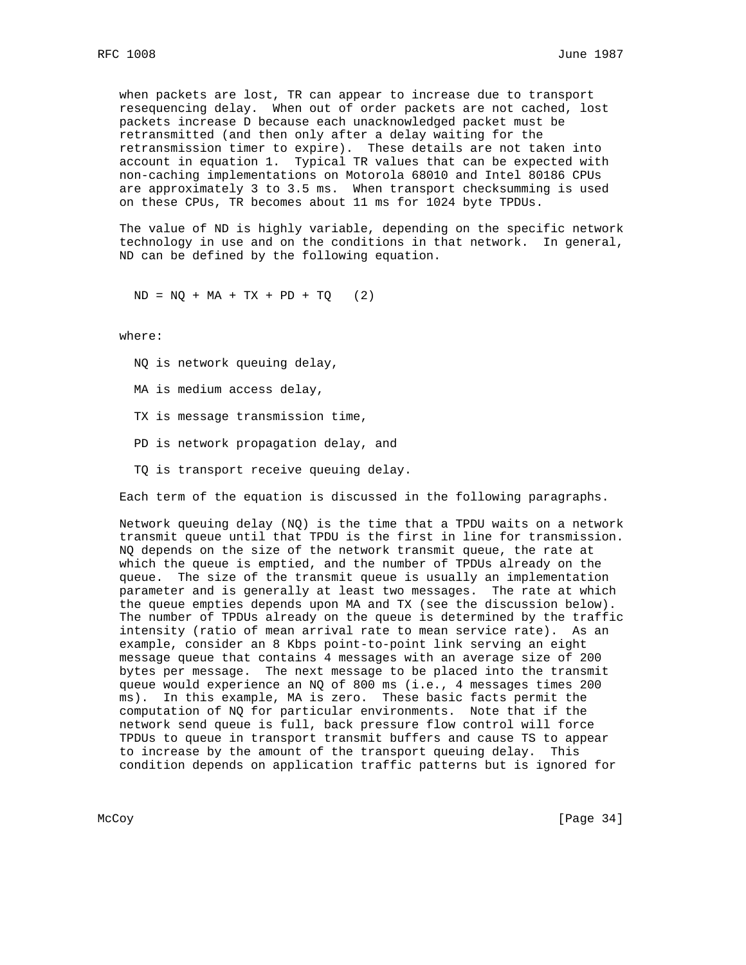when packets are lost, TR can appear to increase due to transport resequencing delay. When out of order packets are not cached, lost packets increase D because each unacknowledged packet must be retransmitted (and then only after a delay waiting for the retransmission timer to expire). These details are not taken into account in equation 1. Typical TR values that can be expected with non-caching implementations on Motorola 68010 and Intel 80186 CPUs are approximately 3 to 3.5 ms. When transport checksumming is used on these CPUs, TR becomes about 11 ms for 1024 byte TPDUs.

 The value of ND is highly variable, depending on the specific network technology in use and on the conditions in that network. In general, ND can be defined by the following equation.

 $ND = NQ + MA + TX + PD + TQ$  (2)

where:

- NQ is network queuing delay,
- MA is medium access delay,
- TX is message transmission time,
- PD is network propagation delay, and
- TQ is transport receive queuing delay.

Each term of the equation is discussed in the following paragraphs.

 Network queuing delay (NQ) is the time that a TPDU waits on a network transmit queue until that TPDU is the first in line for transmission. NQ depends on the size of the network transmit queue, the rate at which the queue is emptied, and the number of TPDUs already on the queue. The size of the transmit queue is usually an implementation parameter and is generally at least two messages. The rate at which the queue empties depends upon MA and TX (see the discussion below). The number of TPDUs already on the queue is determined by the traffic intensity (ratio of mean arrival rate to mean service rate). As an example, consider an 8 Kbps point-to-point link serving an eight message queue that contains 4 messages with an average size of 200 bytes per message. The next message to be placed into the transmit queue would experience an NQ of 800 ms (i.e., 4 messages times 200 ms). In this example, MA is zero. These basic facts permit the computation of NQ for particular environments. Note that if the network send queue is full, back pressure flow control will force TPDUs to queue in transport transmit buffers and cause TS to appear to increase by the amount of the transport queuing delay. This condition depends on application traffic patterns but is ignored for

McCoy [Page 34]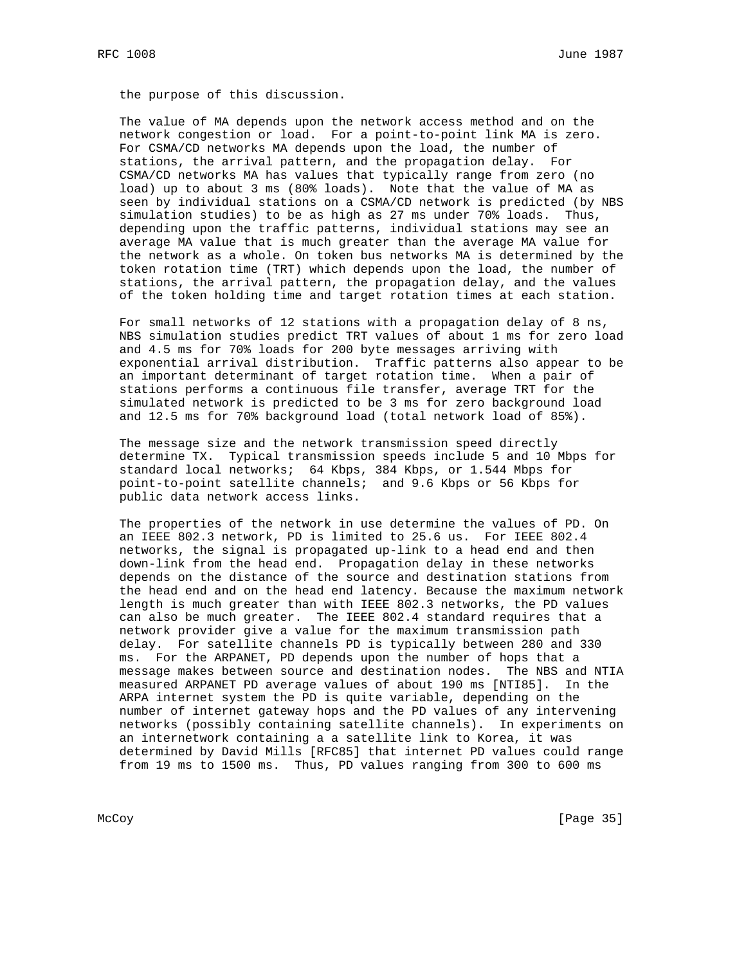the purpose of this discussion.

 The value of MA depends upon the network access method and on the network congestion or load. For a point-to-point link MA is zero. For CSMA/CD networks MA depends upon the load, the number of stations, the arrival pattern, and the propagation delay. For CSMA/CD networks MA has values that typically range from zero (no load) up to about 3 ms (80% loads). Note that the value of MA as seen by individual stations on a CSMA/CD network is predicted (by NBS simulation studies) to be as high as 27 ms under 70% loads. Thus, depending upon the traffic patterns, individual stations may see an average MA value that is much greater than the average MA value for the network as a whole. On token bus networks MA is determined by the token rotation time (TRT) which depends upon the load, the number of stations, the arrival pattern, the propagation delay, and the values of the token holding time and target rotation times at each station.

 For small networks of 12 stations with a propagation delay of 8 ns, NBS simulation studies predict TRT values of about 1 ms for zero load and 4.5 ms for 70% loads for 200 byte messages arriving with exponential arrival distribution. Traffic patterns also appear to be an important determinant of target rotation time. When a pair of stations performs a continuous file transfer, average TRT for the simulated network is predicted to be 3 ms for zero background load and 12.5 ms for 70% background load (total network load of 85%).

 The message size and the network transmission speed directly determine TX. Typical transmission speeds include 5 and 10 Mbps for standard local networks; 64 Kbps, 384 Kbps, or 1.544 Mbps for point-to-point satellite channels; and 9.6 Kbps or 56 Kbps for public data network access links.

 The properties of the network in use determine the values of PD. On an IEEE 802.3 network, PD is limited to 25.6 us. For IEEE 802.4 networks, the signal is propagated up-link to a head end and then down-link from the head end. Propagation delay in these networks depends on the distance of the source and destination stations from the head end and on the head end latency. Because the maximum network length is much greater than with IEEE 802.3 networks, the PD values can also be much greater. The IEEE 802.4 standard requires that a network provider give a value for the maximum transmission path delay. For satellite channels PD is typically between 280 and 330 ms. For the ARPANET, PD depends upon the number of hops that a message makes between source and destination nodes. The NBS and NTIA measured ARPANET PD average values of about 190 ms [NTI85]. In the ARPA internet system the PD is quite variable, depending on the number of internet gateway hops and the PD values of any intervening networks (possibly containing satellite channels). In experiments on an internetwork containing a a satellite link to Korea, it was determined by David Mills [RFC85] that internet PD values could range from 19 ms to 1500 ms. Thus, PD values ranging from 300 to 600 ms

McCoy [Page 35]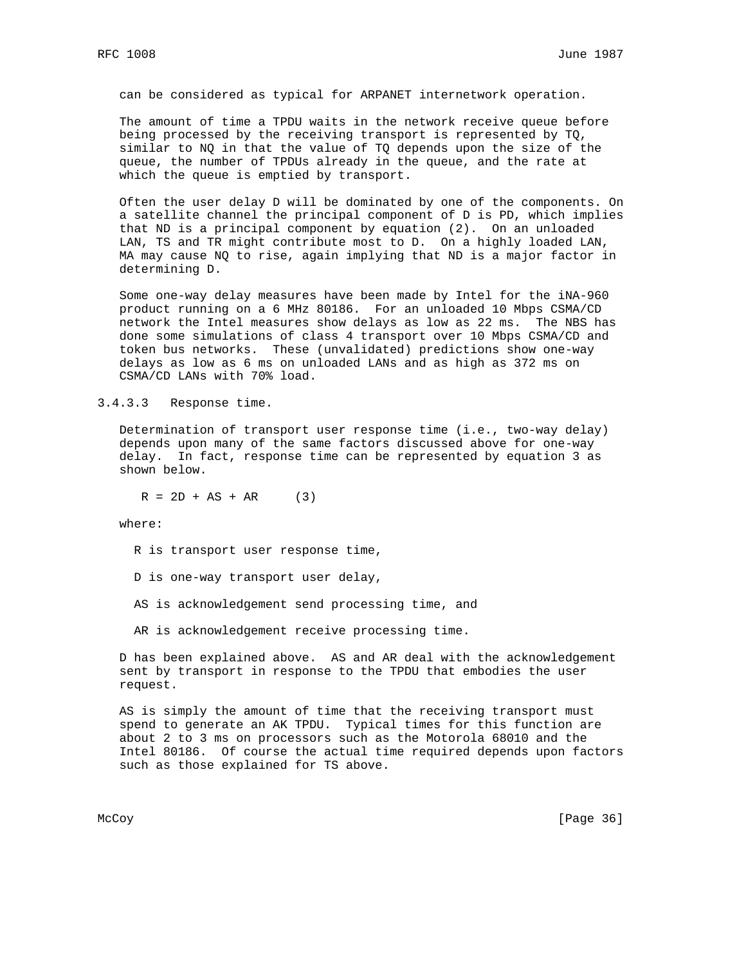can be considered as typical for ARPANET internetwork operation.

 The amount of time a TPDU waits in the network receive queue before being processed by the receiving transport is represented by TQ, similar to NQ in that the value of TQ depends upon the size of the queue, the number of TPDUs already in the queue, and the rate at which the queue is emptied by transport.

 Often the user delay D will be dominated by one of the components. On a satellite channel the principal component of D is PD, which implies that ND is a principal component by equation (2). On an unloaded LAN, TS and TR might contribute most to D. On a highly loaded LAN, MA may cause NQ to rise, again implying that ND is a major factor in determining D.

 Some one-way delay measures have been made by Intel for the iNA-960 product running on a 6 MHz 80186. For an unloaded 10 Mbps CSMA/CD network the Intel measures show delays as low as 22 ms. The NBS has done some simulations of class 4 transport over 10 Mbps CSMA/CD and token bus networks. These (unvalidated) predictions show one-way delays as low as 6 ms on unloaded LANs and as high as 372 ms on CSMA/CD LANs with 70% load.

### 3.4.3.3 Response time.

 Determination of transport user response time (i.e., two-way delay) depends upon many of the same factors discussed above for one-way delay. In fact, response time can be represented by equation 3 as shown below.

 $R = 2D + AS + AR$  (3)

where:

- R is transport user response time,
- D is one-way transport user delay,
- AS is acknowledgement send processing time, and
- AR is acknowledgement receive processing time.

 D has been explained above. AS and AR deal with the acknowledgement sent by transport in response to the TPDU that embodies the user request.

 AS is simply the amount of time that the receiving transport must spend to generate an AK TPDU. Typical times for this function are about 2 to 3 ms on processors such as the Motorola 68010 and the Intel 80186. Of course the actual time required depends upon factors such as those explained for TS above.

McCoy [Page 36]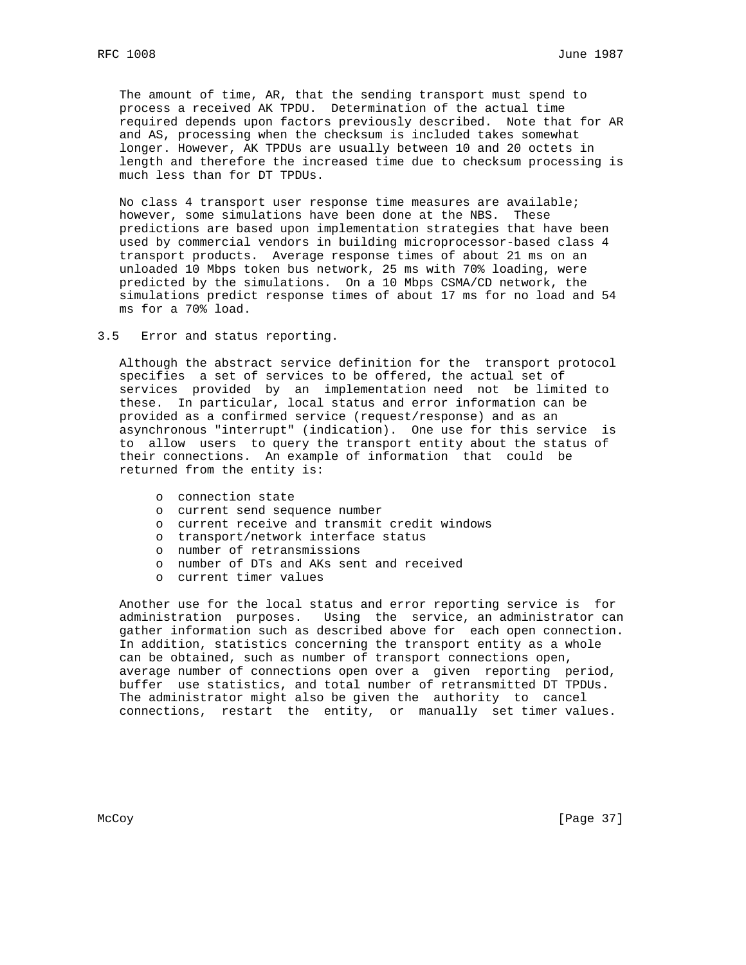The amount of time, AR, that the sending transport must spend to process a received AK TPDU. Determination of the actual time required depends upon factors previously described. Note that for AR and AS, processing when the checksum is included takes somewhat longer. However, AK TPDUs are usually between 10 and 20 octets in length and therefore the increased time due to checksum processing is much less than for DT TPDUs.

 No class 4 transport user response time measures are available; however, some simulations have been done at the NBS. These predictions are based upon implementation strategies that have been used by commercial vendors in building microprocessor-based class 4 transport products. Average response times of about 21 ms on an unloaded 10 Mbps token bus network, 25 ms with 70% loading, were predicted by the simulations. On a 10 Mbps CSMA/CD network, the simulations predict response times of about 17 ms for no load and 54 ms for a 70% load.

### 3.5 Error and status reporting.

 Although the abstract service definition for the transport protocol specifies a set of services to be offered, the actual set of services provided by an implementation need not be limited to these. In particular, local status and error information can be provided as a confirmed service (request/response) and as an asynchronous "interrupt" (indication). One use for this service is to allow users to query the transport entity about the status of their connections. An example of information that could be returned from the entity is:

- o connection state
- o current send sequence number
- o current receive and transmit credit windows
- o transport/network interface status
- o number of retransmissions
- o number of DTs and AKs sent and received
- o current timer values

 Another use for the local status and error reporting service is for administration purposes. Using the service, an administrator can gather information such as described above for each open connection. In addition, statistics concerning the transport entity as a whole can be obtained, such as number of transport connections open, average number of connections open over a given reporting period, buffer use statistics, and total number of retransmitted DT TPDUs. The administrator might also be given the authority to cancel connections, restart the entity, or manually set timer values.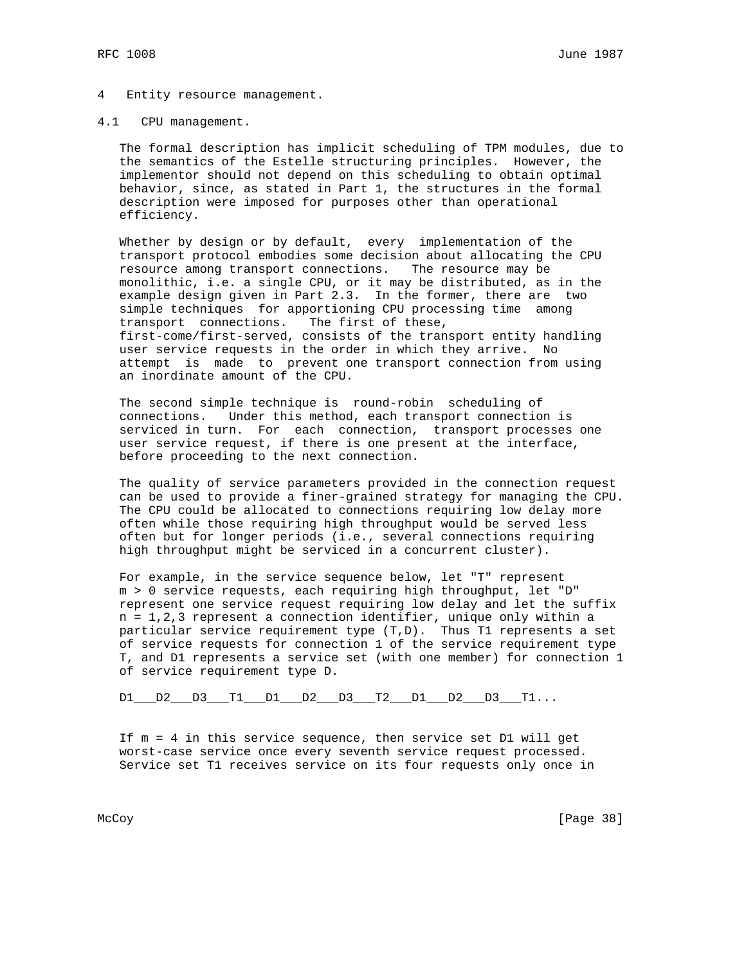#### 4 Entity resource management.

#### 4.1 CPU management.

 The formal description has implicit scheduling of TPM modules, due to the semantics of the Estelle structuring principles. However, the implementor should not depend on this scheduling to obtain optimal behavior, since, as stated in Part 1, the structures in the formal description were imposed for purposes other than operational efficiency.

 Whether by design or by default, every implementation of the transport protocol embodies some decision about allocating the CPU resource among transport connections. The resource may be monolithic, i.e. a single CPU, or it may be distributed, as in the example design given in Part 2.3. In the former, there are two simple techniques for apportioning CPU processing time among transport connections. The first of these, first-come/first-served, consists of the transport entity handling user service requests in the order in which they arrive. No attempt is made to prevent one transport connection from using an inordinate amount of the CPU.

 The second simple technique is round-robin scheduling of connections. Under this method, each transport connection is serviced in turn. For each connection, transport processes one user service request, if there is one present at the interface, before proceeding to the next connection.

 The quality of service parameters provided in the connection request can be used to provide a finer-grained strategy for managing the CPU. The CPU could be allocated to connections requiring low delay more often while those requiring high throughput would be served less often but for longer periods (i.e., several connections requiring high throughput might be serviced in a concurrent cluster).

 For example, in the service sequence below, let "T" represent m > 0 service requests, each requiring high throughput, let "D" represent one service request requiring low delay and let the suffix n = 1,2,3 represent a connection identifier, unique only within a particular service requirement type (T,D). Thus T1 represents a set of service requests for connection 1 of the service requirement type T, and D1 represents a service set (with one member) for connection 1 of service requirement type D.

 $D1$   $D2$   $D3$   $T1$   $D1$   $D2$   $D3$   $T2$   $D1$   $D2$   $D3$   $T1...$ 

 If m = 4 in this service sequence, then service set D1 will get worst-case service once every seventh service request processed. Service set T1 receives service on its four requests only once in

McCoy [Page 38]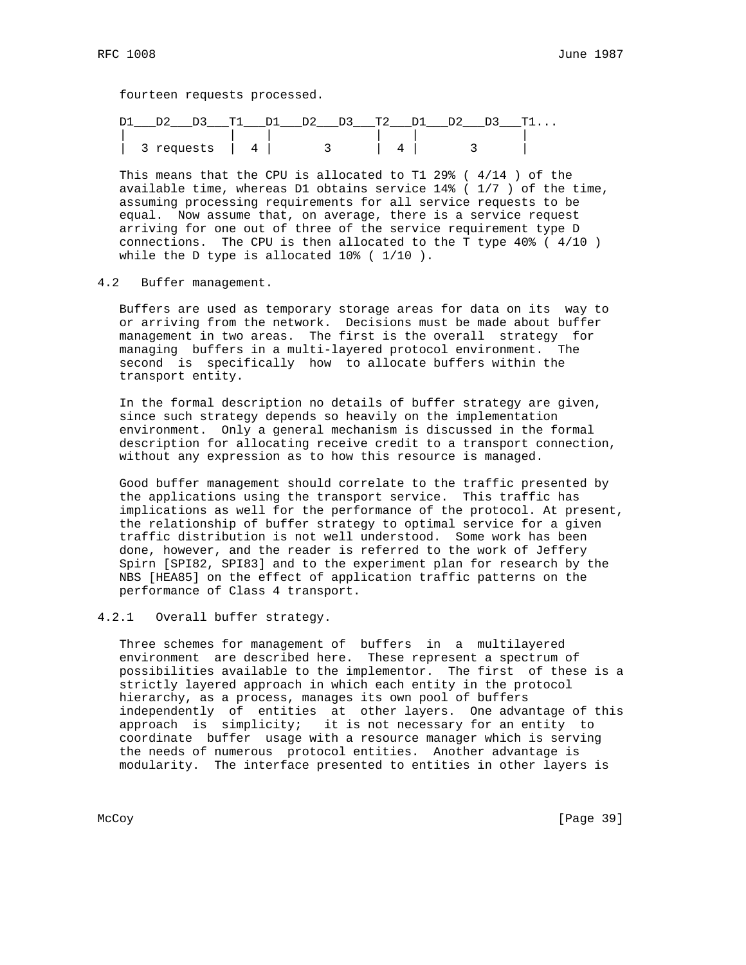fourteen requests processed.

| D1<br>. ጥ1 |                                  | D2 D3 T2 |   | . ጥ1 |
|------------|----------------------------------|----------|---|------|
|            |                                  |          |   |      |
| 3 requests | $\begin{array}{ccc} \end{array}$ |          | ۰ |      |

 This means that the CPU is allocated to T1 29% ( 4/14 ) of the available time, whereas D1 obtains service 14% ( 1/7 ) of the time, assuming processing requirements for all service requests to be equal. Now assume that, on average, there is a service request arriving for one out of three of the service requirement type D connections. The CPU is then allocated to the T type 40% ( 4/10 ) while the D type is allocated 10% ( 1/10 ).

# 4.2 Buffer management.

 Buffers are used as temporary storage areas for data on its way to or arriving from the network. Decisions must be made about buffer management in two areas. The first is the overall strategy for managing buffers in a multi-layered protocol environment. The second is specifically how to allocate buffers within the transport entity.

 In the formal description no details of buffer strategy are given, since such strategy depends so heavily on the implementation environment. Only a general mechanism is discussed in the formal description for allocating receive credit to a transport connection, without any expression as to how this resource is managed.

 Good buffer management should correlate to the traffic presented by the applications using the transport service. This traffic has implications as well for the performance of the protocol. At present, the relationship of buffer strategy to optimal service for a given traffic distribution is not well understood. Some work has been done, however, and the reader is referred to the work of Jeffery Spirn [SPI82, SPI83] and to the experiment plan for research by the NBS [HEA85] on the effect of application traffic patterns on the performance of Class 4 transport.

# 4.2.1 Overall buffer strategy.

 Three schemes for management of buffers in a multilayered environment are described here. These represent a spectrum of possibilities available to the implementor. The first of these is a strictly layered approach in which each entity in the protocol hierarchy, as a process, manages its own pool of buffers independently of entities at other layers. One advantage of this approach is simplicity; it is not necessary for an entity to coordinate buffer usage with a resource manager which is serving the needs of numerous protocol entities. Another advantage is modularity. The interface presented to entities in other layers is

McCoy [Page 39]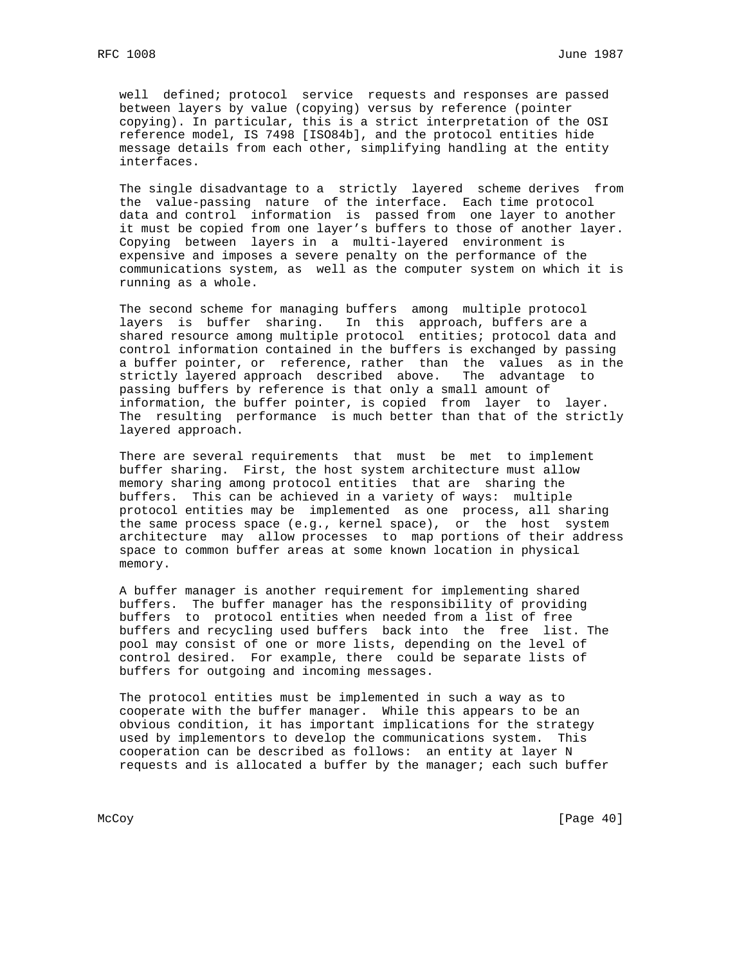well defined; protocol service requests and responses are passed between layers by value (copying) versus by reference (pointer copying). In particular, this is a strict interpretation of the OSI reference model, IS 7498 [ISO84b], and the protocol entities hide message details from each other, simplifying handling at the entity interfaces.

 The single disadvantage to a strictly layered scheme derives from the value-passing nature of the interface. Each time protocol data and control information is passed from one layer to another it must be copied from one layer's buffers to those of another layer. Copying between layers in a multi-layered environment is expensive and imposes a severe penalty on the performance of the communications system, as well as the computer system on which it is running as a whole.

 The second scheme for managing buffers among multiple protocol layers is buffer sharing. In this approach, buffers are a shared resource among multiple protocol entities; protocol data and control information contained in the buffers is exchanged by passing a buffer pointer, or reference, rather than the values as in the strictly layered approach described above. The advantage to passing buffers by reference is that only a small amount of information, the buffer pointer, is copied from layer to layer. The resulting performance is much better than that of the strictly layered approach.

 There are several requirements that must be met to implement buffer sharing. First, the host system architecture must allow memory sharing among protocol entities that are sharing the buffers. This can be achieved in a variety of ways: multiple protocol entities may be implemented as one process, all sharing the same process space (e.g., kernel space), or the host system architecture may allow processes to map portions of their address space to common buffer areas at some known location in physical memory.

 A buffer manager is another requirement for implementing shared buffers. The buffer manager has the responsibility of providing buffers to protocol entities when needed from a list of free buffers and recycling used buffers back into the free list. The pool may consist of one or more lists, depending on the level of control desired. For example, there could be separate lists of buffers for outgoing and incoming messages.

 The protocol entities must be implemented in such a way as to cooperate with the buffer manager. While this appears to be an obvious condition, it has important implications for the strategy used by implementors to develop the communications system. This cooperation can be described as follows: an entity at layer N requests and is allocated a buffer by the manager; each such buffer

McCoy [Page 40]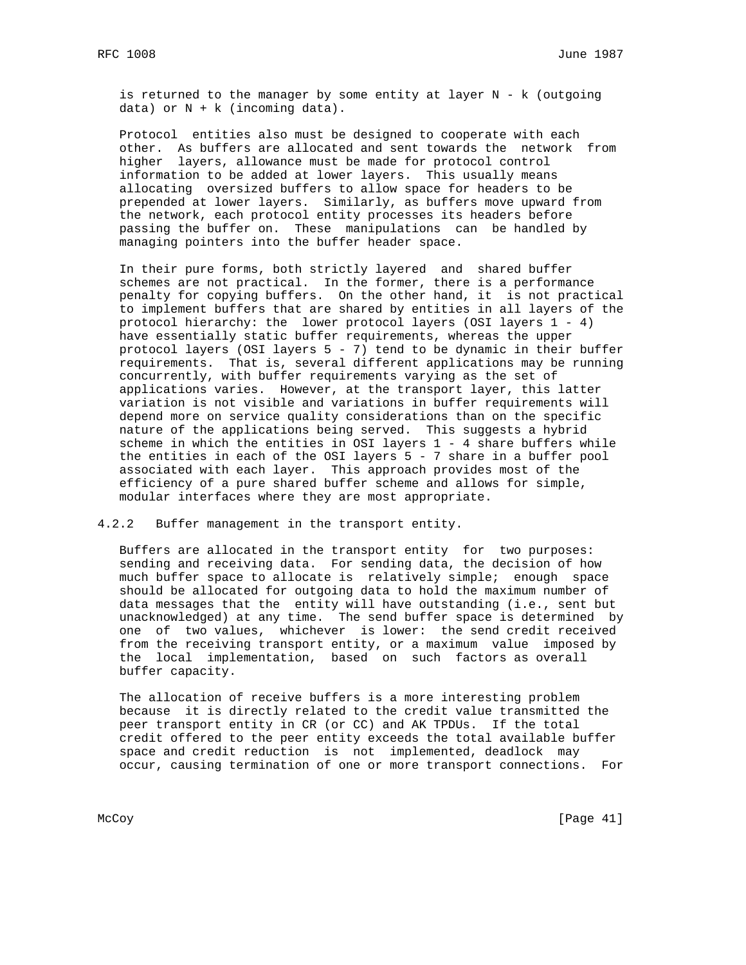is returned to the manager by some entity at layer N - k (outgoing data) or  $N + k$  (incoming data).

 Protocol entities also must be designed to cooperate with each other. As buffers are allocated and sent towards the network from higher layers, allowance must be made for protocol control information to be added at lower layers. This usually means allocating oversized buffers to allow space for headers to be prepended at lower layers. Similarly, as buffers move upward from the network, each protocol entity processes its headers before passing the buffer on. These manipulations can be handled by managing pointers into the buffer header space.

 In their pure forms, both strictly layered and shared buffer schemes are not practical. In the former, there is a performance penalty for copying buffers. On the other hand, it is not practical to implement buffers that are shared by entities in all layers of the protocol hierarchy: the lower protocol layers (OSI layers  $1 - 4$ ) have essentially static buffer requirements, whereas the upper protocol layers (OSI layers 5 - 7) tend to be dynamic in their buffer requirements. That is, several different applications may be running concurrently, with buffer requirements varying as the set of applications varies. However, at the transport layer, this latter variation is not visible and variations in buffer requirements will depend more on service quality considerations than on the specific nature of the applications being served. This suggests a hybrid scheme in which the entities in OSI layers 1 - 4 share buffers while the entities in each of the OSI layers 5 - 7 share in a buffer pool associated with each layer. This approach provides most of the efficiency of a pure shared buffer scheme and allows for simple, modular interfaces where they are most appropriate.

4.2.2 Buffer management in the transport entity.

 Buffers are allocated in the transport entity for two purposes: sending and receiving data. For sending data, the decision of how much buffer space to allocate is relatively simple; enough space should be allocated for outgoing data to hold the maximum number of data messages that the entity will have outstanding (i.e., sent but unacknowledged) at any time. The send buffer space is determined by one of two values, whichever is lower: the send credit received from the receiving transport entity, or a maximum value imposed by the local implementation, based on such factors as overall buffer capacity.

 The allocation of receive buffers is a more interesting problem because it is directly related to the credit value transmitted the peer transport entity in CR (or CC) and AK TPDUs. If the total credit offered to the peer entity exceeds the total available buffer space and credit reduction is not implemented, deadlock may occur, causing termination of one or more transport connections. For

McCoy [Page 41]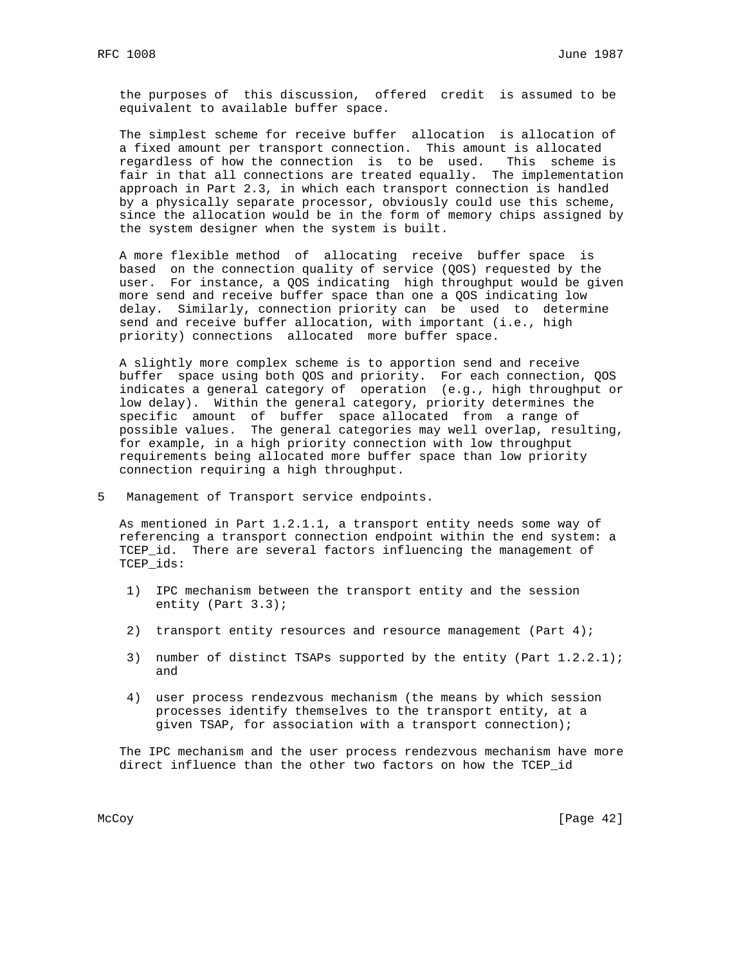the purposes of this discussion, offered credit is assumed to be equivalent to available buffer space.

 The simplest scheme for receive buffer allocation is allocation of a fixed amount per transport connection. This amount is allocated regardless of how the connection is to be used. This scheme is fair in that all connections are treated equally. The implementation approach in Part 2.3, in which each transport connection is handled by a physically separate processor, obviously could use this scheme, since the allocation would be in the form of memory chips assigned by the system designer when the system is built.

 A more flexible method of allocating receive buffer space is based on the connection quality of service (QOS) requested by the user. For instance, a QOS indicating high throughput would be given more send and receive buffer space than one a QOS indicating low delay. Similarly, connection priority can be used to determine send and receive buffer allocation, with important (i.e., high priority) connections allocated more buffer space.

 A slightly more complex scheme is to apportion send and receive buffer space using both QOS and priority. For each connection, QOS indicates a general category of operation (e.g., high throughput or low delay). Within the general category, priority determines the specific amount of buffer space allocated from a range of possible values. The general categories may well overlap, resulting, for example, in a high priority connection with low throughput requirements being allocated more buffer space than low priority connection requiring a high throughput.

5 Management of Transport service endpoints.

 As mentioned in Part 1.2.1.1, a transport entity needs some way of referencing a transport connection endpoint within the end system: a TCEP\_id. There are several factors influencing the management of TCEP\_ids:

- 1) IPC mechanism between the transport entity and the session entity (Part 3.3);
- 2) transport entity resources and resource management (Part 4);
- 3) number of distinct TSAPs supported by the entity (Part 1.2.2.1); and
- 4) user process rendezvous mechanism (the means by which session processes identify themselves to the transport entity, at a given TSAP, for association with a transport connection);

 The IPC mechanism and the user process rendezvous mechanism have more direct influence than the other two factors on how the TCEP\_id

McCoy [Page 42]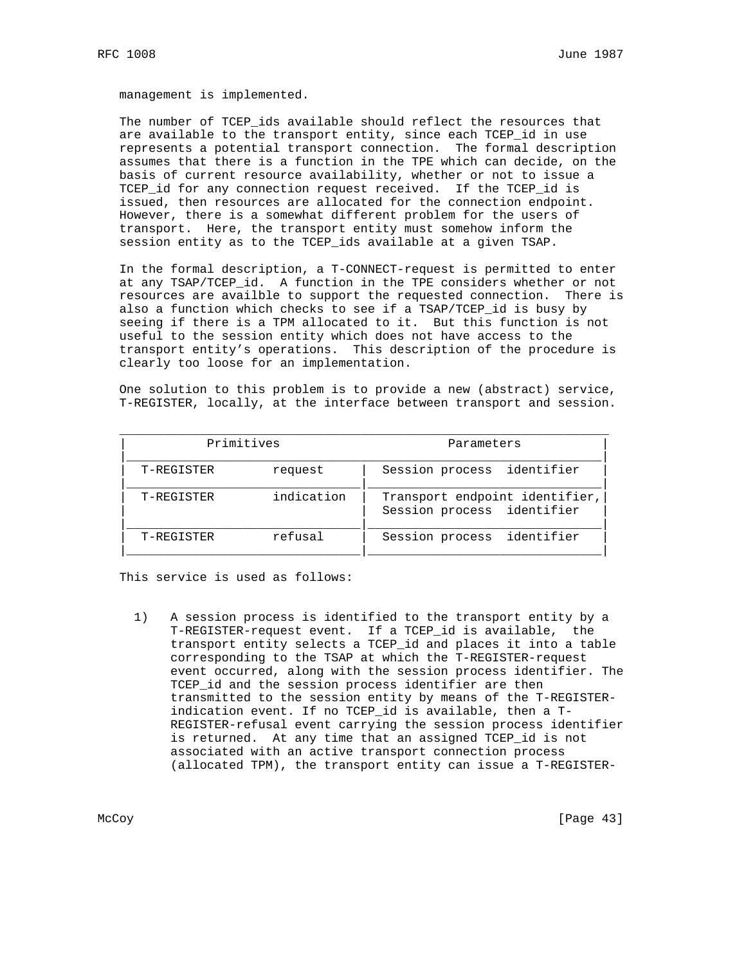management is implemented.

 The number of TCEP\_ids available should reflect the resources that are available to the transport entity, since each TCEP\_id in use represents a potential transport connection. The formal description assumes that there is a function in the TPE which can decide, on the basis of current resource availability, whether or not to issue a TCEP\_id for any connection request received. If the TCEP\_id is issued, then resources are allocated for the connection endpoint. However, there is a somewhat different problem for the users of transport. Here, the transport entity must somehow inform the session entity as to the TCEP\_ids available at a given TSAP.

 In the formal description, a T-CONNECT-request is permitted to enter at any TSAP/TCEP\_id. A function in the TPE considers whether or not resources are availble to support the requested connection. There is also a function which checks to see if a TSAP/TCEP\_id is busy by seeing if there is a TPM allocated to it. But this function is not useful to the session entity which does not have access to the transport entity's operations. This description of the procedure is clearly too loose for an implementation.

 One solution to this problem is to provide a new (abstract) service, T-REGISTER, locally, at the interface between transport and session.

| Primitives |            | Parameters                                                   |  |  |
|------------|------------|--------------------------------------------------------------|--|--|
| T-REGISTER | request    | identifier<br>Session process                                |  |  |
| T-REGISTER | indication | Transport endpoint identifier,<br>Session process identifier |  |  |
| T-REGISTER | refusal    | identifier<br>Session process                                |  |  |

This service is used as follows:

 1) A session process is identified to the transport entity by a T-REGISTER-request event. If a TCEP\_id is available, the transport entity selects a TCEP\_id and places it into a table corresponding to the TSAP at which the T-REGISTER-request event occurred, along with the session process identifier. The TCEP\_id and the session process identifier are then transmitted to the session entity by means of the T-REGISTER indication event. If no TCEP\_id is available, then a T- REGISTER-refusal event carrying the session process identifier is returned. At any time that an assigned TCEP\_id is not associated with an active transport connection process (allocated TPM), the transport entity can issue a T-REGISTER-

McCoy [Page 43]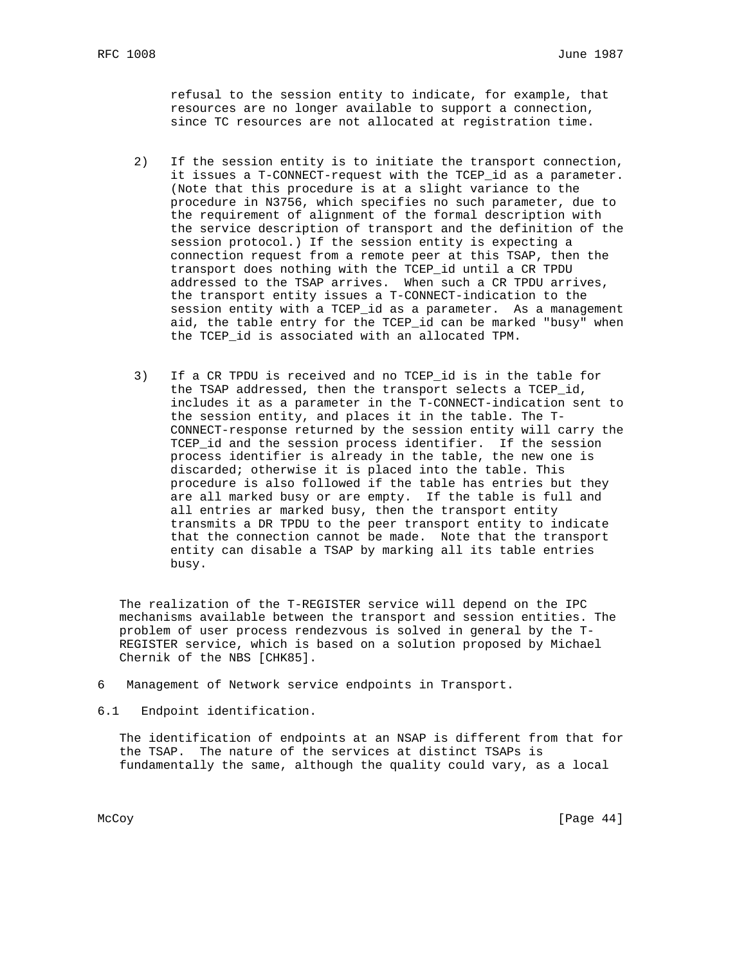refusal to the session entity to indicate, for example, that resources are no longer available to support a connection, since TC resources are not allocated at registration time.

- 2) If the session entity is to initiate the transport connection, it issues a T-CONNECT-request with the TCEP\_id as a parameter. (Note that this procedure is at a slight variance to the procedure in N3756, which specifies no such parameter, due to the requirement of alignment of the formal description with the service description of transport and the definition of the session protocol.) If the session entity is expecting a connection request from a remote peer at this TSAP, then the transport does nothing with the TCEP\_id until a CR TPDU addressed to the TSAP arrives. When such a CR TPDU arrives, the transport entity issues a T-CONNECT-indication to the session entity with a TCEP\_id as a parameter. As a management aid, the table entry for the TCEP\_id can be marked "busy" when the TCEP\_id is associated with an allocated TPM.
- 3) If a CR TPDU is received and no TCEP\_id is in the table for the TSAP addressed, then the transport selects a TCEP\_id, includes it as a parameter in the T-CONNECT-indication sent to the session entity, and places it in the table. The T- CONNECT-response returned by the session entity will carry the TCEP\_id and the session process identifier. If the session process identifier is already in the table, the new one is discarded; otherwise it is placed into the table. This procedure is also followed if the table has entries but they are all marked busy or are empty. If the table is full and all entries ar marked busy, then the transport entity transmits a DR TPDU to the peer transport entity to indicate that the connection cannot be made. Note that the transport entity can disable a TSAP by marking all its table entries busy.

 The realization of the T-REGISTER service will depend on the IPC mechanisms available between the transport and session entities. The problem of user process rendezvous is solved in general by the T- REGISTER service, which is based on a solution proposed by Michael Chernik of the NBS [CHK85].

- 6 Management of Network service endpoints in Transport.
- 6.1 Endpoint identification.

 The identification of endpoints at an NSAP is different from that for the TSAP. The nature of the services at distinct TSAPs is fundamentally the same, although the quality could vary, as a local

McCoy [Page 44]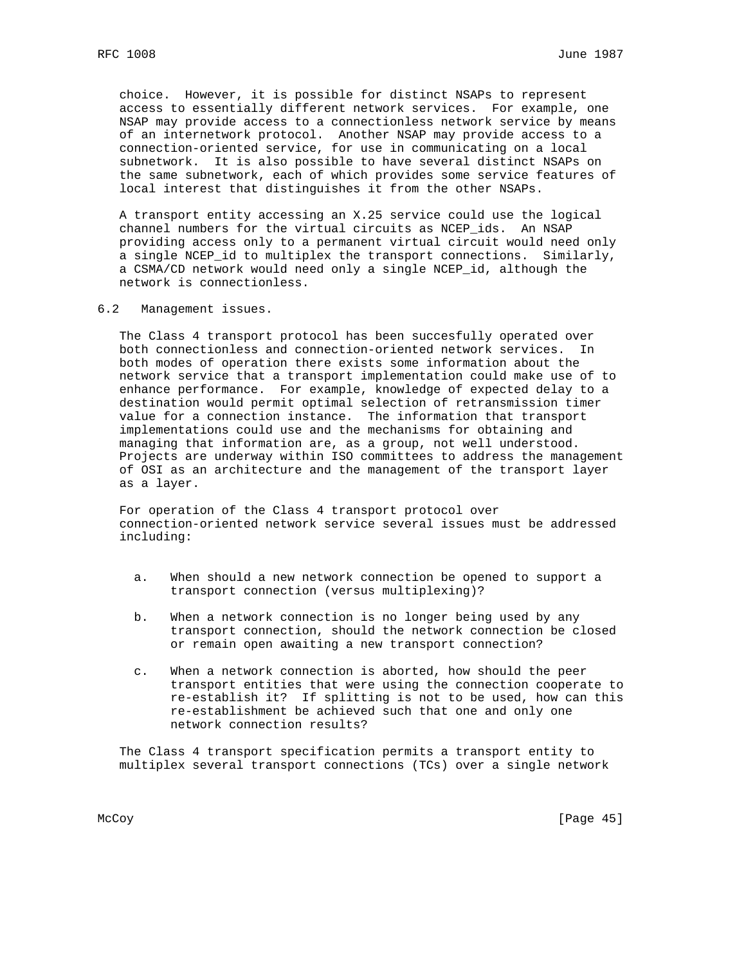choice. However, it is possible for distinct NSAPs to represent access to essentially different network services. For example, one NSAP may provide access to a connectionless network service by means of an internetwork protocol. Another NSAP may provide access to a connection-oriented service, for use in communicating on a local subnetwork. It is also possible to have several distinct NSAPs on the same subnetwork, each of which provides some service features of local interest that distinguishes it from the other NSAPs.

 A transport entity accessing an X.25 service could use the logical channel numbers for the virtual circuits as NCEP\_ids. An NSAP providing access only to a permanent virtual circuit would need only a single NCEP id to multiplex the transport connections. Similarly, a CSMA/CD network would need only a single NCEP\_id, although the network is connectionless.

6.2 Management issues.

 The Class 4 transport protocol has been succesfully operated over both connectionless and connection-oriented network services. In both modes of operation there exists some information about the network service that a transport implementation could make use of to enhance performance. For example, knowledge of expected delay to a destination would permit optimal selection of retransmission timer value for a connection instance. The information that transport implementations could use and the mechanisms for obtaining and managing that information are, as a group, not well understood. Projects are underway within ISO committees to address the management of OSI as an architecture and the management of the transport layer as a layer.

 For operation of the Class 4 transport protocol over connection-oriented network service several issues must be addressed including:

- a. When should a new network connection be opened to support a transport connection (versus multiplexing)?
- b. When a network connection is no longer being used by any transport connection, should the network connection be closed or remain open awaiting a new transport connection?
- c. When a network connection is aborted, how should the peer transport entities that were using the connection cooperate to re-establish it? If splitting is not to be used, how can this re-establishment be achieved such that one and only one network connection results?

 The Class 4 transport specification permits a transport entity to multiplex several transport connections (TCs) over a single network

McCoy [Page 45]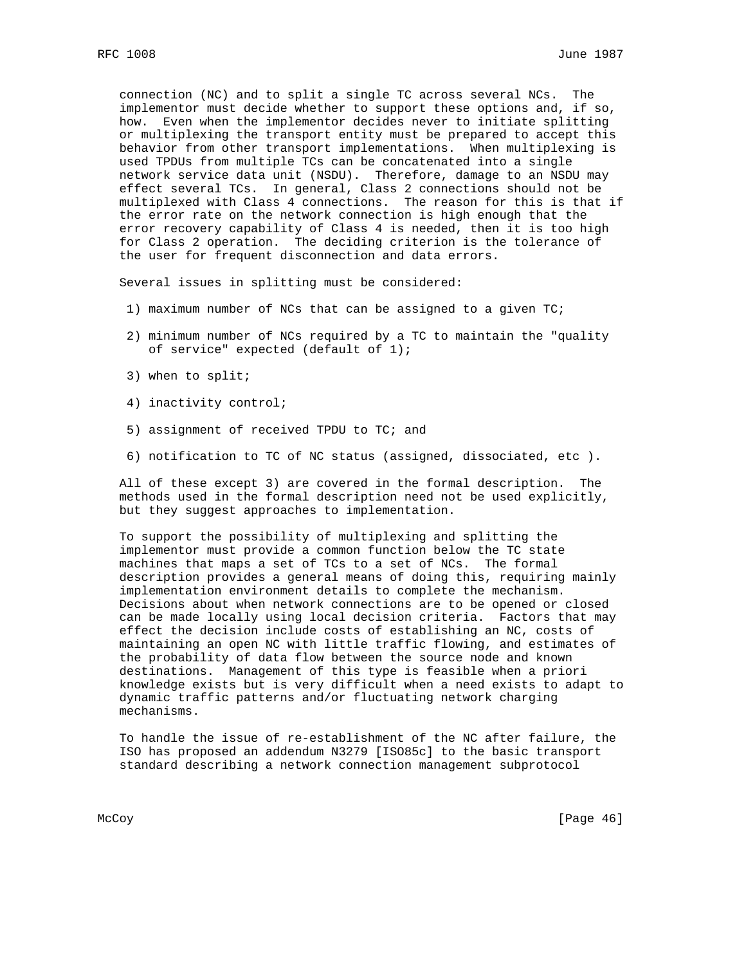connection (NC) and to split a single TC across several NCs. The implementor must decide whether to support these options and, if so, how. Even when the implementor decides never to initiate splitting or multiplexing the transport entity must be prepared to accept this behavior from other transport implementations. When multiplexing is used TPDUs from multiple TCs can be concatenated into a single network service data unit (NSDU). Therefore, damage to an NSDU may effect several TCs. In general, Class 2 connections should not be multiplexed with Class 4 connections. The reason for this is that if the error rate on the network connection is high enough that the error recovery capability of Class 4 is needed, then it is too high for Class 2 operation. The deciding criterion is the tolerance of the user for frequent disconnection and data errors.

Several issues in splitting must be considered:

- 1) maximum number of NCs that can be assigned to a given TC;
- 2) minimum number of NCs required by a TC to maintain the "quality of service" expected (default of 1);
- 3) when to split;
- 4) inactivity control;
- 5) assignment of received TPDU to TC; and
- 6) notification to TC of NC status (assigned, dissociated, etc ).

 All of these except 3) are covered in the formal description. The methods used in the formal description need not be used explicitly, but they suggest approaches to implementation.

 To support the possibility of multiplexing and splitting the implementor must provide a common function below the TC state machines that maps a set of TCs to a set of NCs. The formal description provides a general means of doing this, requiring mainly implementation environment details to complete the mechanism. Decisions about when network connections are to be opened or closed can be made locally using local decision criteria. Factors that may effect the decision include costs of establishing an NC, costs of maintaining an open NC with little traffic flowing, and estimates of the probability of data flow between the source node and known destinations. Management of this type is feasible when a priori knowledge exists but is very difficult when a need exists to adapt to dynamic traffic patterns and/or fluctuating network charging mechanisms.

 To handle the issue of re-establishment of the NC after failure, the ISO has proposed an addendum N3279 [ISO85c] to the basic transport standard describing a network connection management subprotocol

McCoy [Page 46]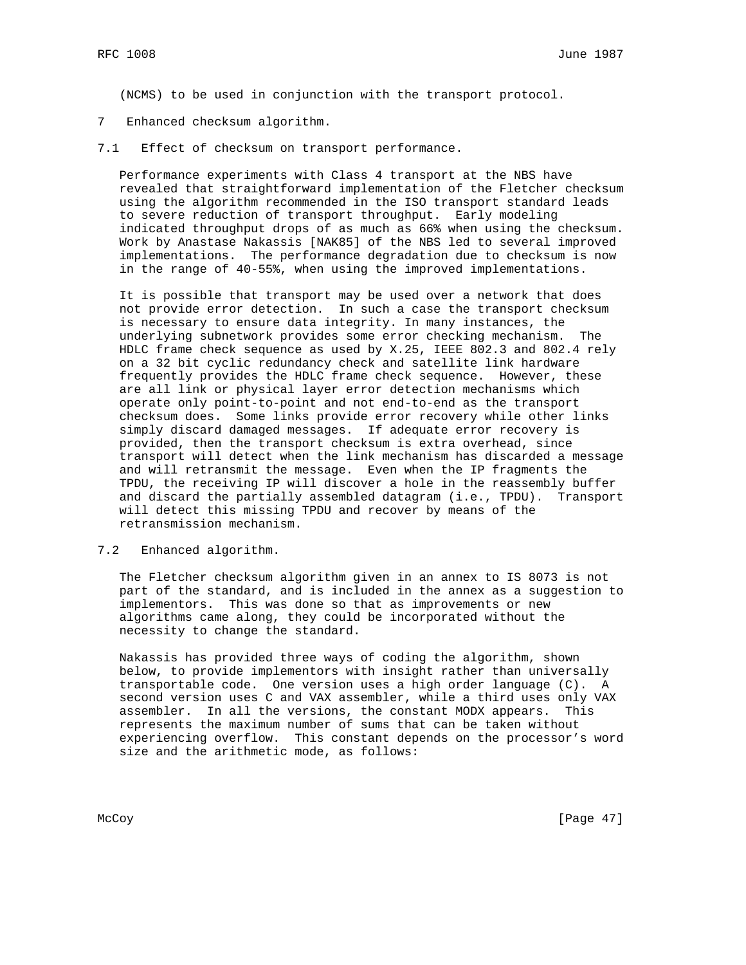(NCMS) to be used in conjunction with the transport protocol.

- 7 Enhanced checksum algorithm.
- 7.1 Effect of checksum on transport performance.

 Performance experiments with Class 4 transport at the NBS have revealed that straightforward implementation of the Fletcher checksum using the algorithm recommended in the ISO transport standard leads to severe reduction of transport throughput. Early modeling indicated throughput drops of as much as 66% when using the checksum. Work by Anastase Nakassis [NAK85] of the NBS led to several improved implementations. The performance degradation due to checksum is now in the range of 40-55%, when using the improved implementations.

 It is possible that transport may be used over a network that does not provide error detection. In such a case the transport checksum is necessary to ensure data integrity. In many instances, the underlying subnetwork provides some error checking mechanism. The HDLC frame check sequence as used by X.25, IEEE 802.3 and 802.4 rely on a 32 bit cyclic redundancy check and satellite link hardware frequently provides the HDLC frame check sequence. However, these are all link or physical layer error detection mechanisms which operate only point-to-point and not end-to-end as the transport checksum does. Some links provide error recovery while other links simply discard damaged messages. If adequate error recovery is provided, then the transport checksum is extra overhead, since transport will detect when the link mechanism has discarded a message and will retransmit the message. Even when the IP fragments the TPDU, the receiving IP will discover a hole in the reassembly buffer and discard the partially assembled datagram (i.e., TPDU). Transport will detect this missing TPDU and recover by means of the retransmission mechanism.

# 7.2 Enhanced algorithm.

 The Fletcher checksum algorithm given in an annex to IS 8073 is not part of the standard, and is included in the annex as a suggestion to implementors. This was done so that as improvements or new algorithms came along, they could be incorporated without the necessity to change the standard.

 Nakassis has provided three ways of coding the algorithm, shown below, to provide implementors with insight rather than universally transportable code. One version uses a high order language (C). A second version uses C and VAX assembler, while a third uses only VAX assembler. In all the versions, the constant MODX appears. This represents the maximum number of sums that can be taken without experiencing overflow. This constant depends on the processor's word size and the arithmetic mode, as follows:

McCoy [Page 47]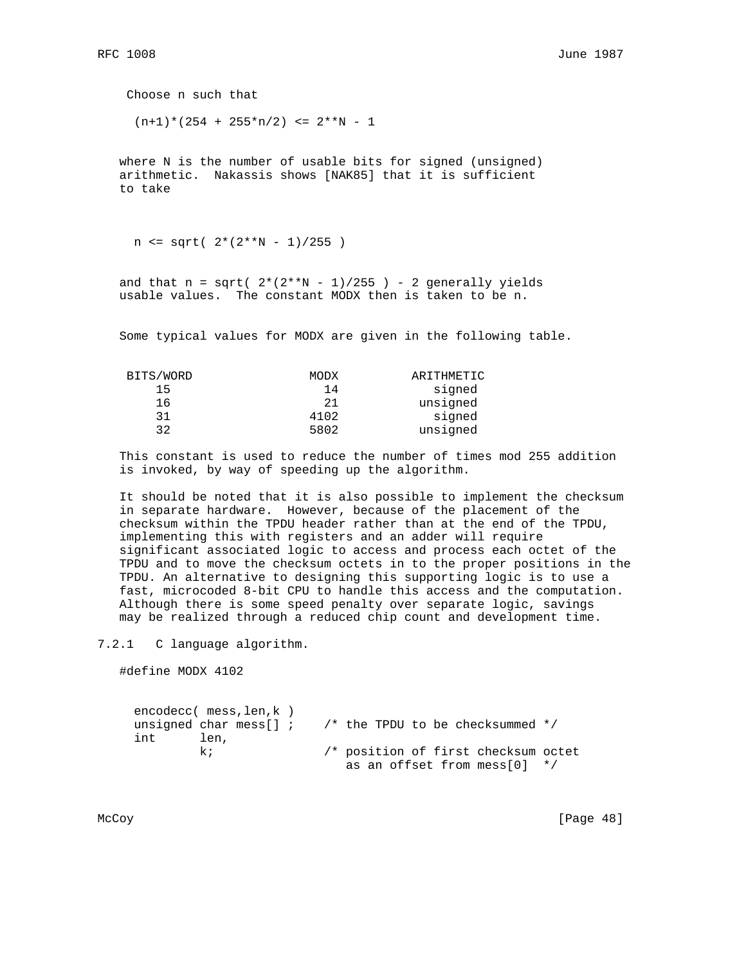Choose n such that  $(n+1)*(254 + 255*n/2) \le 2**N - 1$ 

 where N is the number of usable bits for signed (unsigned) arithmetic. Nakassis shows [NAK85] that it is sufficient to take

 $n \leq sqrt( 2*(2**N - 1)/255 )$ 

and that  $n = sqrt( 2*(2**N - 1)/255 ) - 2$  generally yields usable values. The constant MODX then is taken to be n.

Some typical values for MODX are given in the following table.

| MODX | ARITHMETIC |
|------|------------|
| 14   | signed     |
| 21   | unsigned   |
| 4102 | signed     |
| 5802 | unsigned   |
|      |            |

 This constant is used to reduce the number of times mod 255 addition is invoked, by way of speeding up the algorithm.

 It should be noted that it is also possible to implement the checksum in separate hardware. However, because of the placement of the checksum within the TPDU header rather than at the end of the TPDU, implementing this with registers and an adder will require significant associated logic to access and process each octet of the TPDU and to move the checksum octets in to the proper positions in the TPDU. An alternative to designing this supporting logic is to use a fast, microcoded 8-bit CPU to handle this access and the computation. Although there is some speed penalty over separate logic, savings may be realized through a reduced chip count and development time.

7.2.1 C language algorithm.

#define MODX 4102

 encodecc( mess,len,k ) unsigned char mess[] ;  $\quad$  /\* the TPDU to be checksummed \*/ int len, k; /\* position of first checksum octet as an offset from mess[0] \*/

McCoy [Page 48]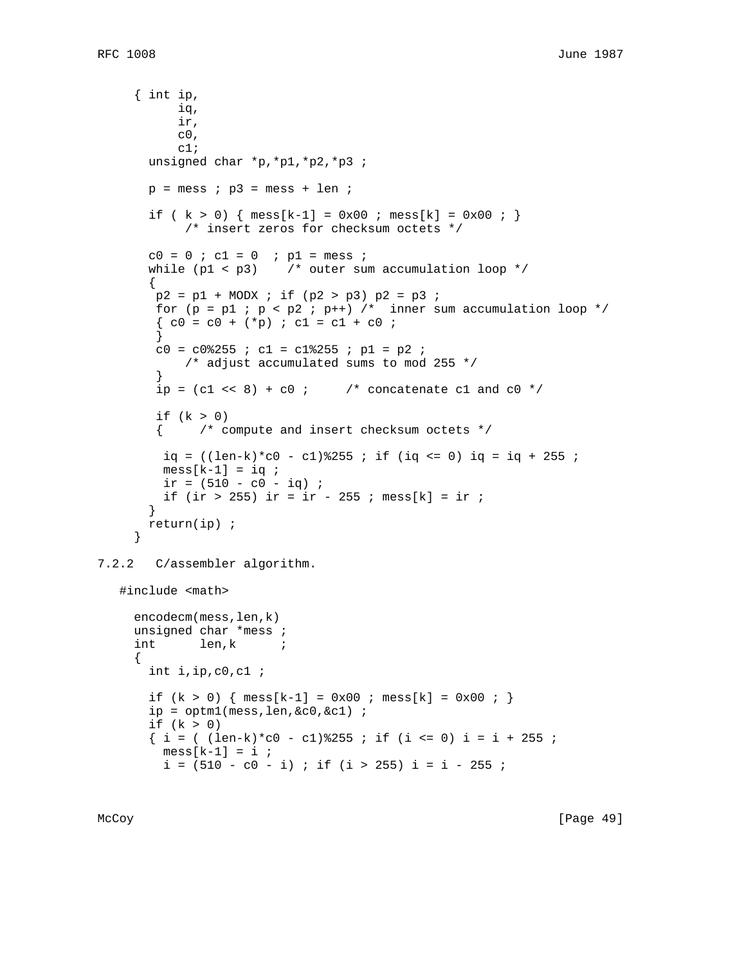```
 { int ip,
            iq,
            ir,
           c0, c1;
       unsigned char *p,*p1,*p2,*p3 ;
      p = \text{mess} ; p3 = \text{mess} + \text{len} ;
      if ( k > 0) { mess[k-1] = 0x00 ; mess[k] = 0x00 ; }
             /* insert zeros for checksum octets */
       c0 = 0 ; c1 = 0 ; p1 = \text{mess} ;
      while (p1 < p3) /* outer sum accumulation loop */
\{p2 = p1 + MODX; if (p2 > p3) p2 = p3;
       for (p = p1 : p < p2 : p++) /* inner sum accumulation loop */
        \{ c0 = c0 + (*p) : c1 = c1 + c0 : }
        c0 = c0%255 ; c1 = c1%255 ; p1 = p2 ;
            /* adjust accumulated sums to mod 255 */
 }
       ip = (cl \ll 8) + c0 ; /* concatenate c1 and c0 */
       if (k > 0) { /* compute and insert checksum octets */
        iq = ((len-k)*c0 - c1)*255; if (iq \le 0) iq = iq + 255;
        mess[k-1] = iq;
        ir = (510 - c0 - iq);
        if (ir > 255) ir = ir - 255 ; mess[k] = ir ;
        }
       return(ip) ;
      }
7.2.2 C/assembler algorithm.
    #include <math>
     encodecm(mess,len,k)
     unsigned char *mess ;
      int len,k ;
\{ int i,ip,c0,c1 ;
      if (k > 0) { mess[k-1] = 0x00 ; mess[k] = 0x00 ; }
        ip = optm1(mess,len,&c0,&c1) ;
       if (k > 0)
       \{ i = ( (len-k)*c0 - c1)*255 ; if (i <= 0) i = i + 255 ;mess[k-1] = i ;
         i = (510 - c0 - i); if (i > 255); i = i - 255;
```
McCoy [Page 49]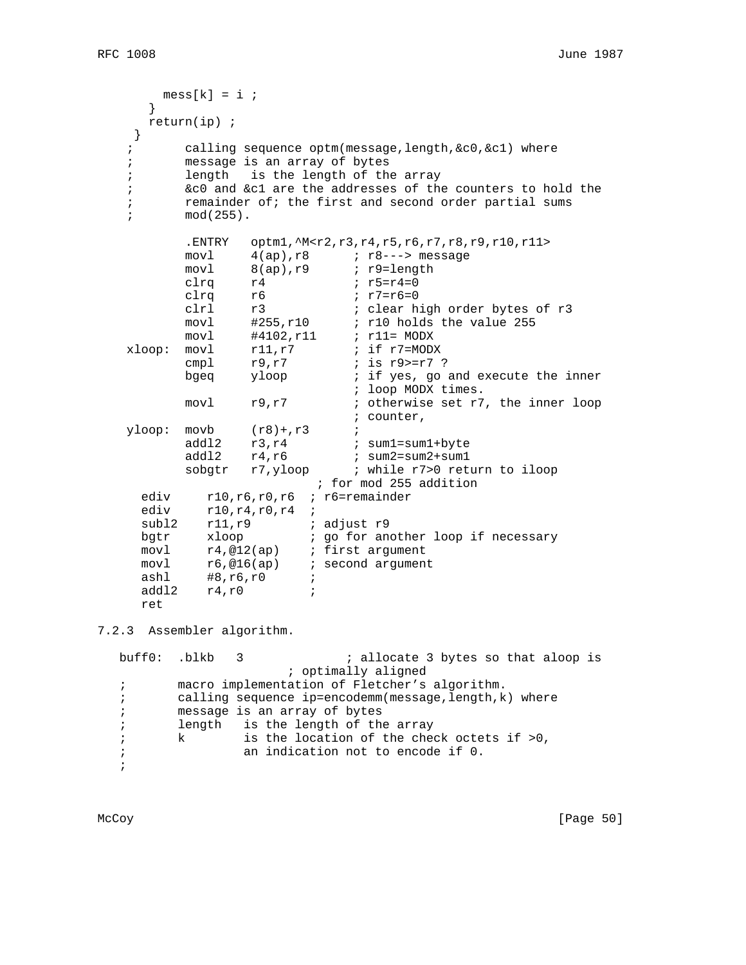```
mess[k] = i ;
 }
      return(ip) ;
    }
    ; calling sequence optm(message,length,&c0,&c1) where
    ; message is an array of bytes
    ; length is the length of the array
    ; &c0 and &c1 are the addresses of the counters to hold the
    ; remainder of; the first and second order partial sums
    ; mod(255).
          .ENTRY optm1,^M<r2,r3,r4,r5,r6,r7,r8,r9,r10,r11>
         movl 4(ap),r8 ; r8---> message
         movl 8(ap), r9 ; r9=length
clrq r4 ; r5=r4=0
 clrq r6 ; r7=r6=0
 clrl r3 ; clear high order bytes of r3
 movl #255,r10 ; r10 holds the value 255
 movl #4102,r11 ; r11= MODX
xloop: movl r11,r7 ; if r7=MODX
         cmpl r9, r7 ; is r9 >= r7 ?
         bgeq yloop \cdot ; if yes, go and execute the inner
                           ; loop MODX times.
        movl r9, r7 ; otherwise set r7, the inner loop
                           ; counter,
  yloop: movb (r8)+r3 ;
         addl2 r3, r4 ; sum1=sum1+byte
 addl2 r4,r6 ; sum2=sum2+sum1
sobgtr r7, yloop : while r7>0 return to iloop
                       ; for mod 255 addition
    ediv r10,r6,r0,r6 ; r6=remainder
    ediv r10, r4, r0, r4 ;
    subl2 r11, r9 ; adjust r9
    bgtr xloop : go for another loop if necessary
 movl r4,@12(ap) ; first argument
movl r6,@16(ap) ; second argument
 ashl #8,r6,r0 ;
     addl2 r4,r0 ;
```
7.2.3 Assembler algorithm.

ret

buff0: .blkb 3 ; allocate 3 bytes so that aloop is ; optimally aligned ; macro implementation of Fletcher's algorithm. ; calling sequence ip=encodemm(message,length,k) where ; message is an array of bytes ; length is the length of the array ; k is the location of the check octets if >0, ; an indication not to encode if 0. ;

McCoy [Page 50]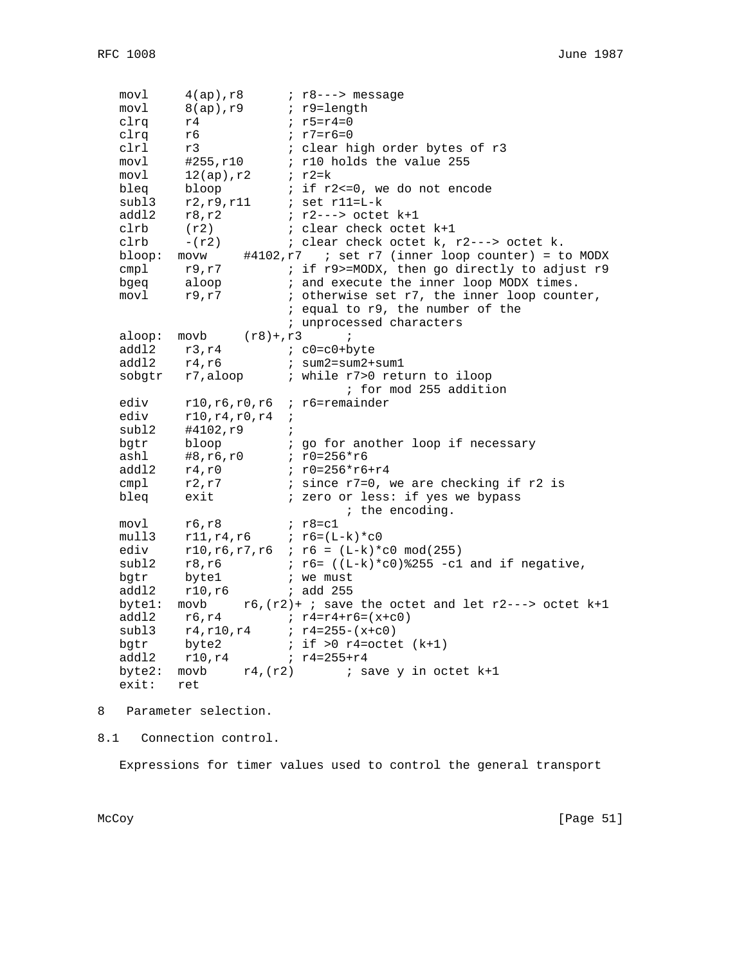| movl   | $4(ap)$ , $r8$                  |            | $: r8--->$ message                                           |
|--------|---------------------------------|------------|--------------------------------------------------------------|
| movl   | $8(ap)$ , r $9$                 |            | ; r9=length                                                  |
| clrq   | r4                              |            | ; $r5 = r4 = 0$                                              |
| clrq   | r6                              |            | ; $r7 = r6 = 0$                                              |
| clrl   | r3                              |            | ; clear high order bytes of r3                               |
| movl   | #255,r10                        |            | ; r10 holds the value 255                                    |
| movl   | $12(ap)$ , $r2$                 |            | $ir2=k$                                                      |
| bleq   | bloop                           |            | ; if r2 <= 0, we do not encode                               |
| subl3  | r2, r9, r11                     |            | $i$ set r11=L-k                                              |
| addl2  | r8, r2                          |            | $: r2---$ > octet $k+1$                                      |
| clrb   | (r2)                            |            | ; clear check octet k+1                                      |
| clrb   | $-(r2)$                         |            | ; clear check octet k, r2---> octet k.                       |
| bloop: | movw                            |            | #4102, $r7$ ; set $r7$ (inner loop counter) = to MODX        |
| cmp1   | r9,r7                           |            | ; if r9>=MODX, then go directly to adjust r9                 |
| bgeq   | aloop                           |            | ; and execute the inner loop MODX times.                     |
| movl   | r9,r7                           |            | ; otherwise set r7, the inner loop counter,                  |
|        |                                 |            | ; equal to r9, the number of the                             |
|        |                                 |            | ; unprocessed characters                                     |
| aloop: | $movb$ $(r8) + r3$              |            | $\ddot{i}$                                                   |
| addl2  | r3, r4                          |            | $:$ $c0 = c0 + b$ yte                                        |
| addl2  | r4, r6                          |            | $: sum2 = sum2 + sum1$                                       |
| sobgtr |                                 |            | r7, aloop : while r7>0 return to iloop                       |
|        |                                 |            | ; for mod 255 addition                                       |
| ediv   | r10, r6, r0, r6                 |            | ; r6=remainder                                               |
| ediv   | r10, r4, r0, r4                 | $\ddot{ }$ |                                                              |
| subl2  | #4102,r9                        | $\ddot{i}$ |                                                              |
| bgtr   | bloop                           |            | ; go for another loop if necessary                           |
| ashl   | #8,r6,r0                        |            | $: r0 = 256*r6$                                              |
| addl2  | $r4$ ,r $0$                     |            | $: r0 = 256*r6 + r4$                                         |
| cmp1   | r2,r7                           |            | ; since r7=0, we are checking if r2 is                       |
| bleq   | exit                            |            | ; zero or less: if yes we bypass                             |
|        |                                 |            | ; the encoding.                                              |
| movl   | r6, r8                          |            | $: r8 = c1$                                                  |
| mull3  | $r11, r4, r6$ ; $r6 = (L-k)*c0$ |            |                                                              |
| ediv   |                                 |            | $r10, r6, r7, r6$ ; $r6 = (L-k)*c0 \mod(255)$                |
| subl2  | r8,r6                           |            | $: r6 = ((L-k)*c0)*255 -c1$ and if negative,                 |
| bgtr   | byte1                           |            | ; we must                                                    |
| add12  | r10,r6                          |            | $:$ add 255                                                  |
| bytel: | movb                            |            | $r6$ , $(r2)$ + ; save the octet and let $r2---$ octet $k+1$ |
| addl2  | r6, r4                          |            | $: r4 = r4 + r6 = (x + c0)$                                  |
| subl3  | r4, r10, r4                     |            | $: r4=255-(x+c0)$                                            |
| bgtr   | byte2                           |            | ; if $>0$ r4=octet $(k+1)$                                   |
| add12  | r10,r4                          |            | $r4 = 255 + r4$                                              |
| byte2: | movb<br>$r4$ , $(r2)$           |            | ; save y in octet k+1                                        |
| exit:  | ret                             |            |                                                              |

8 Parameter selection.

8.1 Connection control.

Expressions for timer values used to control the general transport

McCoy [Page 51]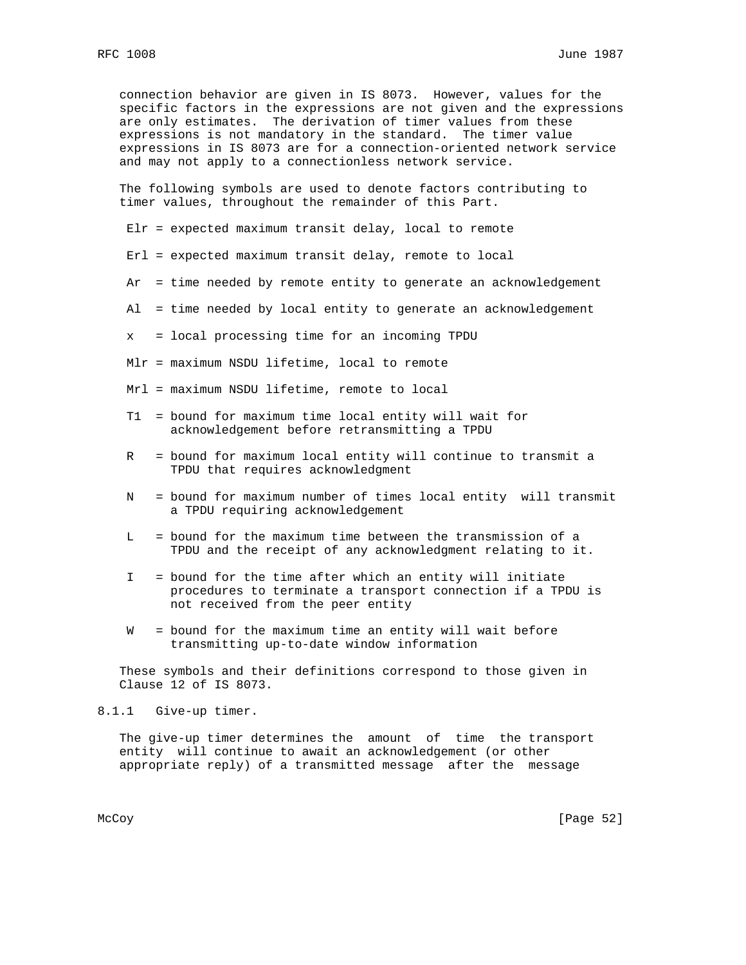connection behavior are given in IS 8073. However, values for the specific factors in the expressions are not given and the expressions are only estimates. The derivation of timer values from these expressions is not mandatory in the standard. The timer value expressions in IS 8073 are for a connection-oriented network service and may not apply to a connectionless network service.

 The following symbols are used to denote factors contributing to timer values, throughout the remainder of this Part.

Elr = expected maximum transit delay, local to remote

- Erl = expected maximum transit delay, remote to local
- Ar = time needed by remote entity to generate an acknowledgement
- Al = time needed by local entity to generate an acknowledgement
- x = local processing time for an incoming TPDU
- Mlr = maximum NSDU lifetime, local to remote
- Mrl = maximum NSDU lifetime, remote to local
- T1 = bound for maximum time local entity will wait for acknowledgement before retransmitting a TPDU
- R = bound for maximum local entity will continue to transmit a TPDU that requires acknowledgment
- N = bound for maximum number of times local entity will transmit a TPDU requiring acknowledgement
- L = bound for the maximum time between the transmission of a TPDU and the receipt of any acknowledgment relating to it.
- I = bound for the time after which an entity will initiate procedures to terminate a transport connection if a TPDU is not received from the peer entity
- W = bound for the maximum time an entity will wait before transmitting up-to-date window information

 These symbols and their definitions correspond to those given in Clause 12 of IS 8073.

8.1.1 Give-up timer.

 The give-up timer determines the amount of time the transport entity will continue to await an acknowledgement (or other appropriate reply) of a transmitted message after the message

McCoy [Page 52]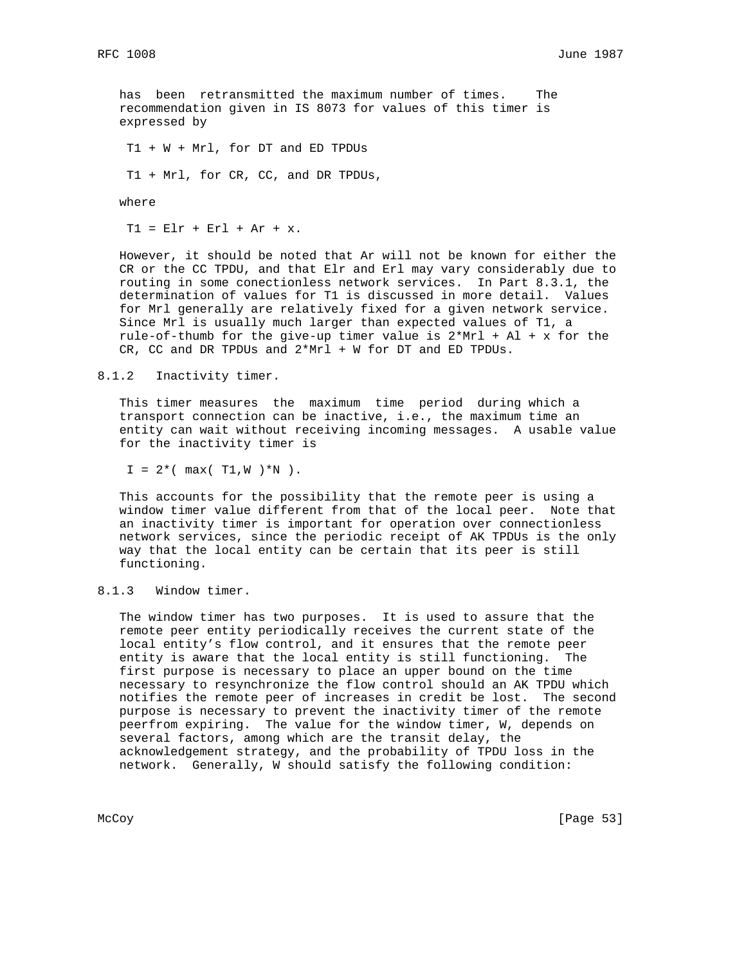has been retransmitted the maximum number of times. The recommendation given in IS 8073 for values of this timer is expressed by

T1 + W + Mrl, for DT and ED TPDUs

T1 + Mrl, for CR, CC, and DR TPDUs,

where

 $T1 = E1r + Er1 + Ar + x.$ 

 However, it should be noted that Ar will not be known for either the CR or the CC TPDU, and that Elr and Erl may vary considerably due to routing in some conectionless network services. In Part 8.3.1, the determination of values for T1 is discussed in more detail. Values for Mrl generally are relatively fixed for a given network service. Since Mrl is usually much larger than expected values of T1, a rule-of-thumb for the give-up timer value is  $2*MT + AI + x$  for the CR, CC and DR TPDUs and 2\*Mrl + W for DT and ED TPDUs.

8.1.2 Inactivity timer.

 This timer measures the maximum time period during which a transport connection can be inactive, i.e., the maximum time an entity can wait without receiving incoming messages. A usable value for the inactivity timer is

 $I = 2*(max(T1, W) * N).$ 

 This accounts for the possibility that the remote peer is using a window timer value different from that of the local peer. Note that an inactivity timer is important for operation over connectionless network services, since the periodic receipt of AK TPDUs is the only way that the local entity can be certain that its peer is still functioning.

#### 8.1.3 Window timer.

 The window timer has two purposes. It is used to assure that the remote peer entity periodically receives the current state of the local entity's flow control, and it ensures that the remote peer entity is aware that the local entity is still functioning. The first purpose is necessary to place an upper bound on the time necessary to resynchronize the flow control should an AK TPDU which notifies the remote peer of increases in credit be lost. The second purpose is necessary to prevent the inactivity timer of the remote peerfrom expiring. The value for the window timer, W, depends on several factors, among which are the transit delay, the acknowledgement strategy, and the probability of TPDU loss in the network. Generally, W should satisfy the following condition:

McCoy [Page 53]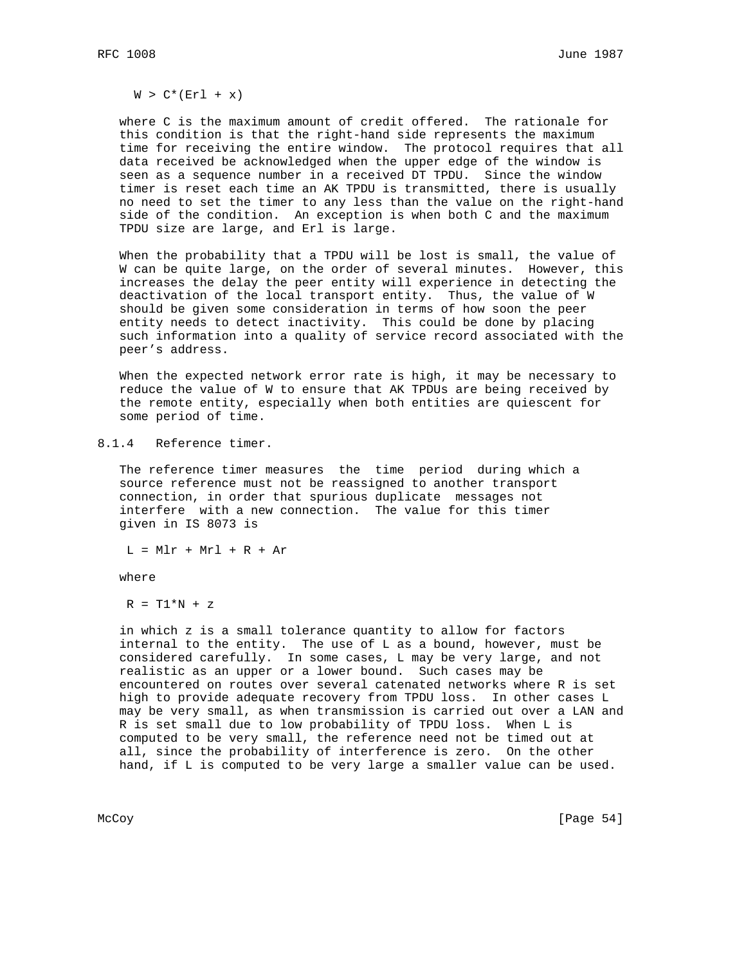$W > C^*(Erl + x)$ 

 where C is the maximum amount of credit offered. The rationale for this condition is that the right-hand side represents the maximum time for receiving the entire window. The protocol requires that all data received be acknowledged when the upper edge of the window is seen as a sequence number in a received DT TPDU. Since the window timer is reset each time an AK TPDU is transmitted, there is usually no need to set the timer to any less than the value on the right-hand side of the condition. An exception is when both C and the maximum TPDU size are large, and Erl is large.

 When the probability that a TPDU will be lost is small, the value of W can be quite large, on the order of several minutes. However, this increases the delay the peer entity will experience in detecting the deactivation of the local transport entity. Thus, the value of W should be given some consideration in terms of how soon the peer entity needs to detect inactivity. This could be done by placing such information into a quality of service record associated with the peer's address.

 When the expected network error rate is high, it may be necessary to reduce the value of W to ensure that AK TPDUs are being received by the remote entity, especially when both entities are quiescent for some period of time.

8.1.4 Reference timer.

 The reference timer measures the time period during which a source reference must not be reassigned to another transport connection, in order that spurious duplicate messages not interfere with a new connection. The value for this timer given in IS 8073 is

 $L = MLr + Mrl + R + Ar$ 

where

 $R = T1*N + z$ 

 in which z is a small tolerance quantity to allow for factors internal to the entity. The use of L as a bound, however, must be considered carefully. In some cases, L may be very large, and not realistic as an upper or a lower bound. Such cases may be encountered on routes over several catenated networks where R is set high to provide adequate recovery from TPDU loss. In other cases L may be very small, as when transmission is carried out over a LAN and R is set small due to low probability of TPDU loss. When L is computed to be very small, the reference need not be timed out at all, since the probability of interference is zero. On the other hand, if L is computed to be very large a smaller value can be used.

McCoy [Page 54]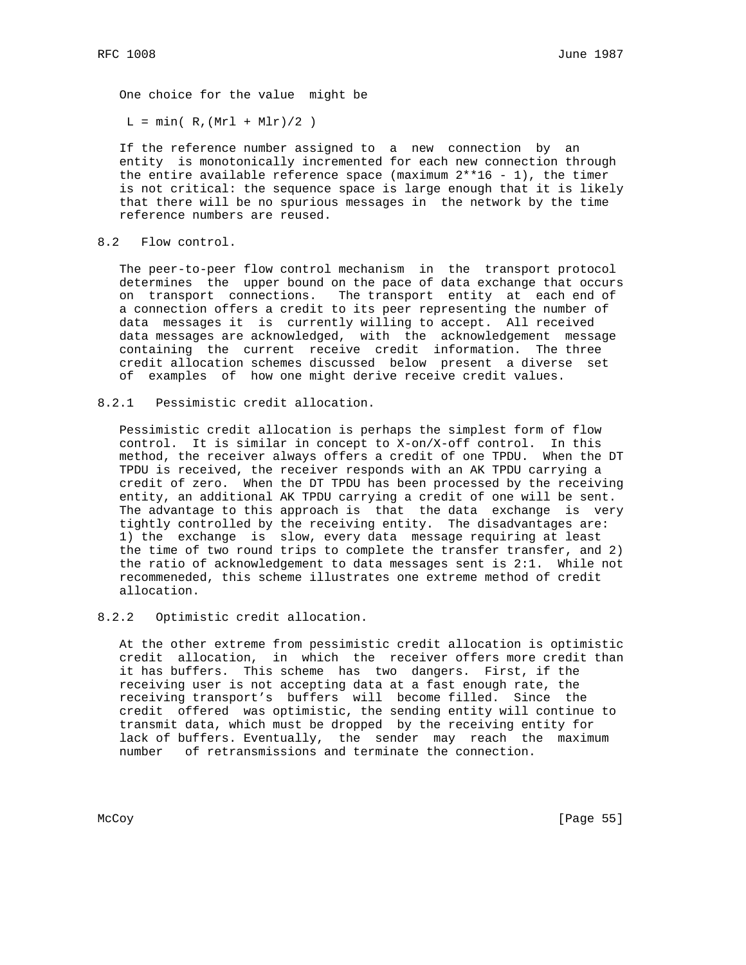One choice for the value might be

 $L = min( R, (Mrl + Mlr)/2 )$ 

 If the reference number assigned to a new connection by an entity is monotonically incremented for each new connection through the entire available reference space (maximum  $2**16 - 1$ ), the timer is not critical: the sequence space is large enough that it is likely that there will be no spurious messages in the network by the time reference numbers are reused.

# 8.2 Flow control.

 The peer-to-peer flow control mechanism in the transport protocol determines the upper bound on the pace of data exchange that occurs on transport connections. The transport entity at each end of a connection offers a credit to its peer representing the number of data messages it is currently willing to accept. All received data messages are acknowledged, with the acknowledgement message containing the current receive credit information. The three credit allocation schemes discussed below present a diverse set of examples of how one might derive receive credit values.

8.2.1 Pessimistic credit allocation.

 Pessimistic credit allocation is perhaps the simplest form of flow control. It is similar in concept to X-on/X-off control. In this method, the receiver always offers a credit of one TPDU. When the DT TPDU is received, the receiver responds with an AK TPDU carrying a credit of zero. When the DT TPDU has been processed by the receiving entity, an additional AK TPDU carrying a credit of one will be sent. The advantage to this approach is that the data exchange is very tightly controlled by the receiving entity. The disadvantages are: 1) the exchange is slow, every data message requiring at least the time of two round trips to complete the transfer transfer, and 2) the ratio of acknowledgement to data messages sent is 2:1. While not recommeneded, this scheme illustrates one extreme method of credit allocation.

#### 8.2.2 Optimistic credit allocation.

 At the other extreme from pessimistic credit allocation is optimistic credit allocation, in which the receiver offers more credit than it has buffers. This scheme has two dangers. First, if the receiving user is not accepting data at a fast enough rate, the receiving transport's buffers will become filled. Since the credit offered was optimistic, the sending entity will continue to transmit data, which must be dropped by the receiving entity for lack of buffers. Eventually, the sender may reach the maximum number of retransmissions and terminate the connection.

McCoy [Page 55]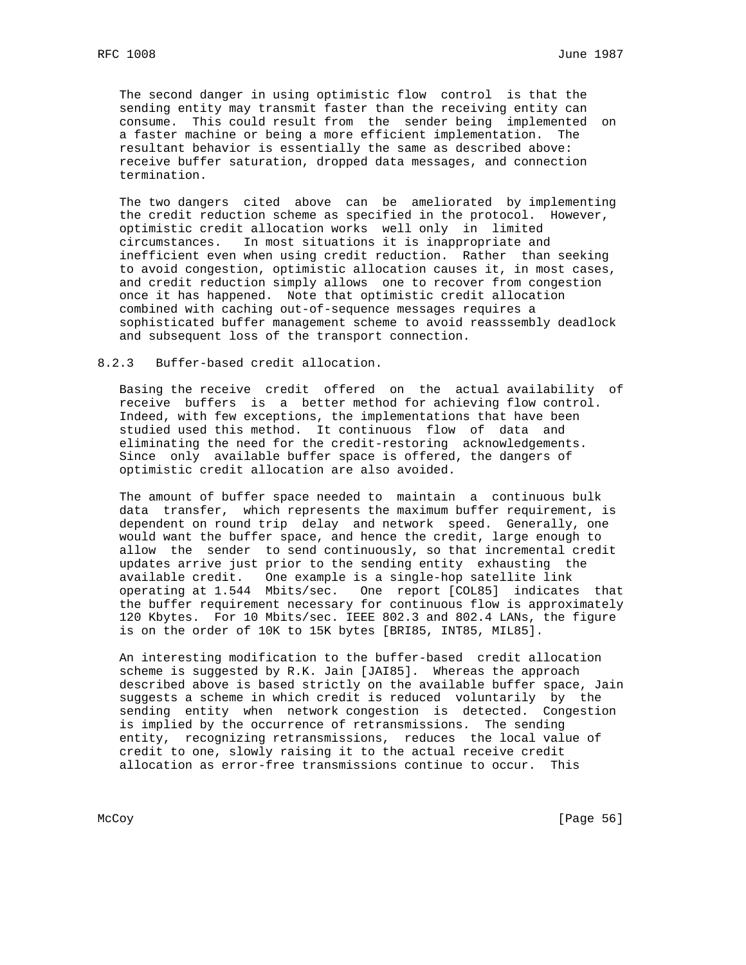The second danger in using optimistic flow control is that the sending entity may transmit faster than the receiving entity can consume. This could result from the sender being implemented on a faster machine or being a more efficient implementation. The resultant behavior is essentially the same as described above: receive buffer saturation, dropped data messages, and connection termination.

 The two dangers cited above can be ameliorated by implementing the credit reduction scheme as specified in the protocol. However, optimistic credit allocation works well only in limited circumstances. In most situations it is inappropriate and inefficient even when using credit reduction. Rather than seeking to avoid congestion, optimistic allocation causes it, in most cases, and credit reduction simply allows one to recover from congestion once it has happened. Note that optimistic credit allocation combined with caching out-of-sequence messages requires a sophisticated buffer management scheme to avoid reasssembly deadlock and subsequent loss of the transport connection.

### 8.2.3 Buffer-based credit allocation.

 Basing the receive credit offered on the actual availability of receive buffers is a better method for achieving flow control. Indeed, with few exceptions, the implementations that have been studied used this method. It continuous flow of data and eliminating the need for the credit-restoring acknowledgements. Since only available buffer space is offered, the dangers of optimistic credit allocation are also avoided.

 The amount of buffer space needed to maintain a continuous bulk data transfer, which represents the maximum buffer requirement, is dependent on round trip delay and network speed. Generally, one would want the buffer space, and hence the credit, large enough to allow the sender to send continuously, so that incremental credit updates arrive just prior to the sending entity exhausting the available credit. One example is a single-hop satellite link operating at 1.544 Mbits/sec. One report [COL85] indicates that the buffer requirement necessary for continuous flow is approximately 120 Kbytes. For 10 Mbits/sec. IEEE 802.3 and 802.4 LANs, the figure is on the order of 10K to 15K bytes [BRI85, INT85, MIL85].

 An interesting modification to the buffer-based credit allocation scheme is suggested by R.K. Jain [JAI85]. Whereas the approach described above is based strictly on the available buffer space, Jain suggests a scheme in which credit is reduced voluntarily by the sending entity when network congestion is detected. Congestion is implied by the occurrence of retransmissions. The sending entity, recognizing retransmissions, reduces the local value of credit to one, slowly raising it to the actual receive credit allocation as error-free transmissions continue to occur. This

McCoy [Page 56]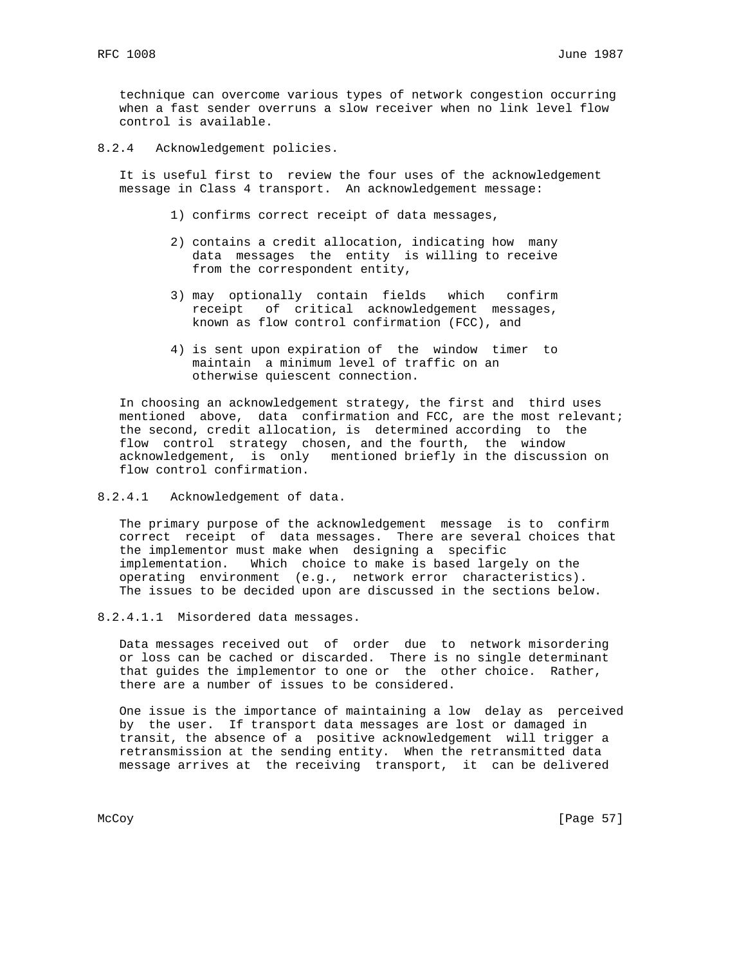technique can overcome various types of network congestion occurring when a fast sender overruns a slow receiver when no link level flow control is available.

8.2.4 Acknowledgement policies.

 It is useful first to review the four uses of the acknowledgement message in Class 4 transport. An acknowledgement message:

- 1) confirms correct receipt of data messages,
- 2) contains a credit allocation, indicating how many data messages the entity is willing to receive from the correspondent entity,
- 3) may optionally contain fields which confirm receipt of critical acknowledgement messages, known as flow control confirmation (FCC), and
- 4) is sent upon expiration of the window timer to maintain a minimum level of traffic on an otherwise quiescent connection.

 In choosing an acknowledgement strategy, the first and third uses mentioned above, data confirmation and FCC, are the most relevant; the second, credit allocation, is determined according to the flow control strategy chosen, and the fourth, the window acknowledgement, is only mentioned briefly in the discussion on flow control confirmation.

8.2.4.1 Acknowledgement of data.

 The primary purpose of the acknowledgement message is to confirm correct receipt of data messages. There are several choices that the implementor must make when designing a specific implementation. Which choice to make is based largely on the operating environment (e.g., network error characteristics). The issues to be decided upon are discussed in the sections below.

8.2.4.1.1 Misordered data messages.

 Data messages received out of order due to network misordering or loss can be cached or discarded. There is no single determinant that guides the implementor to one or the other choice. Rather, there are a number of issues to be considered.

 One issue is the importance of maintaining a low delay as perceived by the user. If transport data messages are lost or damaged in transit, the absence of a positive acknowledgement will trigger a retransmission at the sending entity. When the retransmitted data message arrives at the receiving transport, it can be delivered

McCoy [Page 57]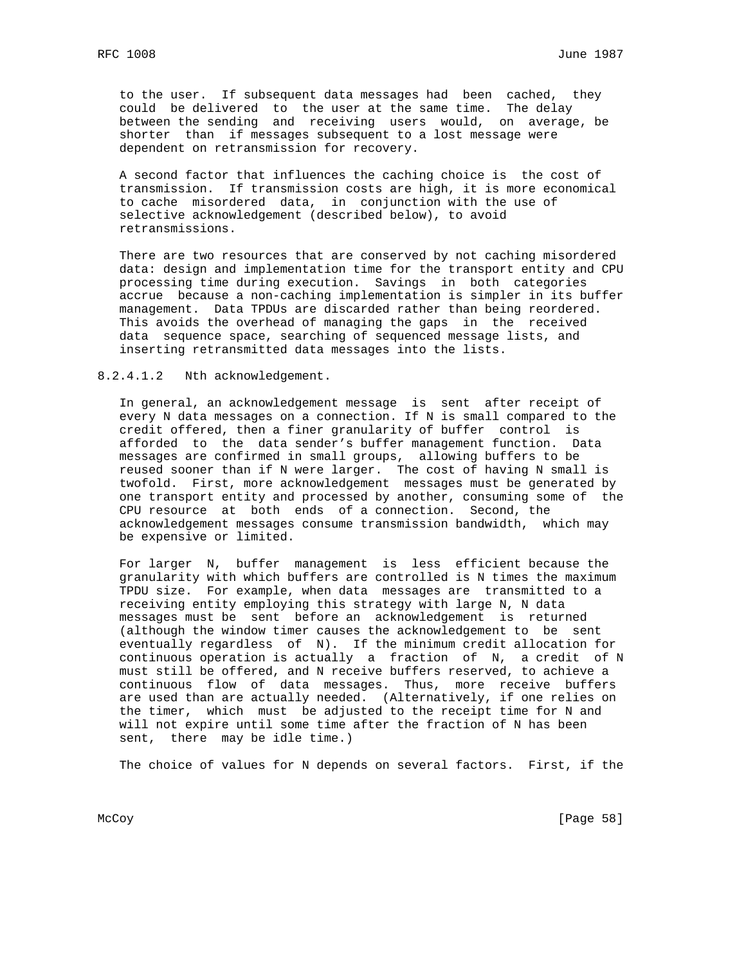to the user. If subsequent data messages had been cached, they could be delivered to the user at the same time. The delay between the sending and receiving users would, on average, be shorter than if messages subsequent to a lost message were dependent on retransmission for recovery.

 A second factor that influences the caching choice is the cost of transmission. If transmission costs are high, it is more economical to cache misordered data, in conjunction with the use of selective acknowledgement (described below), to avoid retransmissions.

 There are two resources that are conserved by not caching misordered data: design and implementation time for the transport entity and CPU processing time during execution. Savings in both categories accrue because a non-caching implementation is simpler in its buffer management. Data TPDUs are discarded rather than being reordered. This avoids the overhead of managing the gaps in the received data sequence space, searching of sequenced message lists, and inserting retransmitted data messages into the lists.

8.2.4.1.2 Nth acknowledgement.

 In general, an acknowledgement message is sent after receipt of every N data messages on a connection. If N is small compared to the credit offered, then a finer granularity of buffer control is afforded to the data sender's buffer management function. Data messages are confirmed in small groups, allowing buffers to be reused sooner than if N were larger. The cost of having N small is twofold. First, more acknowledgement messages must be generated by one transport entity and processed by another, consuming some of the CPU resource at both ends of a connection. Second, the acknowledgement messages consume transmission bandwidth, which may be expensive or limited.

 For larger N, buffer management is less efficient because the granularity with which buffers are controlled is N times the maximum TPDU size. For example, when data messages are transmitted to a receiving entity employing this strategy with large N, N data messages must be sent before an acknowledgement is returned (although the window timer causes the acknowledgement to be sent eventually regardless of N). If the minimum credit allocation for continuous operation is actually a fraction of N, a credit of N must still be offered, and N receive buffers reserved, to achieve a continuous flow of data messages. Thus, more receive buffers are used than are actually needed. (Alternatively, if one relies on the timer, which must be adjusted to the receipt time for N and will not expire until some time after the fraction of N has been sent, there may be idle time.)

The choice of values for N depends on several factors. First, if the

McCoy [Page 58]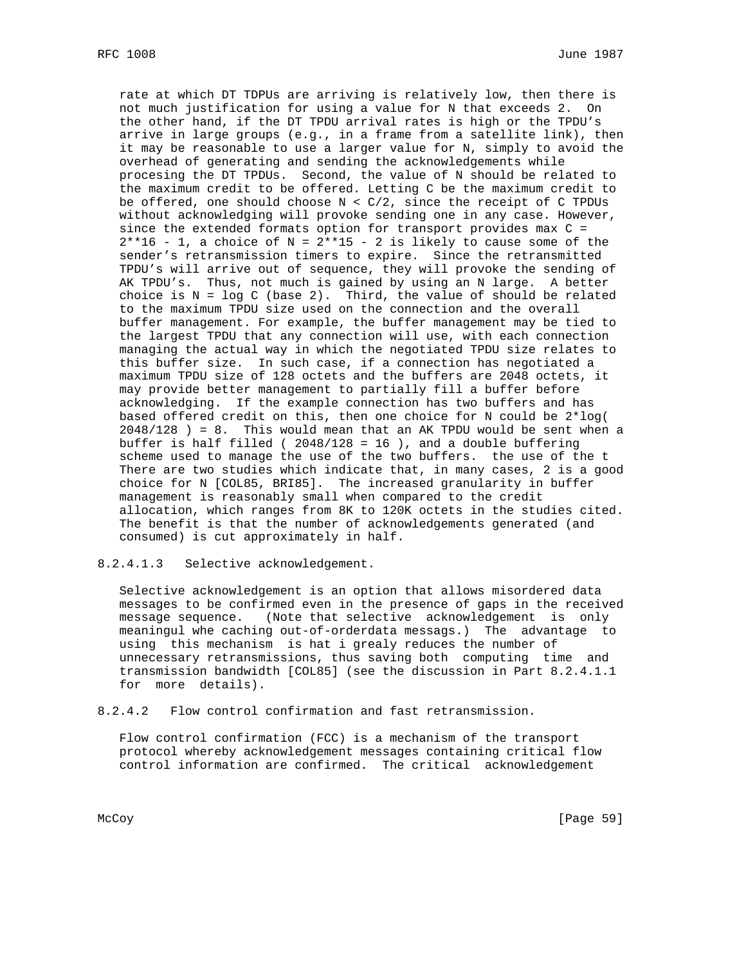rate at which DT TDPUs are arriving is relatively low, then there is not much justification for using a value for N that exceeds 2. On the other hand, if the DT TPDU arrival rates is high or the TPDU's arrive in large groups (e.g., in a frame from a satellite link), then it may be reasonable to use a larger value for N, simply to avoid the overhead of generating and sending the acknowledgements while procesing the DT TPDUs. Second, the value of N should be related to the maximum credit to be offered. Letting C be the maximum credit to be offered, one should choose  $N < C/2$ , since the receipt of C TPDUs without acknowledging will provoke sending one in any case. However, since the extended formats option for transport provides max C =  $2*16 - 1$ , a choice of N =  $2**15 - 2$  is likely to cause some of the sender's retransmission timers to expire. Since the retransmitted TPDU's will arrive out of sequence, they will provoke the sending of AK TPDU's. Thus, not much is gained by using an N large. A better choice is  $N = log C$  (base 2). Third, the value of should be related to the maximum TPDU size used on the connection and the overall buffer management. For example, the buffer management may be tied to the largest TPDU that any connection will use, with each connection managing the actual way in which the negotiated TPDU size relates to this buffer size. In such case, if a connection has negotiated a maximum TPDU size of 128 octets and the buffers are 2048 octets, it may provide better management to partially fill a buffer before acknowledging. If the example connection has two buffers and has based offered credit on this, then one choice for N could be 2\*log( 2048/128 ) = 8. This would mean that an AK TPDU would be sent when a buffer is half filled ( 2048/128 = 16 ), and a double buffering scheme used to manage the use of the two buffers. the use of the t There are two studies which indicate that, in many cases, 2 is a good choice for N [COL85, BRI85]. The increased granularity in buffer management is reasonably small when compared to the credit allocation, which ranges from 8K to 120K octets in the studies cited. The benefit is that the number of acknowledgements generated (and consumed) is cut approximately in half.

8.2.4.1.3 Selective acknowledgement.

 Selective acknowledgement is an option that allows misordered data messages to be confirmed even in the presence of gaps in the received message sequence. (Note that selective acknowledgement is only meaningul whe caching out-of-orderdata messags.) The advantage to using this mechanism is hat i grealy reduces the number of unnecessary retransmissions, thus saving both computing time and transmission bandwidth [COL85] (see the discussion in Part 8.2.4.1.1 for more details).

8.2.4.2 Flow control confirmation and fast retransmission.

 Flow control confirmation (FCC) is a mechanism of the transport protocol whereby acknowledgement messages containing critical flow control information are confirmed. The critical acknowledgement

McCoy [Page 59]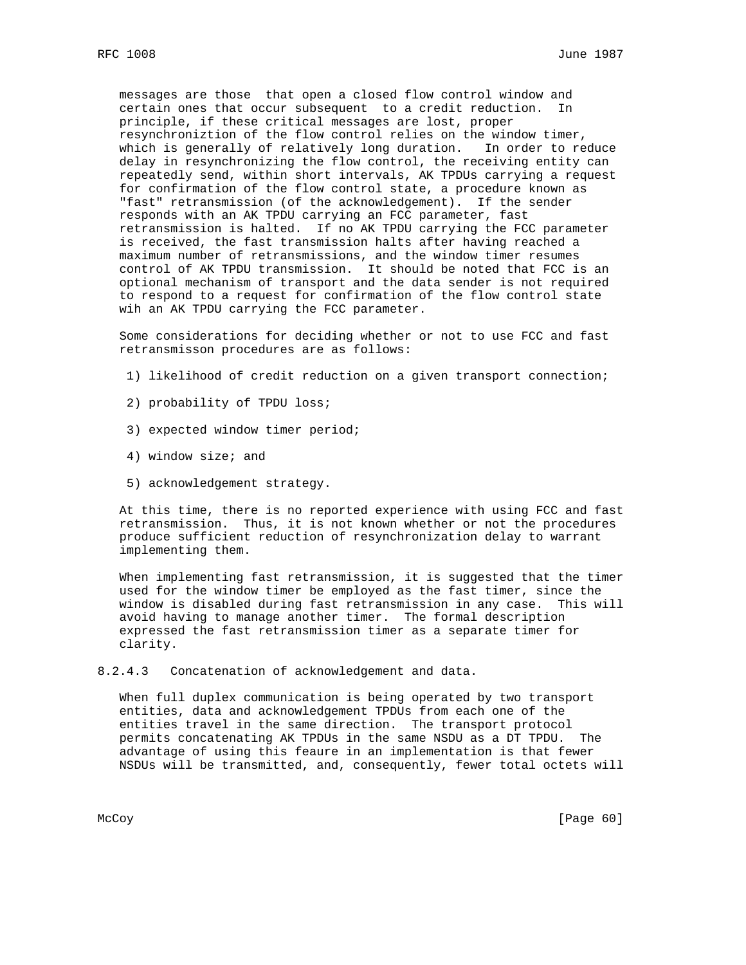messages are those that open a closed flow control window and certain ones that occur subsequent to a credit reduction. In principle, if these critical messages are lost, proper resynchroniztion of the flow control relies on the window timer, which is generally of relatively long duration. In order to reduce delay in resynchronizing the flow control, the receiving entity can repeatedly send, within short intervals, AK TPDUs carrying a request for confirmation of the flow control state, a procedure known as "fast" retransmission (of the acknowledgement). If the sender responds with an AK TPDU carrying an FCC parameter, fast retransmission is halted. If no AK TPDU carrying the FCC parameter is received, the fast transmission halts after having reached a maximum number of retransmissions, and the window timer resumes control of AK TPDU transmission. It should be noted that FCC is an optional mechanism of transport and the data sender is not required to respond to a request for confirmation of the flow control state wih an AK TPDU carrying the FCC parameter.

 Some considerations for deciding whether or not to use FCC and fast retransmisson procedures are as follows:

- 1) likelihood of credit reduction on a given transport connection;
- 2) probability of TPDU loss;
- 3) expected window timer period;
- 4) window size; and
- 5) acknowledgement strategy.

 At this time, there is no reported experience with using FCC and fast retransmission. Thus, it is not known whether or not the procedures produce sufficient reduction of resynchronization delay to warrant implementing them.

 When implementing fast retransmission, it is suggested that the timer used for the window timer be employed as the fast timer, since the window is disabled during fast retransmission in any case. This will avoid having to manage another timer. The formal description expressed the fast retransmission timer as a separate timer for clarity.

8.2.4.3 Concatenation of acknowledgement and data.

 When full duplex communication is being operated by two transport entities, data and acknowledgement TPDUs from each one of the entities travel in the same direction. The transport protocol permits concatenating AK TPDUs in the same NSDU as a DT TPDU. The advantage of using this feaure in an implementation is that fewer NSDUs will be transmitted, and, consequently, fewer total octets will

McCoy [Page 60]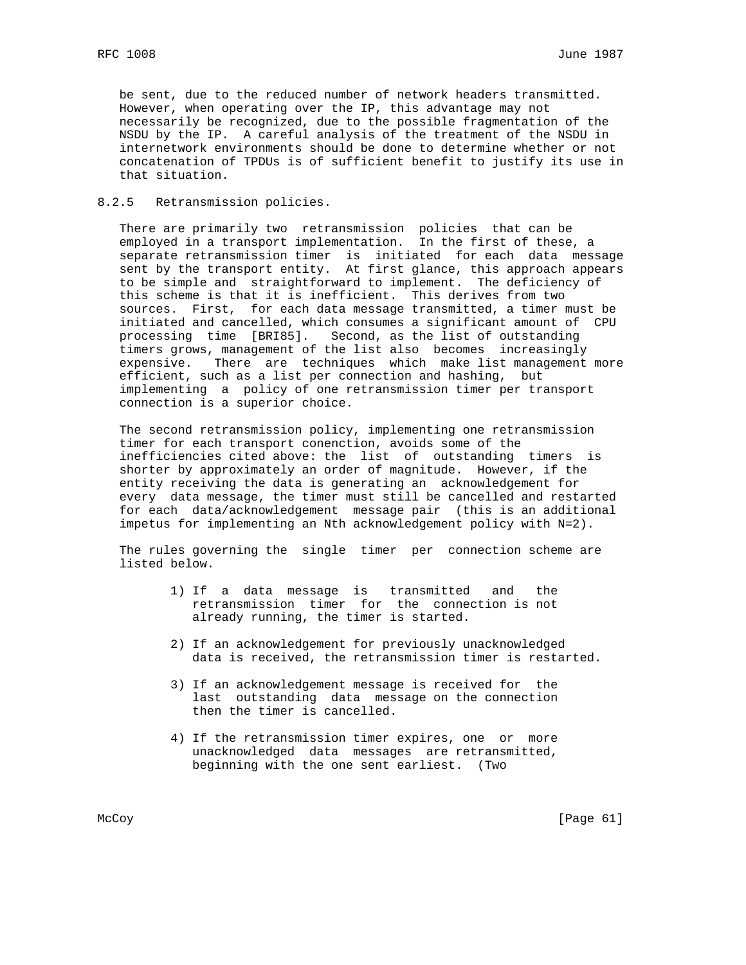be sent, due to the reduced number of network headers transmitted. However, when operating over the IP, this advantage may not necessarily be recognized, due to the possible fragmentation of the NSDU by the IP. A careful analysis of the treatment of the NSDU in internetwork environments should be done to determine whether or not concatenation of TPDUs is of sufficient benefit to justify its use in that situation.

# 8.2.5 Retransmission policies.

 There are primarily two retransmission policies that can be employed in a transport implementation. In the first of these, a separate retransmission timer is initiated for each data message sent by the transport entity. At first glance, this approach appears to be simple and straightforward to implement. The deficiency of this scheme is that it is inefficient. This derives from two sources. First, for each data message transmitted, a timer must be initiated and cancelled, which consumes a significant amount of CPU processing time [BRI85]. Second, as the list of outstanding timers grows, management of the list also becomes increasingly expensive. There are techniques which make list management more efficient, such as a list per connection and hashing, but implementing a policy of one retransmission timer per transport connection is a superior choice.

 The second retransmission policy, implementing one retransmission timer for each transport conenction, avoids some of the inefficiencies cited above: the list of outstanding timers is shorter by approximately an order of magnitude. However, if the entity receiving the data is generating an acknowledgement for every data message, the timer must still be cancelled and restarted for each data/acknowledgement message pair (this is an additional impetus for implementing an Nth acknowledgement policy with N=2).

 The rules governing the single timer per connection scheme are listed below.

- 1) If a data message is transmitted and the retransmission timer for the connection is not already running, the timer is started.
	- 2) If an acknowledgement for previously unacknowledged data is received, the retransmission timer is restarted.
	- 3) If an acknowledgement message is received for the last outstanding data message on the connection then the timer is cancelled.
	- 4) If the retransmission timer expires, one or more unacknowledged data messages are retransmitted, beginning with the one sent earliest. (Two

McCoy [Page 61]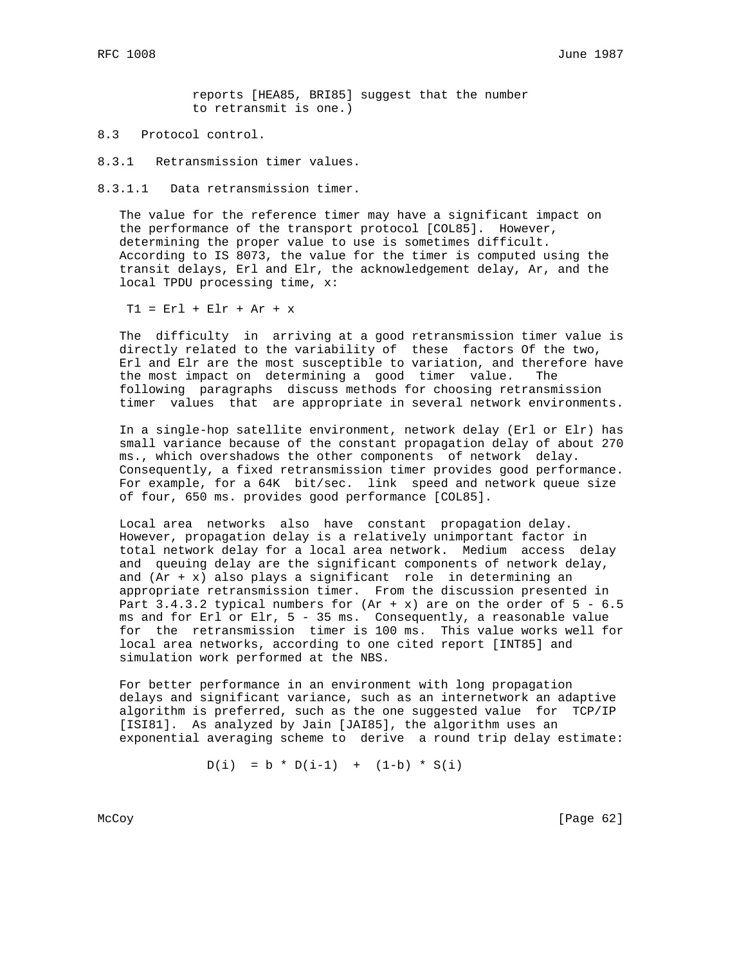reports [HEA85, BRI85] suggest that the number to retransmit is one.)

8.3 Protocol control.

8.3.1 Retransmission timer values.

8.3.1.1 Data retransmission timer.

 The value for the reference timer may have a significant impact on the performance of the transport protocol [COL85]. However, determining the proper value to use is sometimes difficult. According to IS 8073, the value for the timer is computed using the transit delays, Erl and Elr, the acknowledgement delay, Ar, and the local TPDU processing time, x:

T1 = Erl + Elr + Ar + x

 The difficulty in arriving at a good retransmission timer value is directly related to the variability of these factors Of the two, Erl and Elr are the most susceptible to variation, and therefore have the most impact on determining a good timer value. The following paragraphs discuss methods for choosing retransmission timer values that are appropriate in several network environments.

 In a single-hop satellite environment, network delay (Erl or Elr) has small variance because of the constant propagation delay of about 270 ms., which overshadows the other components of network delay. Consequently, a fixed retransmission timer provides good performance. For example, for a 64K bit/sec. link speed and network queue size of four, 650 ms. provides good performance [COL85].

 Local area networks also have constant propagation delay. However, propagation delay is a relatively unimportant factor in total network delay for a local area network. Medium access delay and queuing delay are the significant components of network delay, and  $(Ar + x)$  also plays a significant role in determining an appropriate retransmission timer. From the discussion presented in Part 3.4.3.2 typical numbers for  $(Rr + x)$  are on the order of 5 - 6.5 ms and for Erl or Elr, 5 - 35 ms. Consequently, a reasonable value for the retransmission timer is 100 ms. This value works well for local area networks, according to one cited report [INT85] and simulation work performed at the NBS.

 For better performance in an environment with long propagation delays and significant variance, such as an internetwork an adaptive algorithm is preferred, such as the one suggested value for TCP/IP [ISI81]. As analyzed by Jain [JAI85], the algorithm uses an exponential averaging scheme to derive a round trip delay estimate:

 $D(i) = b * D(i-1) + (1-b) * S(i)$ 

McCoy [Page 62]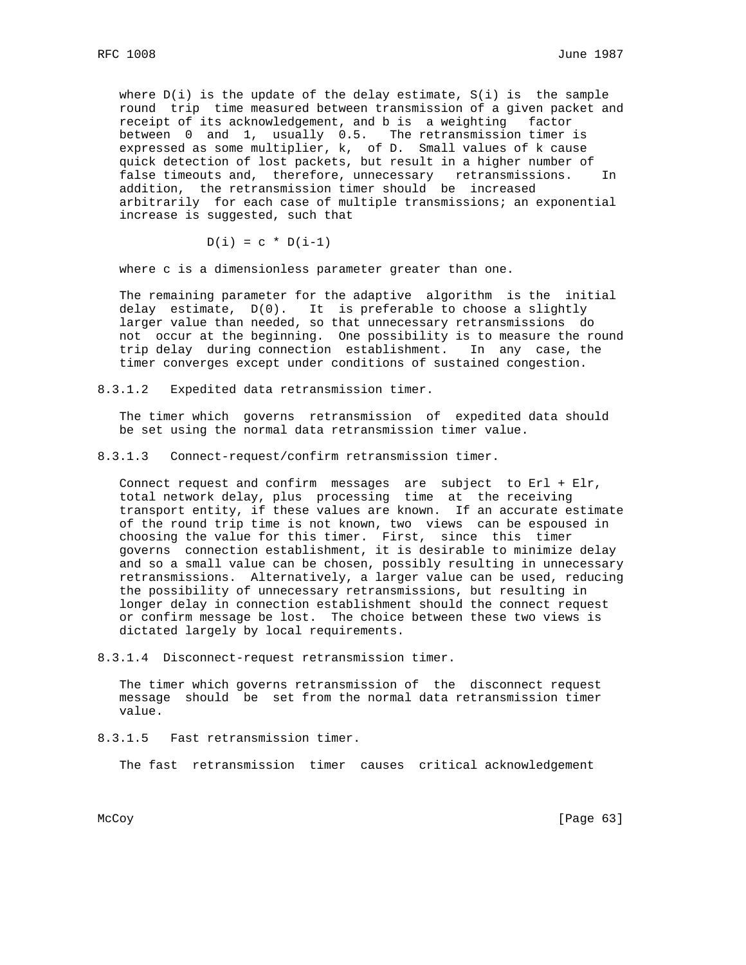where  $D(i)$  is the update of the delay estimate,  $S(i)$  is the sample round trip time measured between transmission of a given packet and receipt of its acknowledgement, and b is a weighting factor between 0 and 1, usually 0.5. The retransmission timer is expressed as some multiplier, k, of D. Small values of k cause quick detection of lost packets, but result in a higher number of false timeouts and, therefore, unnecessary retransmissions. In addition, the retransmission timer should be increased arbitrarily for each case of multiple transmissions; an exponential increase is suggested, such that

$$
D(i) = c * D(i-1)
$$

where c is a dimensionless parameter greater than one.

 The remaining parameter for the adaptive algorithm is the initial delay estimate, D(0). It is preferable to choose a slightly larger value than needed, so that unnecessary retransmissions do not occur at the beginning. One possibility is to measure the round trip delay during connection establishment. In any case, the timer converges except under conditions of sustained congestion.

8.3.1.2 Expedited data retransmission timer.

 The timer which governs retransmission of expedited data should be set using the normal data retransmission timer value.

8.3.1.3 Connect-request/confirm retransmission timer.

 Connect request and confirm messages are subject to Erl + Elr, total network delay, plus processing time at the receiving transport entity, if these values are known. If an accurate estimate of the round trip time is not known, two views can be espoused in choosing the value for this timer. First, since this timer governs connection establishment, it is desirable to minimize delay and so a small value can be chosen, possibly resulting in unnecessary retransmissions. Alternatively, a larger value can be used, reducing the possibility of unnecessary retransmissions, but resulting in longer delay in connection establishment should the connect request or confirm message be lost. The choice between these two views is dictated largely by local requirements.

8.3.1.4 Disconnect-request retransmission timer.

 The timer which governs retransmission of the disconnect request message should be set from the normal data retransmission timer value.

8.3.1.5 Fast retransmission timer.

The fast retransmission timer causes critical acknowledgement

McCoy [Page 63]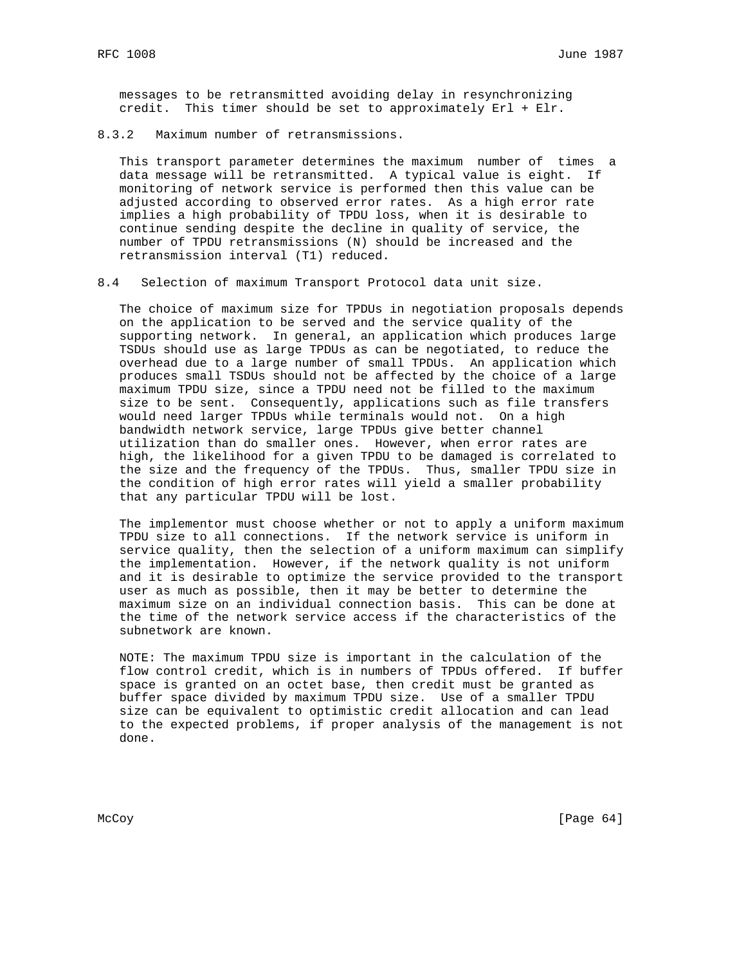messages to be retransmitted avoiding delay in resynchronizing credit. This timer should be set to approximately Erl + Elr.

8.3.2 Maximum number of retransmissions.

 This transport parameter determines the maximum number of times a data message will be retransmitted. A typical value is eight. If monitoring of network service is performed then this value can be adjusted according to observed error rates. As a high error rate implies a high probability of TPDU loss, when it is desirable to continue sending despite the decline in quality of service, the number of TPDU retransmissions (N) should be increased and the retransmission interval (T1) reduced.

8.4 Selection of maximum Transport Protocol data unit size.

 The choice of maximum size for TPDUs in negotiation proposals depends on the application to be served and the service quality of the supporting network. In general, an application which produces large TSDUs should use as large TPDUs as can be negotiated, to reduce the overhead due to a large number of small TPDUs. An application which produces small TSDUs should not be affected by the choice of a large maximum TPDU size, since a TPDU need not be filled to the maximum size to be sent. Consequently, applications such as file transfers would need larger TPDUs while terminals would not. On a high bandwidth network service, large TPDUs give better channel utilization than do smaller ones. However, when error rates are high, the likelihood for a given TPDU to be damaged is correlated to the size and the frequency of the TPDUs. Thus, smaller TPDU size in the condition of high error rates will yield a smaller probability that any particular TPDU will be lost.

 The implementor must choose whether or not to apply a uniform maximum TPDU size to all connections. If the network service is uniform in service quality, then the selection of a uniform maximum can simplify the implementation. However, if the network quality is not uniform and it is desirable to optimize the service provided to the transport user as much as possible, then it may be better to determine the maximum size on an individual connection basis. This can be done at the time of the network service access if the characteristics of the subnetwork are known.

 NOTE: The maximum TPDU size is important in the calculation of the flow control credit, which is in numbers of TPDUs offered. If buffer space is granted on an octet base, then credit must be granted as buffer space divided by maximum TPDU size. Use of a smaller TPDU size can be equivalent to optimistic credit allocation and can lead to the expected problems, if proper analysis of the management is not done.

McCoy [Page 64]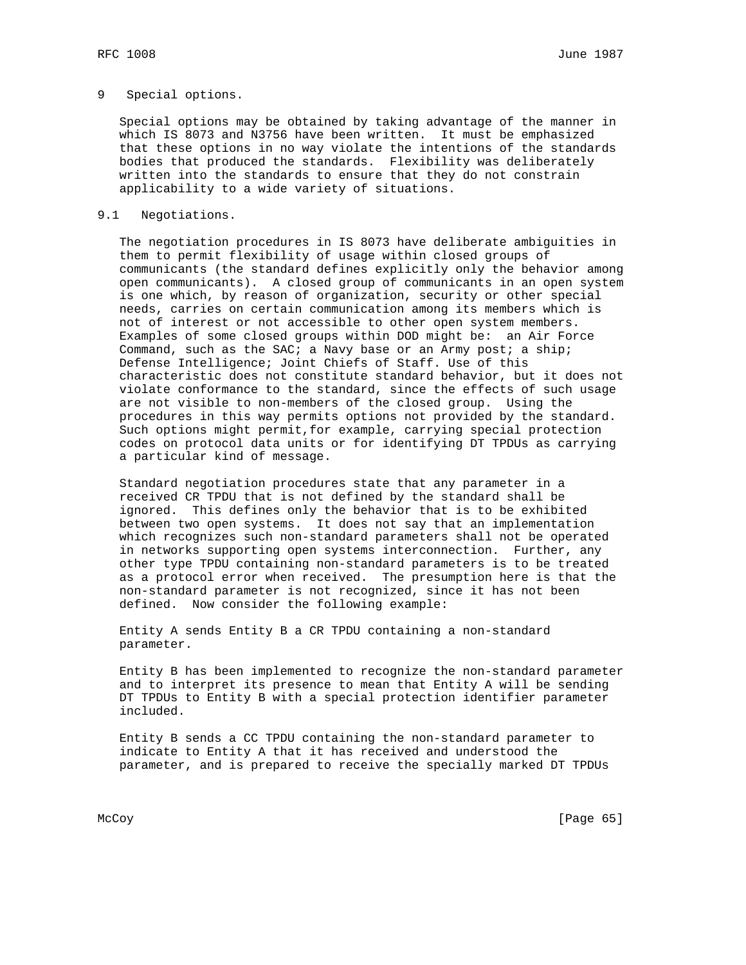# 9 Special options.

 Special options may be obtained by taking advantage of the manner in which IS 8073 and N3756 have been written. It must be emphasized that these options in no way violate the intentions of the standards bodies that produced the standards. Flexibility was deliberately written into the standards to ensure that they do not constrain applicability to a wide variety of situations.

## 9.1 Negotiations.

 The negotiation procedures in IS 8073 have deliberate ambiguities in them to permit flexibility of usage within closed groups of communicants (the standard defines explicitly only the behavior among open communicants). A closed group of communicants in an open system is one which, by reason of organization, security or other special needs, carries on certain communication among its members which is not of interest or not accessible to other open system members. Examples of some closed groups within DOD might be: an Air Force Command, such as the SAC; a Navy base or an Army post; a ship; Defense Intelligence; Joint Chiefs of Staff. Use of this characteristic does not constitute standard behavior, but it does not violate conformance to the standard, since the effects of such usage are not visible to non-members of the closed group. Using the procedures in this way permits options not provided by the standard. Such options might permit,for example, carrying special protection codes on protocol data units or for identifying DT TPDUs as carrying a particular kind of message.

 Standard negotiation procedures state that any parameter in a received CR TPDU that is not defined by the standard shall be ignored. This defines only the behavior that is to be exhibited between two open systems. It does not say that an implementation which recognizes such non-standard parameters shall not be operated in networks supporting open systems interconnection. Further, any other type TPDU containing non-standard parameters is to be treated as a protocol error when received. The presumption here is that the non-standard parameter is not recognized, since it has not been defined. Now consider the following example:

 Entity A sends Entity B a CR TPDU containing a non-standard parameter.

 Entity B has been implemented to recognize the non-standard parameter and to interpret its presence to mean that Entity A will be sending DT TPDUs to Entity B with a special protection identifier parameter included.

 Entity B sends a CC TPDU containing the non-standard parameter to indicate to Entity A that it has received and understood the parameter, and is prepared to receive the specially marked DT TPDUs

McCoy [Page 65]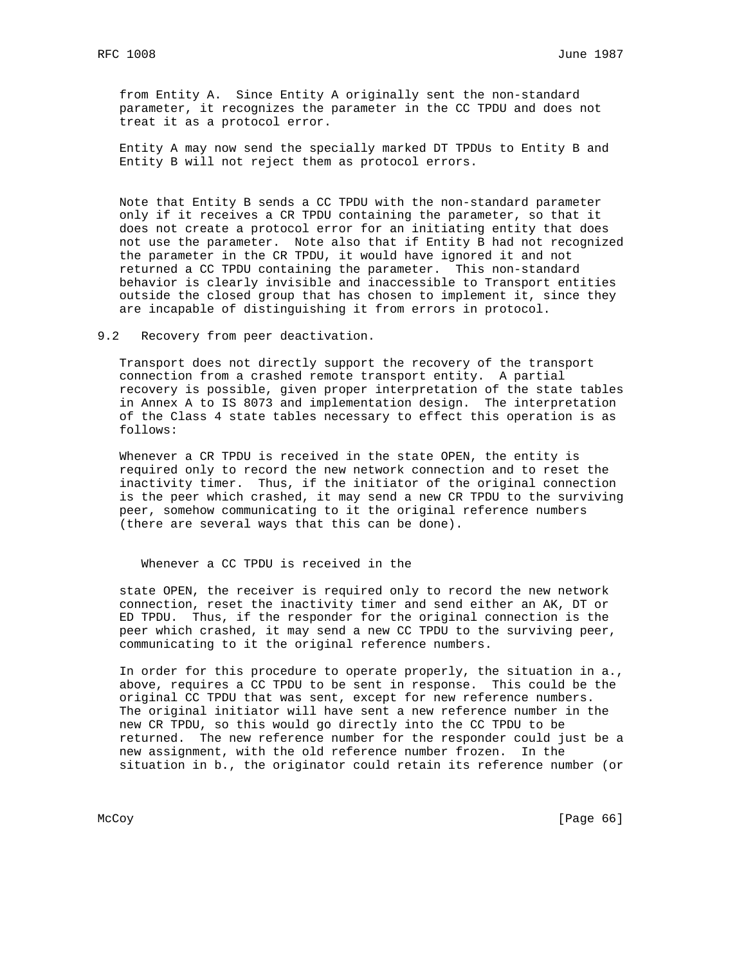from Entity A. Since Entity A originally sent the non-standard parameter, it recognizes the parameter in the CC TPDU and does not treat it as a protocol error.

 Entity A may now send the specially marked DT TPDUs to Entity B and Entity B will not reject them as protocol errors.

 Note that Entity B sends a CC TPDU with the non-standard parameter only if it receives a CR TPDU containing the parameter, so that it does not create a protocol error for an initiating entity that does not use the parameter. Note also that if Entity B had not recognized the parameter in the CR TPDU, it would have ignored it and not returned a CC TPDU containing the parameter. This non-standard behavior is clearly invisible and inaccessible to Transport entities outside the closed group that has chosen to implement it, since they are incapable of distinguishing it from errors in protocol.

9.2 Recovery from peer deactivation.

 Transport does not directly support the recovery of the transport connection from a crashed remote transport entity. A partial recovery is possible, given proper interpretation of the state tables in Annex A to IS 8073 and implementation design. The interpretation of the Class 4 state tables necessary to effect this operation is as follows:

 Whenever a CR TPDU is received in the state OPEN, the entity is required only to record the new network connection and to reset the inactivity timer. Thus, if the initiator of the original connection is the peer which crashed, it may send a new CR TPDU to the surviving peer, somehow communicating to it the original reference numbers (there are several ways that this can be done).

Whenever a CC TPDU is received in the

 state OPEN, the receiver is required only to record the new network connection, reset the inactivity timer and send either an AK, DT or ED TPDU. Thus, if the responder for the original connection is the peer which crashed, it may send a new CC TPDU to the surviving peer, communicating to it the original reference numbers.

 In order for this procedure to operate properly, the situation in a., above, requires a CC TPDU to be sent in response. This could be the original CC TPDU that was sent, except for new reference numbers. The original initiator will have sent a new reference number in the new CR TPDU, so this would go directly into the CC TPDU to be returned. The new reference number for the responder could just be a new assignment, with the old reference number frozen. In the situation in b., the originator could retain its reference number (or

McCoy [Page 66]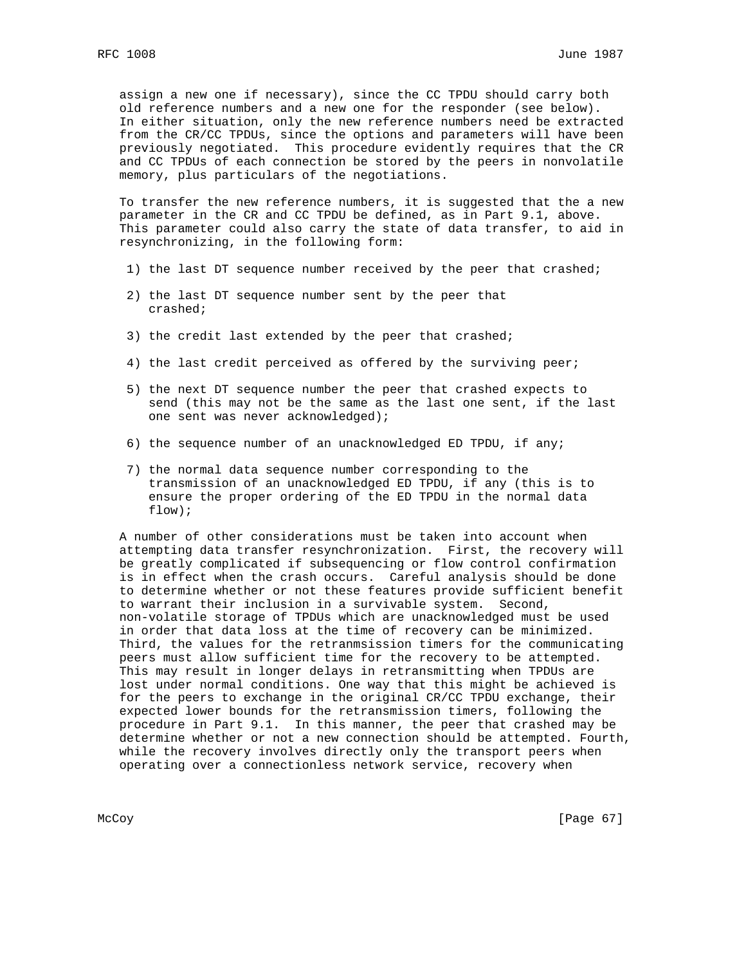assign a new one if necessary), since the CC TPDU should carry both old reference numbers and a new one for the responder (see below). In either situation, only the new reference numbers need be extracted from the CR/CC TPDUs, since the options and parameters will have been previously negotiated. This procedure evidently requires that the CR and CC TPDUs of each connection be stored by the peers in nonvolatile memory, plus particulars of the negotiations.

 To transfer the new reference numbers, it is suggested that the a new parameter in the CR and CC TPDU be defined, as in Part 9.1, above. This parameter could also carry the state of data transfer, to aid in resynchronizing, in the following form:

- 1) the last DT sequence number received by the peer that crashed;
- 2) the last DT sequence number sent by the peer that crashed;
- 3) the credit last extended by the peer that crashed;
- 4) the last credit perceived as offered by the surviving peer;
- 5) the next DT sequence number the peer that crashed expects to send (this may not be the same as the last one sent, if the last one sent was never acknowledged);
- 6) the sequence number of an unacknowledged ED TPDU, if any;
- 7) the normal data sequence number corresponding to the transmission of an unacknowledged ED TPDU, if any (this is to ensure the proper ordering of the ED TPDU in the normal data flow);

 A number of other considerations must be taken into account when attempting data transfer resynchronization. First, the recovery will be greatly complicated if subsequencing or flow control confirmation is in effect when the crash occurs. Careful analysis should be done to determine whether or not these features provide sufficient benefit to warrant their inclusion in a survivable system. Second, non-volatile storage of TPDUs which are unacknowledged must be used in order that data loss at the time of recovery can be minimized. Third, the values for the retranmsission timers for the communicating peers must allow sufficient time for the recovery to be attempted. This may result in longer delays in retransmitting when TPDUs are lost under normal conditions. One way that this might be achieved is for the peers to exchange in the original CR/CC TPDU exchange, their expected lower bounds for the retransmission timers, following the procedure in Part 9.1. In this manner, the peer that crashed may be determine whether or not a new connection should be attempted. Fourth, while the recovery involves directly only the transport peers when operating over a connectionless network service, recovery when

McCoy [Page 67]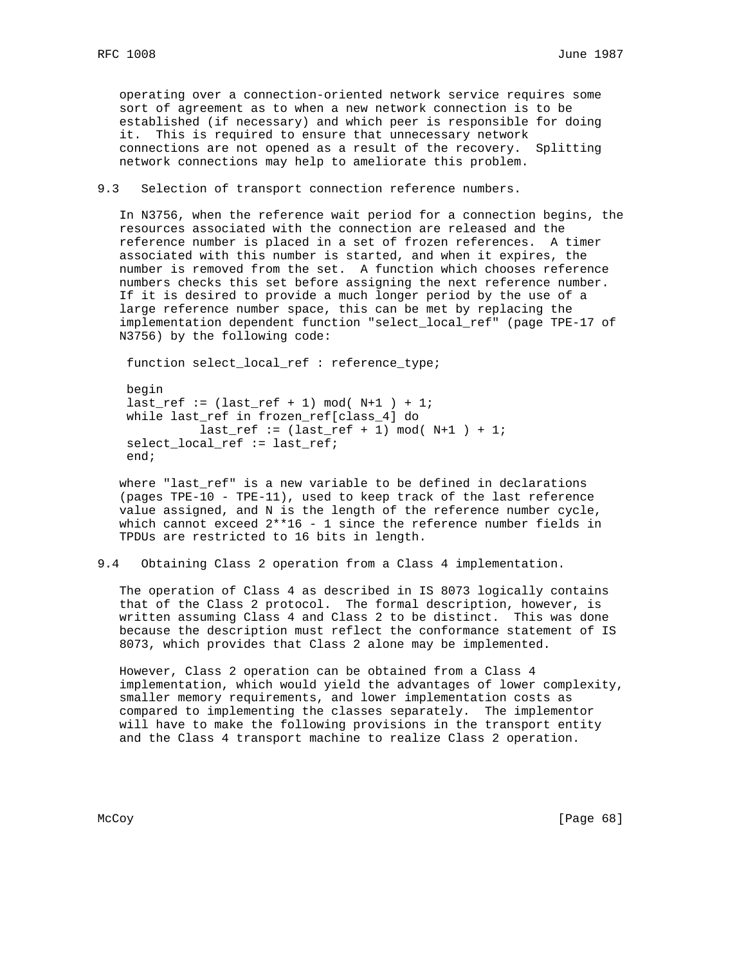operating over a connection-oriented network service requires some sort of agreement as to when a new network connection is to be established (if necessary) and which peer is responsible for doing it. This is required to ensure that unnecessary network connections are not opened as a result of the recovery. Splitting network connections may help to ameliorate this problem.

9.3 Selection of transport connection reference numbers.

 In N3756, when the reference wait period for a connection begins, the resources associated with the connection are released and the reference number is placed in a set of frozen references. A timer associated with this number is started, and when it expires, the number is removed from the set. A function which chooses reference numbers checks this set before assigning the next reference number. If it is desired to provide a much longer period by the use of a large reference number space, this can be met by replacing the implementation dependent function "select\_local\_ref" (page TPE-17 of N3756) by the following code:

function select\_local\_ref : reference\_type;

 begin  $last_ref := (last_ref + 1) mod( N+1 ) + 1;$  while last\_ref in frozen\_ref[class\_4] do  $last_ref := (last_ref + 1) mod( N+1 ) + 1;$  select\_local\_ref := last\_ref; end;

 where "last\_ref" is a new variable to be defined in declarations (pages TPE-10 - TPE-11), used to keep track of the last reference value assigned, and N is the length of the reference number cycle, which cannot exceed  $2*16 - 1$  since the reference number fields in TPDUs are restricted to 16 bits in length.

9.4 Obtaining Class 2 operation from a Class 4 implementation.

 The operation of Class 4 as described in IS 8073 logically contains that of the Class 2 protocol. The formal description, however, is written assuming Class 4 and Class 2 to be distinct. This was done because the description must reflect the conformance statement of IS 8073, which provides that Class 2 alone may be implemented.

 However, Class 2 operation can be obtained from a Class 4 implementation, which would yield the advantages of lower complexity, smaller memory requirements, and lower implementation costs as compared to implementing the classes separately. The implementor will have to make the following provisions in the transport entity and the Class 4 transport machine to realize Class 2 operation.

McCoy [Page 68]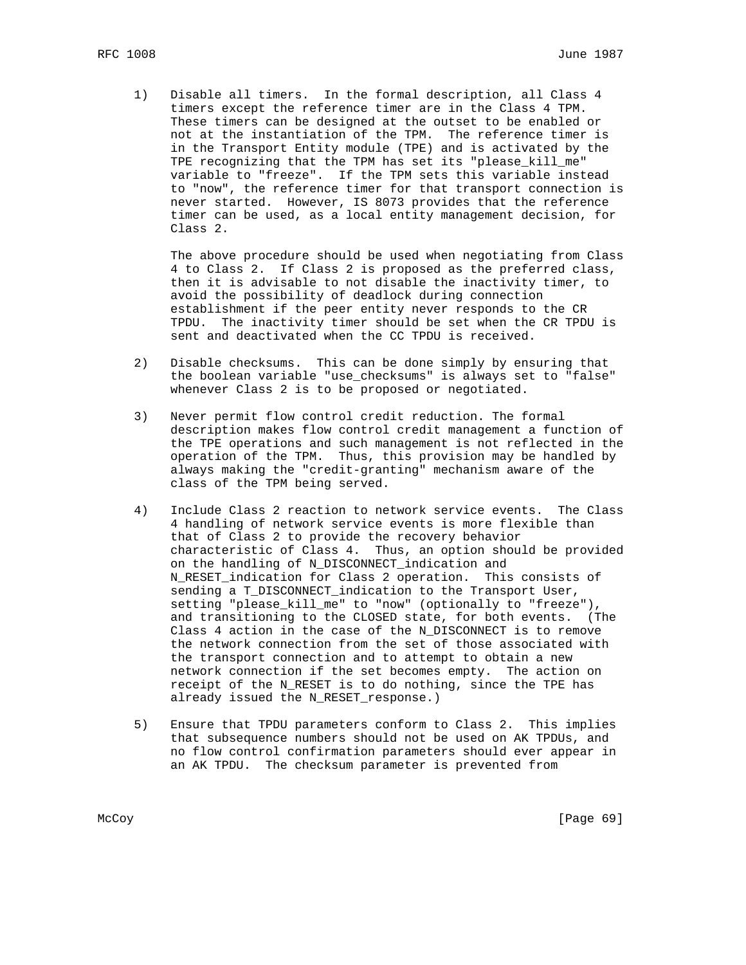1) Disable all timers. In the formal description, all Class 4 timers except the reference timer are in the Class 4 TPM. These timers can be designed at the outset to be enabled or not at the instantiation of the TPM. The reference timer is in the Transport Entity module (TPE) and is activated by the TPE recognizing that the TPM has set its "please\_kill\_me" variable to "freeze". If the TPM sets this variable instead to "now", the reference timer for that transport connection is never started. However, IS 8073 provides that the reference timer can be used, as a local entity management decision, for Class 2.

 The above procedure should be used when negotiating from Class 4 to Class 2. If Class 2 is proposed as the preferred class, then it is advisable to not disable the inactivity timer, to avoid the possibility of deadlock during connection establishment if the peer entity never responds to the CR TPDU. The inactivity timer should be set when the CR TPDU is sent and deactivated when the CC TPDU is received.

- 2) Disable checksums. This can be done simply by ensuring that the boolean variable "use\_checksums" is always set to "false" whenever Class 2 is to be proposed or negotiated.
- 3) Never permit flow control credit reduction. The formal description makes flow control credit management a function of the TPE operations and such management is not reflected in the operation of the TPM. Thus, this provision may be handled by always making the "credit-granting" mechanism aware of the class of the TPM being served.
- 4) Include Class 2 reaction to network service events. The Class 4 handling of network service events is more flexible than that of Class 2 to provide the recovery behavior characteristic of Class 4. Thus, an option should be provided on the handling of N\_DISCONNECT\_indication and N RESET indication for Class 2 operation. This consists of sending a T\_DISCONNECT\_indication to the Transport User, setting "please\_kill\_me" to "now" (optionally to "freeze"), and transitioning to the CLOSED state, for both events. (The Class 4 action in the case of the N\_DISCONNECT is to remove the network connection from the set of those associated with the transport connection and to attempt to obtain a new network connection if the set becomes empty. The action on receipt of the N\_RESET is to do nothing, since the TPE has already issued the N\_RESET\_response.)
- 5) Ensure that TPDU parameters conform to Class 2. This implies that subsequence numbers should not be used on AK TPDUs, and no flow control confirmation parameters should ever appear in an AK TPDU. The checksum parameter is prevented from

McCoy [Page 69]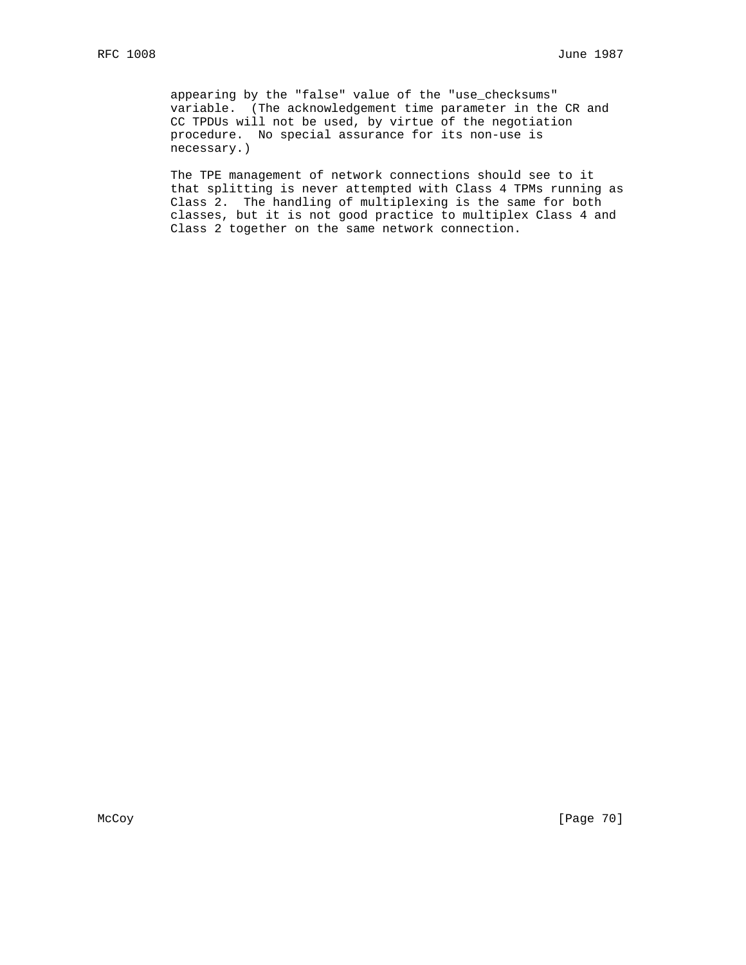appearing by the "false" value of the "use\_checksums" variable. (The acknowledgement time parameter in the CR and CC TPDUs will not be used, by virtue of the negotiation procedure. No special assurance for its non-use is necessary.)

 The TPE management of network connections should see to it that splitting is never attempted with Class 4 TPMs running as Class 2. The handling of multiplexing is the same for both classes, but it is not good practice to multiplex Class 4 and Class 2 together on the same network connection.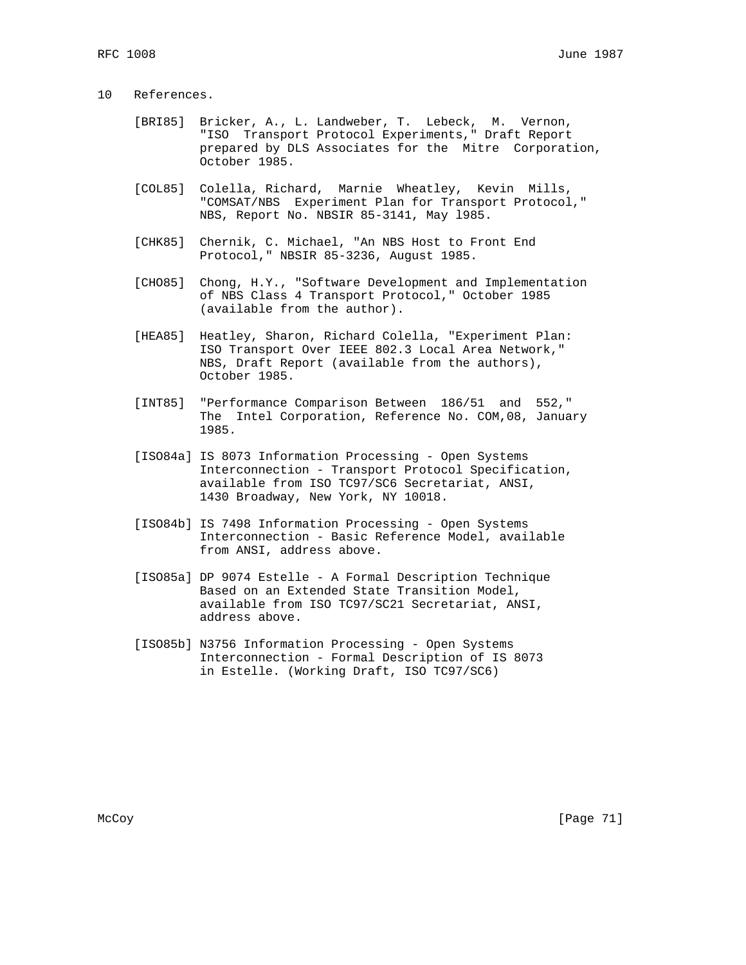# 10 References.

- [BRI85] Bricker, A., L. Landweber, T. Lebeck, M. Vernon, "ISO Transport Protocol Experiments," Draft Report prepared by DLS Associates for the Mitre Corporation, October 1985.
- [COL85] Colella, Richard, Marnie Wheatley, Kevin Mills, "COMSAT/NBS Experiment Plan for Transport Protocol," NBS, Report No. NBSIR 85-3141, May l985.
- [CHK85] Chernik, C. Michael, "An NBS Host to Front End Protocol," NBSIR 85-3236, August 1985.
- [CHO85] Chong, H.Y., "Software Development and Implementation of NBS Class 4 Transport Protocol," October 1985 (available from the author).
- [HEA85] Heatley, Sharon, Richard Colella, "Experiment Plan: ISO Transport Over IEEE 802.3 Local Area Network," NBS, Draft Report (available from the authors), October 1985.
- [INT85] "Performance Comparison Between 186/51 and 552," The Intel Corporation, Reference No. COM,08, January 1985.
- [ISO84a] IS 8073 Information Processing Open Systems Interconnection - Transport Protocol Specification, available from ISO TC97/SC6 Secretariat, ANSI, 1430 Broadway, New York, NY 10018.
- [ISO84b] IS 7498 Information Processing Open Systems Interconnection - Basic Reference Model, available from ANSI, address above.
- [ISO85a] DP 9074 Estelle A Formal Description Technique Based on an Extended State Transition Model, available from ISO TC97/SC21 Secretariat, ANSI, address above.
- [ISO85b] N3756 Information Processing Open Systems Interconnection - Formal Description of IS 8073 in Estelle. (Working Draft, ISO TC97/SC6)

McCoy [Page 71]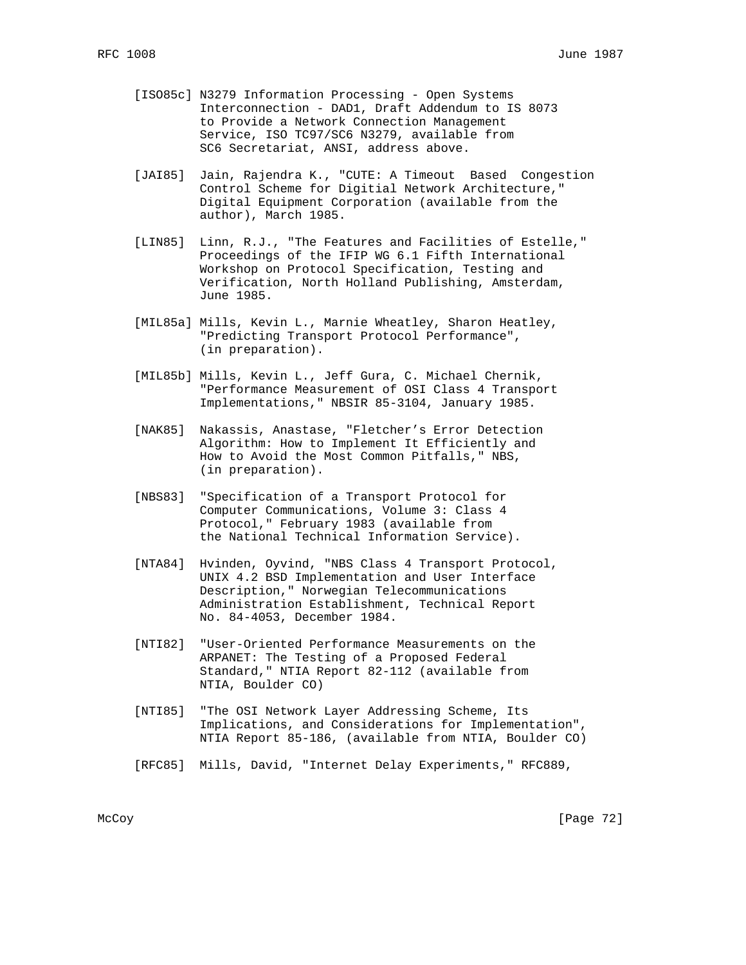- [ISO85c] N3279 Information Processing Open Systems Interconnection - DAD1, Draft Addendum to IS 8073 to Provide a Network Connection Management Service, ISO TC97/SC6 N3279, available from SC6 Secretariat, ANSI, address above.
- [JAI85] Jain, Rajendra K., "CUTE: A Timeout Based Congestion Control Scheme for Digitial Network Architecture," Digital Equipment Corporation (available from the author), March 1985.
- [LIN85] Linn, R.J., "The Features and Facilities of Estelle," Proceedings of the IFIP WG 6.1 Fifth International Workshop on Protocol Specification, Testing and Verification, North Holland Publishing, Amsterdam, June 1985.
- [MIL85a] Mills, Kevin L., Marnie Wheatley, Sharon Heatley, "Predicting Transport Protocol Performance", (in preparation).
- [MIL85b] Mills, Kevin L., Jeff Gura, C. Michael Chernik, "Performance Measurement of OSI Class 4 Transport Implementations," NBSIR 85-3104, January 1985.
- [NAK85] Nakassis, Anastase, "Fletcher's Error Detection Algorithm: How to Implement It Efficiently and How to Avoid the Most Common Pitfalls," NBS, (in preparation).
- [NBS83] "Specification of a Transport Protocol for Computer Communications, Volume 3: Class 4 Protocol," February 1983 (available from the National Technical Information Service).
- [NTA84] Hvinden, Oyvind, "NBS Class 4 Transport Protocol, UNIX 4.2 BSD Implementation and User Interface Description," Norwegian Telecommunications Administration Establishment, Technical Report No. 84-4053, December 1984.
- [NTI82] "User-Oriented Performance Measurements on the ARPANET: The Testing of a Proposed Federal Standard," NTIA Report 82-112 (available from NTIA, Boulder CO)
- [NTI85] "The OSI Network Layer Addressing Scheme, Its Implications, and Considerations for Implementation", NTIA Report 85-186, (available from NTIA, Boulder CO)
- [RFC85] Mills, David, "Internet Delay Experiments," RFC889,

McCoy [Page 72]